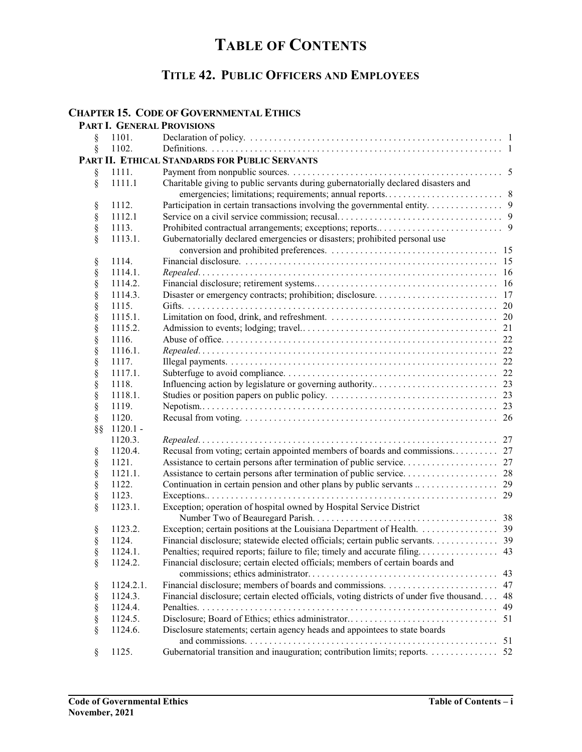# **TABLE OF CONTENTS**

## **TITLE 42. PUBLIC OFFICERS AND EMPLOYEES**

#### **CHAPTER 15. CODE OF GOVERNMENTAL ETHICS**

|      |            | PART I. GENERAL PROVISIONS                                                               |    |
|------|------------|------------------------------------------------------------------------------------------|----|
| ş    | 1101.      |                                                                                          |    |
| ş    | 1102.      |                                                                                          |    |
|      |            | PART II. ETHICAL STANDARDS FOR PUBLIC SERVANTS                                           |    |
| §    | 1111.      |                                                                                          |    |
| ş    | 1111.1     | Charitable giving to public servants during gubernatorially declared disasters and       |    |
|      |            |                                                                                          |    |
| ş    | 1112.      |                                                                                          |    |
| ş    | 1112.1     |                                                                                          |    |
| ş    | 1113.      |                                                                                          |    |
| ş    | 1113.1.    | Gubernatorially declared emergencies or disasters; prohibited personal use               |    |
|      |            |                                                                                          |    |
| §    | 1114.      |                                                                                          |    |
| ş    | 1114.1.    |                                                                                          |    |
| ş    | 1114.2.    |                                                                                          |    |
| §    | 1114.3.    |                                                                                          |    |
| $\S$ | 1115.      |                                                                                          |    |
| §    | 1115.1.    |                                                                                          |    |
| ş    | 1115.2.    |                                                                                          |    |
| ş    | 1116.      |                                                                                          |    |
| $\S$ | 1116.1.    |                                                                                          |    |
| $\S$ | 1117.      |                                                                                          |    |
| ş    | 1117.1.    |                                                                                          |    |
| ş    | 1118.      |                                                                                          |    |
| ş    | 1118.1.    |                                                                                          |    |
| ş    | 1119.      |                                                                                          |    |
| ş    | 1120.      |                                                                                          |    |
| §§   | $1120.1 -$ |                                                                                          |    |
|      | 1120.3.    |                                                                                          |    |
| §    | 1120.4.    |                                                                                          |    |
| §    | 1121.      |                                                                                          |    |
| $\S$ | 1121.1.    |                                                                                          |    |
| $\S$ | 1122.      |                                                                                          |    |
| ş    | 1123.      |                                                                                          |    |
| ş    | 1123.1.    | Exception; operation of hospital owned by Hospital Service District                      |    |
|      |            |                                                                                          |    |
| ş    | 1123.2.    | Exception; certain positions at the Louisiana Department of Health. 39                   |    |
| ş    | 1124.      | Financial disclosure; statewide elected officials; certain public servants. 39           |    |
| ş    | 1124.1.    | Penalties; required reports; failure to file; timely and accurate filing                 | 43 |
| ş    | 1124.2.    | Financial disclosure; certain elected officials; members of certain boards and           |    |
|      |            |                                                                                          | 43 |
| ş    | 1124.2.1.  |                                                                                          | 47 |
| §    | 1124.3.    | Financial disclosure; certain elected officials, voting districts of under five thousand | 48 |
| §    | 1124.4.    |                                                                                          | 49 |
| §    | 1124.5.    |                                                                                          | 51 |
| ş    | 1124.6.    | Disclosure statements; certain agency heads and appointees to state boards               |    |
|      |            |                                                                                          |    |
| Ş    | 1125.      | Gubernatorial transition and inauguration; contribution limits; reports. 52              |    |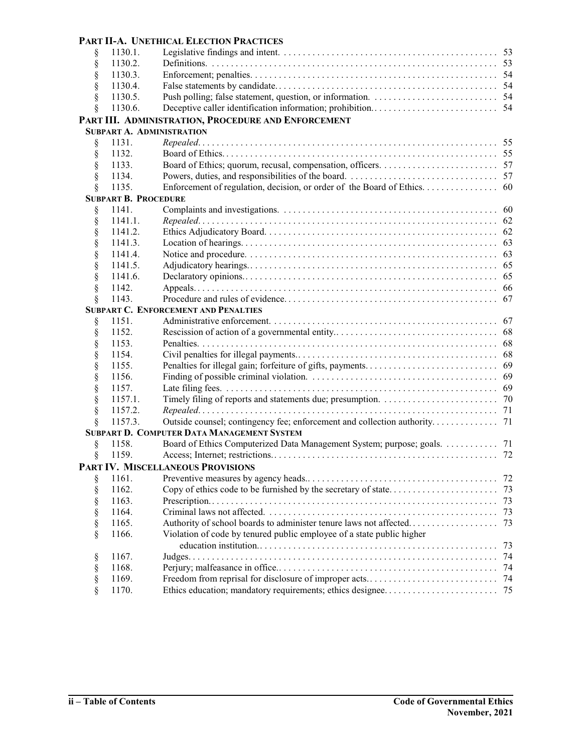#### **PART II-A. UNETHICAL ELECTION PRACTICES**

| §    | 1130.1.                          |                                                                         |    |
|------|----------------------------------|-------------------------------------------------------------------------|----|
| §    | 1130.2.                          |                                                                         |    |
| ş    | 1130.3.                          |                                                                         |    |
| ş    | 1130.4.                          |                                                                         |    |
| ş    | 1130.5.                          |                                                                         |    |
| ş    | 1130.6.                          |                                                                         |    |
|      |                                  | PART III. ADMINISTRATION, PROCEDURE AND ENFORCEMENT                     |    |
|      | <b>SUBPART A. ADMINISTRATION</b> |                                                                         |    |
| ş    | 1131.                            |                                                                         |    |
| §    | 1132.                            |                                                                         |    |
| ş    | 1133.                            |                                                                         |    |
| ş    | 1134.                            |                                                                         |    |
| ş    | 1135.                            |                                                                         |    |
|      | <b>SUBPART B. PROCEDURE</b>      |                                                                         |    |
| §    | 1141.                            |                                                                         |    |
| ş    | 1141.1.                          |                                                                         |    |
| ş    | 1141.2.                          |                                                                         |    |
| ş    | 1141.3.                          |                                                                         |    |
| ş    | 1141.4.                          |                                                                         |    |
| ş    | 1141.5.                          |                                                                         |    |
| ş    | 1141.6.                          |                                                                         |    |
| ş    | 1142.                            |                                                                         |    |
| ş    | 1143.                            |                                                                         |    |
|      |                                  | <b>SUBPART C. ENFORCEMENT AND PENALTIES</b>                             |    |
| ş    | 1151.                            |                                                                         |    |
| §    | 1152.                            |                                                                         |    |
| ş    | 1153.                            |                                                                         |    |
| ş    | 1154.                            |                                                                         |    |
| ş    | 1155.                            |                                                                         |    |
| ş    | 1156.                            |                                                                         |    |
| ş    | 1157.                            |                                                                         |    |
| ş    | 1157.1.                          |                                                                         |    |
| ş    | 1157.2.                          |                                                                         |    |
| ş    | 1157.3.                          |                                                                         |    |
|      |                                  | SUBPART D. COMPUTER DATA MANAGEMENT SYSTEM                              |    |
| ş    | 1158.                            | Board of Ethics Computerized Data Management System; purpose; goals. 71 |    |
| ş    | 1159.                            |                                                                         | 72 |
|      |                                  | PART IV. MISCELLANEOUS PROVISIONS                                       |    |
| ş    | 1161.                            |                                                                         |    |
| ş    | 1162.                            |                                                                         |    |
| ş    | 1163.                            |                                                                         |    |
| ş    | 1164.                            |                                                                         |    |
| ş    | 1165.                            |                                                                         |    |
| ş    | 1166.                            | Violation of code by tenured public employee of a state public higher   |    |
|      |                                  |                                                                         | 73 |
| §    | 1167.                            |                                                                         | 74 |
| $\S$ | 1168.                            |                                                                         |    |
| ş    | 1169.                            |                                                                         |    |
| ş    | 1170.                            |                                                                         |    |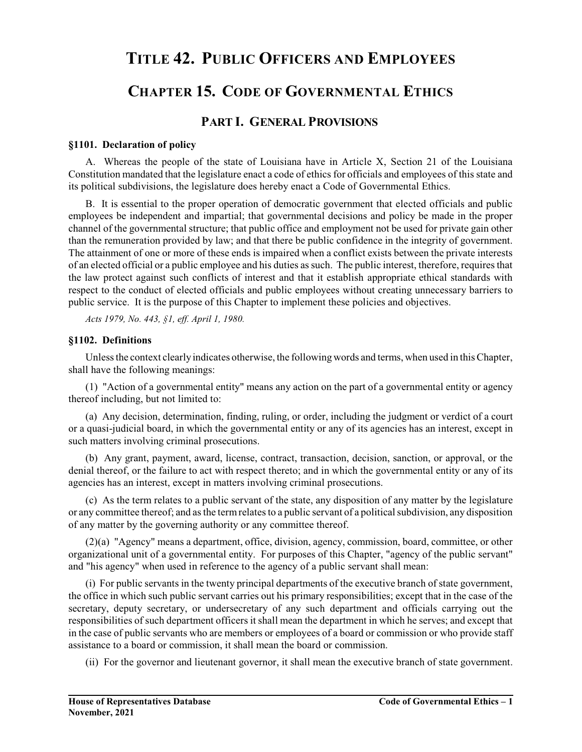# **TITLE 42. PUBLIC OFFICERS AND EMPLOYEES**

# **CHAPTER 15. CODE OF GOVERNMENTAL ETHICS**

## **PART I. GENERAL PROVISIONS**

#### **§1101. Declaration of policy**

A. Whereas the people of the state of Louisiana have in Article X, Section 21 of the Louisiana Constitution mandated that the legislature enact a code of ethics for officials and employees of this state and its political subdivisions, the legislature does hereby enact a Code of Governmental Ethics.

B. It is essential to the proper operation of democratic government that elected officials and public employees be independent and impartial; that governmental decisions and policy be made in the proper channel of the governmental structure; that public office and employment not be used for private gain other than the remuneration provided by law; and that there be public confidence in the integrity of government. The attainment of one or more of these ends is impaired when a conflict exists between the private interests of an elected official or a public employee and his duties as such. The public interest, therefore, requires that the law protect against such conflicts of interest and that it establish appropriate ethical standards with respect to the conduct of elected officials and public employees without creating unnecessary barriers to public service. It is the purpose of this Chapter to implement these policies and objectives.

*Acts 1979, No. 443, §1, eff. April 1, 1980.*

#### **§1102. Definitions**

Unless the context clearly indicates otherwise, the following words and terms, when used in this Chapter, shall have the following meanings:

(1) "Action of a governmental entity" means any action on the part of a governmental entity or agency thereof including, but not limited to:

(a) Any decision, determination, finding, ruling, or order, including the judgment or verdict of a court or a quasi-judicial board, in which the governmental entity or any of its agencies has an interest, except in such matters involving criminal prosecutions.

(b) Any grant, payment, award, license, contract, transaction, decision, sanction, or approval, or the denial thereof, or the failure to act with respect thereto; and in which the governmental entity or any of its agencies has an interest, except in matters involving criminal prosecutions.

(c) As the term relates to a public servant of the state, any disposition of any matter by the legislature or any committee thereof; and as the term relates to a public servant of a political subdivision, any disposition of any matter by the governing authority or any committee thereof.

(2)(a) "Agency" means a department, office, division, agency, commission, board, committee, or other organizational unit of a governmental entity. For purposes of this Chapter, "agency of the public servant" and "his agency" when used in reference to the agency of a public servant shall mean:

(i) For public servants in the twenty principal departments of the executive branch of state government, the office in which such public servant carries out his primary responsibilities; except that in the case of the secretary, deputy secretary, or undersecretary of any such department and officials carrying out the responsibilities of such department officers it shall mean the department in which he serves; and except that in the case of public servants who are members or employees of a board or commission or who provide staff assistance to a board or commission, it shall mean the board or commission.

(ii) For the governor and lieutenant governor, it shall mean the executive branch of state government.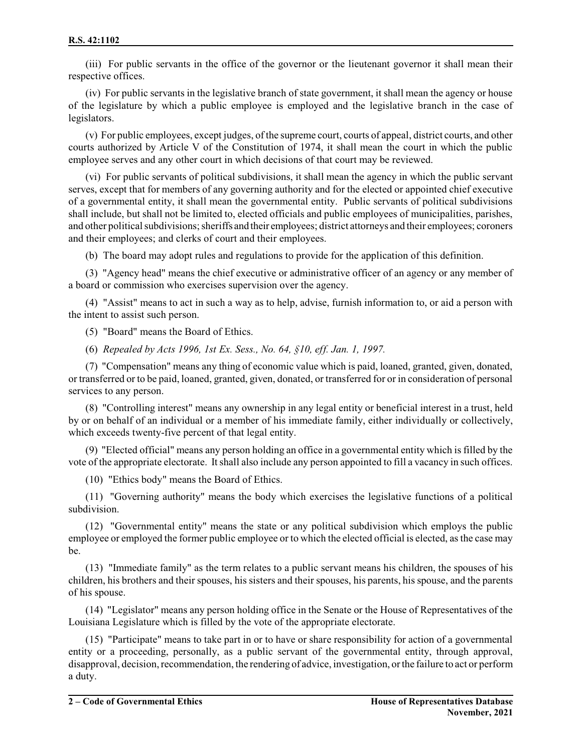(iii) For public servants in the office of the governor or the lieutenant governor it shall mean their respective offices.

(iv) For public servants in the legislative branch of state government, it shall mean the agency or house of the legislature by which a public employee is employed and the legislative branch in the case of legislators.

(v) For public employees, except judges, of the supreme court, courts of appeal, district courts, and other courts authorized by Article V of the Constitution of 1974, it shall mean the court in which the public employee serves and any other court in which decisions of that court may be reviewed.

(vi) For public servants of political subdivisions, it shall mean the agency in which the public servant serves, except that for members of any governing authority and for the elected or appointed chief executive of a governmental entity, it shall mean the governmental entity. Public servants of political subdivisions shall include, but shall not be limited to, elected officials and public employees of municipalities, parishes, and other political subdivisions; sheriffs and their employees; district attorneys and their employees; coroners and their employees; and clerks of court and their employees.

(b) The board may adopt rules and regulations to provide for the application of this definition.

(3) "Agency head" means the chief executive or administrative officer of an agency or any member of a board or commission who exercises supervision over the agency.

(4) "Assist" means to act in such a way as to help, advise, furnish information to, or aid a person with the intent to assist such person.

(5) "Board" means the Board of Ethics.

(6) *Repealed by Acts 1996, 1st Ex. Sess., No. 64, §10, eff. Jan. 1, 1997.*

(7) "Compensation" means any thing of economic value which is paid, loaned, granted, given, donated, or transferred or to be paid, loaned, granted, given, donated, or transferred for or in consideration of personal services to any person.

(8) "Controlling interest" means any ownership in any legal entity or beneficial interest in a trust, held by or on behalf of an individual or a member of his immediate family, either individually or collectively, which exceeds twenty-five percent of that legal entity.

(9) "Elected official" means any person holding an office in a governmental entity which is filled by the vote of the appropriate electorate. It shall also include any person appointed to fill a vacancy in such offices.

(10) "Ethics body" means the Board of Ethics.

(11) "Governing authority" means the body which exercises the legislative functions of a political subdivision.

(12) "Governmental entity" means the state or any political subdivision which employs the public employee or employed the former public employee or to which the elected official is elected, as the case may be.

(13) "Immediate family" as the term relates to a public servant means his children, the spouses of his children, his brothers and their spouses, his sisters and their spouses, his parents, his spouse, and the parents of his spouse.

(14) "Legislator" means any person holding office in the Senate or the House of Representatives of the Louisiana Legislature which is filled by the vote of the appropriate electorate.

(15) "Participate" means to take part in or to have or share responsibility for action of a governmental entity or a proceeding, personally, as a public servant of the governmental entity, through approval, disapproval, decision, recommendation, the rendering of advice, investigation, orthe failure to act or perform a duty.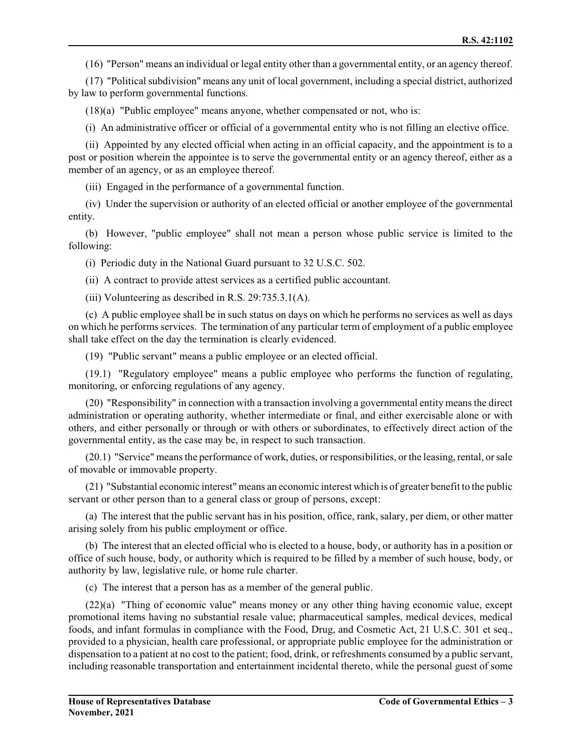(16) "Person" means an individual or legal entity other than a governmental entity, or an agency thereof.

(17) "Political subdivision" means any unit of local government, including a special district, authorized by law to perform governmental functions.

 $(18)(a)$  "Public employee" means anyone, whether compensated or not, who is:

(i) An administrative officer or official of a governmental entity who is not filling an elective office.

(ii) Appointed by any elected official when acting in an official capacity, and the appointment is to a post or position wherein the appointee is to serve the governmental entity or an agency thereof, either as a member of an agency, or as an employee thereof.

(iii) Engaged in the performance of a governmental function.

(iv) Under the supervision or authority of an elected official or another employee of the governmental entity.

(b) However, "public employee" shall not mean a person whose public service is limited to the following:

(i) Periodic duty in the National Guard pursuant to 32 U.S.C. 502.

(ii) A contract to provide attest services as a certified public accountant.

(iii) Volunteering as described in R.S. 29:735.3.1(A).

(c) A public employee shall be in such status on days on which he performs no services as well as days on which he performs services. The termination of any particular term of employment of a public employee shall take effect on the day the termination is clearly evidenced.

(19) "Public servant" means a public employee or an elected official.

(19.1) "Regulatory employee" means a public employee who performs the function of regulating, monitoring, or enforcing regulations of any agency.

(20) "Responsibility" in connection with a transaction involving a governmental entity means the direct administration or operating authority, whether intermediate or final, and either exercisable alone or with others, and either personally or through or with others or subordinates, to effectively direct action of the governmental entity, as the case may be, in respect to such transaction.

(20.1) "Service" means the performance of work, duties, or responsibilities, or the leasing, rental, orsale of movable or immovable property.

(21) "Substantial economic interest" means an economic interest which is of greater benefit to the public servant or other person than to a general class or group of persons, except:

(a) The interest that the public servant has in his position, office, rank, salary, per diem, or other matter arising solely from his public employment or office.

(b) The interest that an elected official who is elected to a house, body, or authority has in a position or office of such house, body, or authority which is required to be filled by a member of such house, body, or authority by law, legislative rule, or home rule charter.

(c) The interest that a person has as a member of the general public.

(22)(a) "Thing of economic value" means money or any other thing having economic value, except promotional items having no substantial resale value; pharmaceutical samples, medical devices, medical foods, and infant formulas in compliance with the Food, Drug, and Cosmetic Act, 21 U.S.C. 301 et seq., provided to a physician, health care professional, or appropriate public employee for the administration or dispensation to a patient at no cost to the patient; food, drink, or refreshments consumed by a public servant, including reasonable transportation and entertainment incidental thereto, while the personal guest of some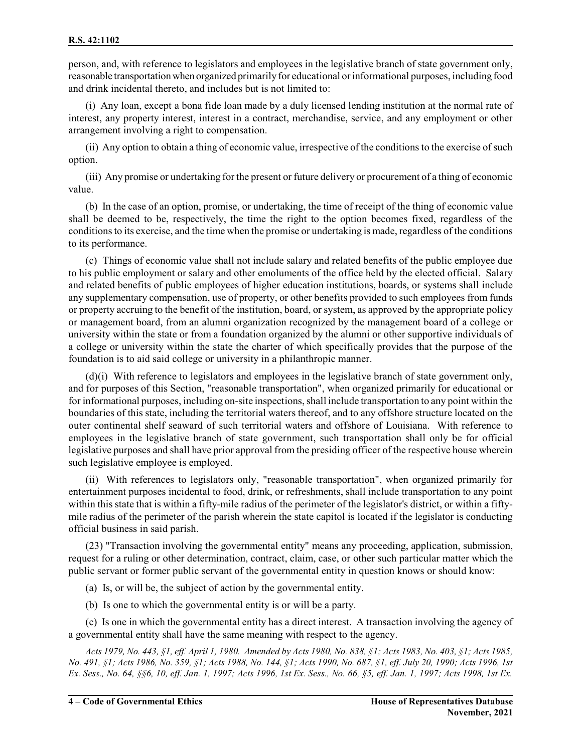person, and, with reference to legislators and employees in the legislative branch of state government only, reasonable transportationwhen organized primarily for educational orinformational purposes, including food and drink incidental thereto, and includes but is not limited to:

(i) Any loan, except a bona fide loan made by a duly licensed lending institution at the normal rate of interest, any property interest, interest in a contract, merchandise, service, and any employment or other arrangement involving a right to compensation.

(ii) Any option to obtain a thing of economic value, irrespective of the conditions to the exercise ofsuch option.

(iii) Any promise or undertaking for the present or future delivery or procurement of a thing of economic value.

(b) In the case of an option, promise, or undertaking, the time of receipt of the thing of economic value shall be deemed to be, respectively, the time the right to the option becomes fixed, regardless of the conditions to its exercise, and the time when the promise or undertaking is made, regardless of the conditions to its performance.

(c) Things of economic value shall not include salary and related benefits of the public employee due to his public employment or salary and other emoluments of the office held by the elected official. Salary and related benefits of public employees of higher education institutions, boards, or systems shall include any supplementary compensation, use of property, or other benefits provided to such employees from funds or property accruing to the benefit of the institution, board, or system, as approved by the appropriate policy or management board, from an alumni organization recognized by the management board of a college or university within the state or from a foundation organized by the alumni or other supportive individuals of a college or university within the state the charter of which specifically provides that the purpose of the foundation is to aid said college or university in a philanthropic manner.

(d)(i) With reference to legislators and employees in the legislative branch of state government only, and for purposes of this Section, "reasonable transportation", when organized primarily for educational or for informational purposes, including on-site inspections, shall include transportation to any point within the boundaries of this state, including the territorial waters thereof, and to any offshore structure located on the outer continental shelf seaward of such territorial waters and offshore of Louisiana. With reference to employees in the legislative branch of state government, such transportation shall only be for official legislative purposes and shall have prior approval from the presiding officer of the respective house wherein such legislative employee is employed.

(ii) With references to legislators only, "reasonable transportation", when organized primarily for entertainment purposes incidental to food, drink, or refreshments, shall include transportation to any point within this state that is within a fifty-mile radius of the perimeter of the legislator's district, or within a fiftymile radius of the perimeter of the parish wherein the state capitol is located if the legislator is conducting official business in said parish.

(23) "Transaction involving the governmental entity" means any proceeding, application, submission, request for a ruling or other determination, contract, claim, case, or other such particular matter which the public servant or former public servant of the governmental entity in question knows or should know:

- (a) Is, or will be, the subject of action by the governmental entity.
- (b) Is one to which the governmental entity is or will be a party.

(c) Is one in which the governmental entity has a direct interest. A transaction involving the agency of a governmental entity shall have the same meaning with respect to the agency.

*Acts 1979, No. 443, §1, eff. April 1, 1980. Amended by Acts 1980, No. 838, §1; Acts 1983, No. 403, §1; Acts 1985, No. 491, §1; Acts 1986, No. 359, §1; Acts 1988, No. 144, §1; Acts 1990, No. 687, §1, eff. July 20, 1990; Acts 1996, 1st Ex. Sess., No. 64, §§6, 10, eff. Jan. 1, 1997; Acts 1996, 1st Ex. Sess., No. 66, §5, eff. Jan. 1, 1997; Acts 1998, 1st Ex.*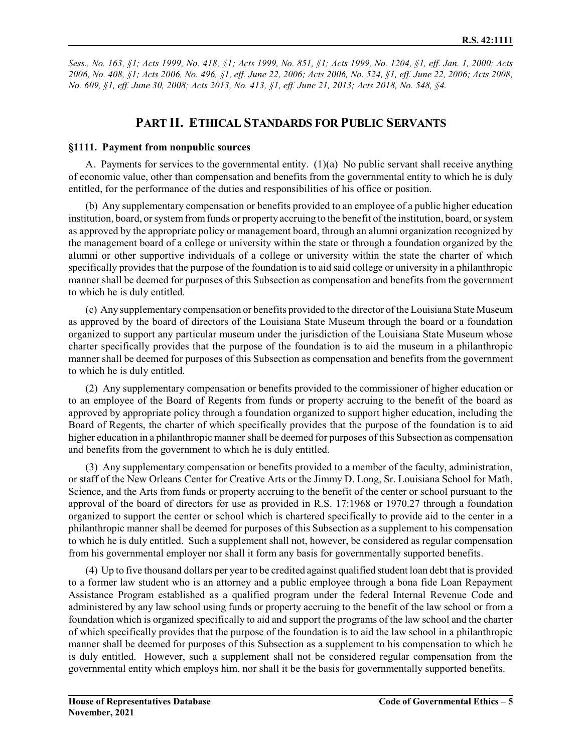*Sess., No. 163, §1; Acts 1999, No. 418, §1; Acts 1999, No. 851, §1; Acts 1999, No. 1204, §1, eff. Jan. 1, 2000; Acts 2006, No. 408, §1; Acts 2006, No. 496, §1, eff. June 22, 2006; Acts 2006, No. 524, §1, eff. June 22, 2006; Acts 2008, No. 609, §1, eff. June 30, 2008; Acts 2013, No. 413, §1, eff. June 21, 2013; Acts 2018, No. 548, §4.*

### **PART II. ETHICAL STANDARDS FOR PUBLIC SERVANTS**

#### **§1111. Payment from nonpublic sources**

A. Payments for services to the governmental entity.  $(1)(a)$  No public servant shall receive anything of economic value, other than compensation and benefits from the governmental entity to which he is duly entitled, for the performance of the duties and responsibilities of his office or position.

(b) Any supplementary compensation or benefits provided to an employee of a public higher education institution, board, or system from funds or property accruing to the benefit of the institution, board, or system as approved by the appropriate policy or management board, through an alumni organization recognized by the management board of a college or university within the state or through a foundation organized by the alumni or other supportive individuals of a college or university within the state the charter of which specifically provides that the purpose of the foundation is to aid said college or university in a philanthropic manner shall be deemed for purposes of this Subsection as compensation and benefits from the government to which he is duly entitled.

(c) Any supplementary compensation or benefits provided to the director ofthe Louisiana State Museum as approved by the board of directors of the Louisiana State Museum through the board or a foundation organized to support any particular museum under the jurisdiction of the Louisiana State Museum whose charter specifically provides that the purpose of the foundation is to aid the museum in a philanthropic manner shall be deemed for purposes of this Subsection as compensation and benefits from the government to which he is duly entitled.

(2) Any supplementary compensation or benefits provided to the commissioner of higher education or to an employee of the Board of Regents from funds or property accruing to the benefit of the board as approved by appropriate policy through a foundation organized to support higher education, including the Board of Regents, the charter of which specifically provides that the purpose of the foundation is to aid higher education in a philanthropic manner shall be deemed for purposes of this Subsection as compensation and benefits from the government to which he is duly entitled.

(3) Any supplementary compensation or benefits provided to a member of the faculty, administration, or staff of the New Orleans Center for Creative Arts or the Jimmy D. Long, Sr. Louisiana School for Math, Science, and the Arts from funds or property accruing to the benefit of the center or school pursuant to the approval of the board of directors for use as provided in R.S. 17:1968 or 1970.27 through a foundation organized to support the center or school which is chartered specifically to provide aid to the center in a philanthropic manner shall be deemed for purposes of this Subsection as a supplement to his compensation to which he is duly entitled. Such a supplement shall not, however, be considered as regular compensation from his governmental employer nor shall it form any basis for governmentally supported benefits.

(4) Up to five thousand dollars per year to be credited against qualified student loan debt that is provided to a former law student who is an attorney and a public employee through a bona fide Loan Repayment Assistance Program established as a qualified program under the federal Internal Revenue Code and administered by any law school using funds or property accruing to the benefit of the law school or from a foundation which is organized specifically to aid and support the programs of the law school and the charter of which specifically provides that the purpose of the foundation is to aid the law school in a philanthropic manner shall be deemed for purposes of this Subsection as a supplement to his compensation to which he is duly entitled. However, such a supplement shall not be considered regular compensation from the governmental entity which employs him, nor shall it be the basis for governmentally supported benefits.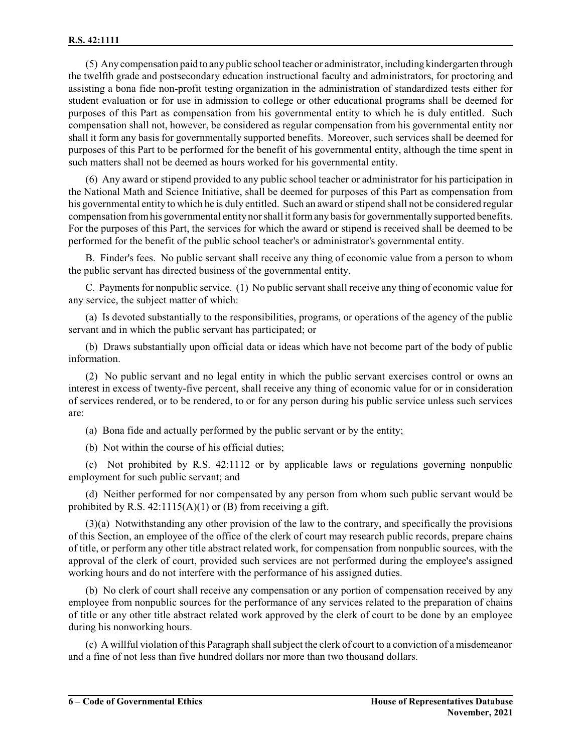(5) Any compensation paid to any public school teacher or administrator, including kindergarten through the twelfth grade and postsecondary education instructional faculty and administrators, for proctoring and assisting a bona fide non-profit testing organization in the administration of standardized tests either for student evaluation or for use in admission to college or other educational programs shall be deemed for purposes of this Part as compensation from his governmental entity to which he is duly entitled. Such compensation shall not, however, be considered as regular compensation from his governmental entity nor shall it form any basis for governmentally supported benefits. Moreover, such services shall be deemed for purposes of this Part to be performed for the benefit of his governmental entity, although the time spent in such matters shall not be deemed as hours worked for his governmental entity.

(6) Any award or stipend provided to any public school teacher or administrator for his participation in the National Math and Science Initiative, shall be deemed for purposes of this Part as compensation from his governmental entity to which he is duly entitled. Such an award orstipend shall not be considered regular compensation fromhis governmental entity norshall itformany basis for governmentally supported benefits. For the purposes of this Part, the services for which the award or stipend is received shall be deemed to be performed for the benefit of the public school teacher's or administrator's governmental entity.

B. Finder's fees. No public servant shall receive any thing of economic value from a person to whom the public servant has directed business of the governmental entity.

C. Payments for nonpublic service. (1) No public servantshall receive any thing of economic value for any service, the subject matter of which:

(a) Is devoted substantially to the responsibilities, programs, or operations of the agency of the public servant and in which the public servant has participated; or

(b) Draws substantially upon official data or ideas which have not become part of the body of public information.

(2) No public servant and no legal entity in which the public servant exercises control or owns an interest in excess of twenty-five percent, shall receive any thing of economic value for or in consideration of services rendered, or to be rendered, to or for any person during his public service unless such services are:

(a) Bona fide and actually performed by the public servant or by the entity;

(b) Not within the course of his official duties;

(c) Not prohibited by R.S. 42:1112 or by applicable laws or regulations governing nonpublic employment for such public servant; and

(d) Neither performed for nor compensated by any person from whom such public servant would be prohibited by R.S.  $42:1115(A)(1)$  or (B) from receiving a gift.

(3)(a) Notwithstanding any other provision of the law to the contrary, and specifically the provisions of this Section, an employee of the office of the clerk of court may research public records, prepare chains of title, or perform any other title abstract related work, for compensation from nonpublic sources, with the approval of the clerk of court, provided such services are not performed during the employee's assigned working hours and do not interfere with the performance of his assigned duties.

(b) No clerk of court shall receive any compensation or any portion of compensation received by any employee from nonpublic sources for the performance of any services related to the preparation of chains of title or any other title abstract related work approved by the clerk of court to be done by an employee during his nonworking hours.

(c) A willful violation of this Paragraph shallsubject the clerk of court to a conviction of a misdemeanor and a fine of not less than five hundred dollars nor more than two thousand dollars.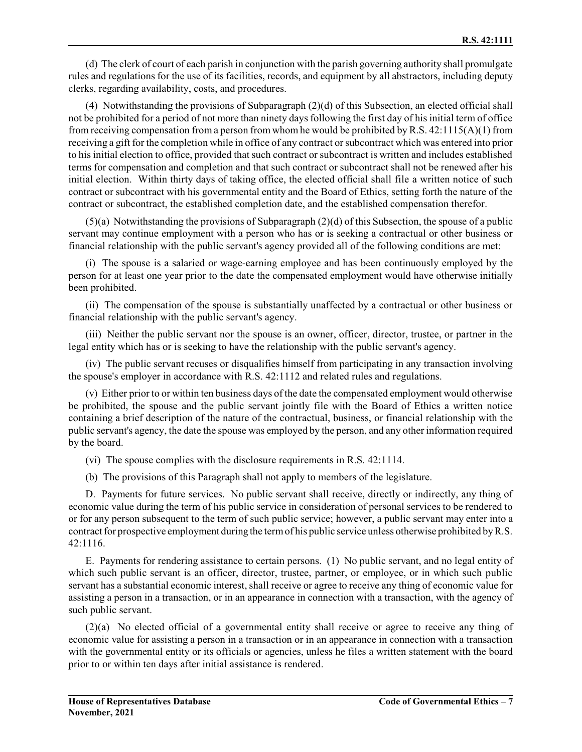(d) The clerk of court of each parish in conjunction with the parish governing authority shall promulgate rules and regulations for the use of its facilities, records, and equipment by all abstractors, including deputy clerks, regarding availability, costs, and procedures.

(4) Notwithstanding the provisions of Subparagraph (2)(d) of this Subsection, an elected official shall not be prohibited for a period of not more than ninety days following the first day of his initial term of office from receiving compensation from a person from whom he would be prohibited by R.S. 42:1115(A)(1) from receiving a gift for the completion while in office of any contract orsubcontract which was entered into prior to his initial election to office, provided that such contract or subcontract is written and includes established terms for compensation and completion and that such contract or subcontract shall not be renewed after his initial election. Within thirty days of taking office, the elected official shall file a written notice of such contract or subcontract with his governmental entity and the Board of Ethics, setting forth the nature of the contract or subcontract, the established completion date, and the established compensation therefor.

(5)(a) Notwithstanding the provisions of Subparagraph (2)(d) of this Subsection, the spouse of a public servant may continue employment with a person who has or is seeking a contractual or other business or financial relationship with the public servant's agency provided all of the following conditions are met:

(i) The spouse is a salaried or wage-earning employee and has been continuously employed by the person for at least one year prior to the date the compensated employment would have otherwise initially been prohibited.

(ii) The compensation of the spouse is substantially unaffected by a contractual or other business or financial relationship with the public servant's agency.

(iii) Neither the public servant nor the spouse is an owner, officer, director, trustee, or partner in the legal entity which has or is seeking to have the relationship with the public servant's agency.

(iv) The public servant recuses or disqualifies himself from participating in any transaction involving the spouse's employer in accordance with R.S. 42:1112 and related rules and regulations.

(v) Either prior to or within ten business days of the date the compensated employment would otherwise be prohibited, the spouse and the public servant jointly file with the Board of Ethics a written notice containing a brief description of the nature of the contractual, business, or financial relationship with the public servant's agency, the date the spouse was employed by the person, and any other information required by the board.

(vi) The spouse complies with the disclosure requirements in R.S. 42:1114.

(b) The provisions of this Paragraph shall not apply to members of the legislature.

D. Payments for future services. No public servant shall receive, directly or indirectly, any thing of economic value during the term of his public service in consideration of personal services to be rendered to or for any person subsequent to the term of such public service; however, a public servant may enter into a contract for prospective employment during the term of his public service unless otherwise prohibited by R.S. 42:1116.

E. Payments for rendering assistance to certain persons. (1) No public servant, and no legal entity of which such public servant is an officer, director, trustee, partner, or employee, or in which such public servant has a substantial economic interest, shall receive or agree to receive any thing of economic value for assisting a person in a transaction, or in an appearance in connection with a transaction, with the agency of such public servant.

(2)(a) No elected official of a governmental entity shall receive or agree to receive any thing of economic value for assisting a person in a transaction or in an appearance in connection with a transaction with the governmental entity or its officials or agencies, unless he files a written statement with the board prior to or within ten days after initial assistance is rendered.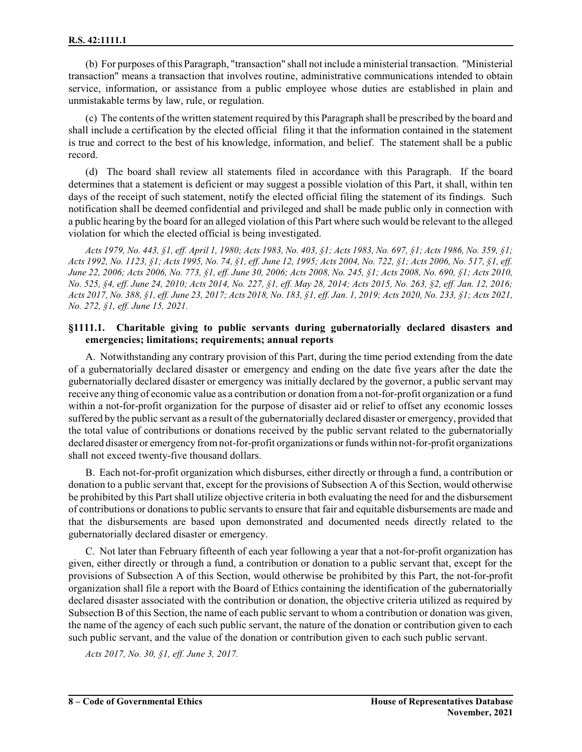(b) For purposes of this Paragraph, "transaction" shall not include a ministerial transaction. "Ministerial transaction" means a transaction that involves routine, administrative communications intended to obtain service, information, or assistance from a public employee whose duties are established in plain and unmistakable terms by law, rule, or regulation.

(c) The contents of the written statement required by this Paragraph shall be prescribed by the board and shall include a certification by the elected official filing it that the information contained in the statement is true and correct to the best of his knowledge, information, and belief. The statement shall be a public record.

(d) The board shall review all statements filed in accordance with this Paragraph. If the board determines that a statement is deficient or may suggest a possible violation of this Part, it shall, within ten days of the receipt of such statement, notify the elected official filing the statement of its findings. Such notification shall be deemed confidential and privileged and shall be made public only in connection with a public hearing by the board for an alleged violation of this Part where such would be relevant to the alleged violation for which the elected official is being investigated.

*Acts 1979, No. 443, §1, eff. April 1, 1980; Acts 1983, No. 403, §1; Acts 1983, No. 697, §1; Acts 1986, No. 359, §1; Acts 1992, No. 1123, §1; Acts 1995, No. 74, §1, eff. June 12, 1995; Acts 2004, No. 722, §1; Acts 2006, No. 517, §1, eff. June 22, 2006; Acts 2006, No. 773, §1, eff. June 30, 2006; Acts 2008, No. 245, §1; Acts 2008, No. 690, §1; Acts 2010, No. 525, §4, eff. June 24, 2010; Acts 2014, No. 227, §1, eff. May 28, 2014; Acts 2015, No. 263, §2, eff. Jan. 12, 2016; Acts 2017, No. 388, §1, eff. June 23, 2017; Acts 2018, No. 183, §1, eff. Jan. 1, 2019; Acts 2020, No. 233, §1; Acts 2021, No. 272, §1, eff. June 15, 2021.*

#### **§1111.1. Charitable giving to public servants during gubernatorially declared disasters and emergencies; limitations; requirements; annual reports**

A. Notwithstanding any contrary provision of this Part, during the time period extending from the date of a gubernatorially declared disaster or emergency and ending on the date five years after the date the gubernatorially declared disaster or emergency was initially declared by the governor, a public servant may receive any thing of economic value as a contribution or donation froma not-for-profit organization or a fund within a not-for-profit organization for the purpose of disaster aid or relief to offset any economic losses suffered by the public servant as a result of the gubernatorially declared disaster or emergency, provided that the total value of contributions or donations received by the public servant related to the gubernatorially declared disaster or emergency fromnot-for-profit organizations or funds within not-for-profit organizations shall not exceed twenty-five thousand dollars.

B. Each not-for-profit organization which disburses, either directly or through a fund, a contribution or donation to a public servant that, except for the provisions of Subsection A of this Section, would otherwise be prohibited by this Part shall utilize objective criteria in both evaluating the need for and the disbursement of contributions or donations to public servants to ensure that fair and equitable disbursements are made and that the disbursements are based upon demonstrated and documented needs directly related to the gubernatorially declared disaster or emergency.

C. Not later than February fifteenth of each year following a year that a not-for-profit organization has given, either directly or through a fund, a contribution or donation to a public servant that, except for the provisions of Subsection A of this Section, would otherwise be prohibited by this Part, the not-for-profit organization shall file a report with the Board of Ethics containing the identification of the gubernatorially declared disaster associated with the contribution or donation, the objective criteria utilized as required by Subsection B of this Section, the name of each public servant to whom a contribution or donation was given, the name of the agency of each such public servant, the nature of the donation or contribution given to each such public servant, and the value of the donation or contribution given to each such public servant.

*Acts 2017, No. 30, §1, eff. June 3, 2017.*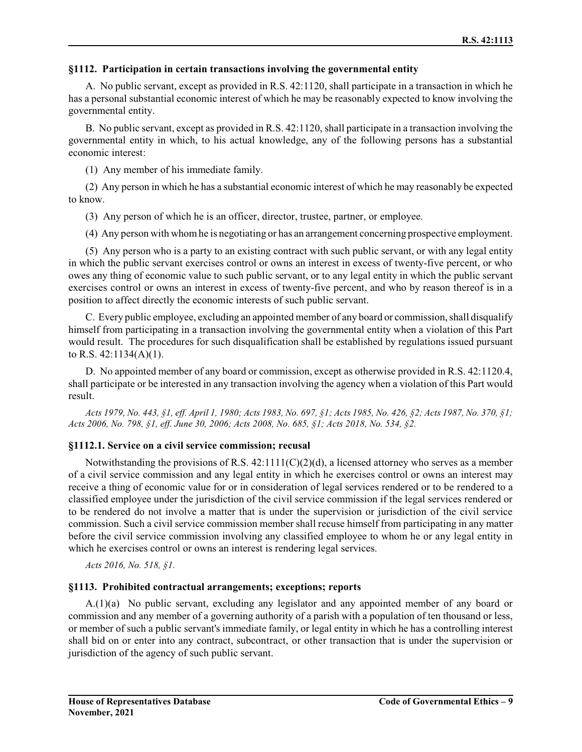#### **§1112. Participation in certain transactions involving the governmental entity**

A. No public servant, except as provided in R.S. 42:1120, shall participate in a transaction in which he has a personal substantial economic interest of which he may be reasonably expected to know involving the governmental entity.

B. No public servant, except as provided in R.S. 42:1120, shall participate in a transaction involving the governmental entity in which, to his actual knowledge, any of the following persons has a substantial economic interest:

(1) Any member of his immediate family.

(2) Any person in which he has a substantial economic interest of which he may reasonably be expected to know.

(3) Any person of which he is an officer, director, trustee, partner, or employee.

(4) Any person with whomhe is negotiating or has an arrangement concerning prospective employment.

(5) Any person who is a party to an existing contract with such public servant, or with any legal entity in which the public servant exercises control or owns an interest in excess of twenty-five percent, or who owes any thing of economic value to such public servant, or to any legal entity in which the public servant exercises control or owns an interest in excess of twenty-five percent, and who by reason thereof is in a position to affect directly the economic interests of such public servant.

C. Every public employee, excluding an appointed member of any board or commission, shall disqualify himself from participating in a transaction involving the governmental entity when a violation of this Part would result. The procedures for such disqualification shall be established by regulations issued pursuant to R.S. 42:1134(A)(1).

D. No appointed member of any board or commission, except as otherwise provided in R.S. 42:1120.4, shall participate or be interested in any transaction involving the agency when a violation of this Part would result.

*Acts 1979, No. 443, §1, eff. April 1, 1980; Acts 1983, No. 697, §1; Acts 1985, No. 426, §2; Acts 1987, No. 370, §1; Acts 2006, No. 798, §1, eff. June 30, 2006; Acts 2008, No. 685, §1; Acts 2018, No. 534, §2.*

#### **§1112.1. Service on a civil service commission; recusal**

Notwithstanding the provisions of R.S.  $42:1111(C)(2)(d)$ , a licensed attorney who serves as a member of a civil service commission and any legal entity in which he exercises control or owns an interest may receive a thing of economic value for or in consideration of legal services rendered or to be rendered to a classified employee under the jurisdiction of the civil service commission if the legal services rendered or to be rendered do not involve a matter that is under the supervision or jurisdiction of the civil service commission. Such a civil service commission member shall recuse himself from participating in any matter before the civil service commission involving any classified employee to whom he or any legal entity in which he exercises control or owns an interest is rendering legal services.

*Acts 2016, No. 518, §1.*

#### **§1113. Prohibited contractual arrangements; exceptions; reports**

A.(1)(a) No public servant, excluding any legislator and any appointed member of any board or commission and any member of a governing authority of a parish with a population of ten thousand or less, or member of such a public servant's immediate family, or legal entity in which he has a controlling interest shall bid on or enter into any contract, subcontract, or other transaction that is under the supervision or jurisdiction of the agency of such public servant.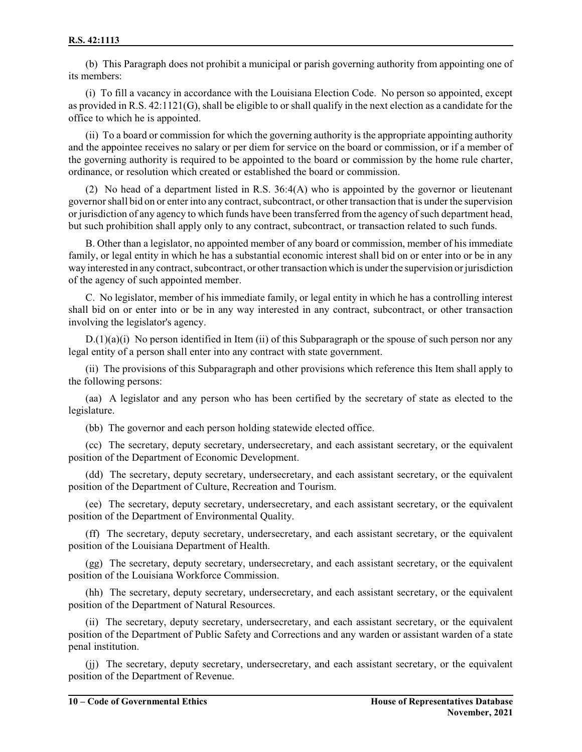(b) This Paragraph does not prohibit a municipal or parish governing authority from appointing one of its members:

(i) To fill a vacancy in accordance with the Louisiana Election Code. No person so appointed, except as provided in R.S. 42:1121(G), shall be eligible to or shall qualify in the next election as a candidate for the office to which he is appointed.

(ii) To a board or commission for which the governing authority is the appropriate appointing authority and the appointee receives no salary or per diem for service on the board or commission, or if a member of the governing authority is required to be appointed to the board or commission by the home rule charter, ordinance, or resolution which created or established the board or commission.

(2) No head of a department listed in R.S. 36:4(A) who is appointed by the governor or lieutenant governorshall bid on or enter into any contract, subcontract, or other transaction that is under the supervision or jurisdiction of any agency to which funds have been transferred from the agency of such department head, but such prohibition shall apply only to any contract, subcontract, or transaction related to such funds.

B. Other than a legislator, no appointed member of any board or commission, member of his immediate family, or legal entity in which he has a substantial economic interest shall bid on or enter into or be in any way interested in any contract, subcontract, or othertransaction which is under the supervision orjurisdiction of the agency of such appointed member.

C. No legislator, member of his immediate family, or legal entity in which he has a controlling interest shall bid on or enter into or be in any way interested in any contract, subcontract, or other transaction involving the legislator's agency.

D.(1)(a)(i) No person identified in Item (ii) of this Subparagraph or the spouse of such person nor any legal entity of a person shall enter into any contract with state government.

(ii) The provisions of this Subparagraph and other provisions which reference this Item shall apply to the following persons:

(aa) A legislator and any person who has been certified by the secretary of state as elected to the legislature.

(bb) The governor and each person holding statewide elected office.

(cc) The secretary, deputy secretary, undersecretary, and each assistant secretary, or the equivalent position of the Department of Economic Development.

(dd) The secretary, deputy secretary, undersecretary, and each assistant secretary, or the equivalent position of the Department of Culture, Recreation and Tourism.

(ee) The secretary, deputy secretary, undersecretary, and each assistant secretary, or the equivalent position of the Department of Environmental Quality.

(ff) The secretary, deputy secretary, undersecretary, and each assistant secretary, or the equivalent position of the Louisiana Department of Health.

(gg) The secretary, deputy secretary, undersecretary, and each assistant secretary, or the equivalent position of the Louisiana Workforce Commission.

(hh) The secretary, deputy secretary, undersecretary, and each assistant secretary, or the equivalent position of the Department of Natural Resources.

(ii) The secretary, deputy secretary, undersecretary, and each assistant secretary, or the equivalent position of the Department of Public Safety and Corrections and any warden or assistant warden of a state penal institution.

(jj) The secretary, deputy secretary, undersecretary, and each assistant secretary, or the equivalent position of the Department of Revenue.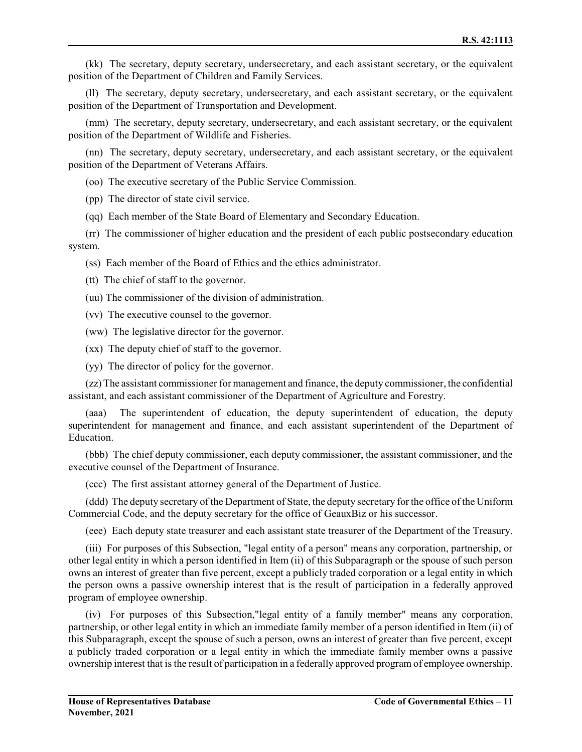(kk) The secretary, deputy secretary, undersecretary, and each assistant secretary, or the equivalent position of the Department of Children and Family Services.

(ll) The secretary, deputy secretary, undersecretary, and each assistant secretary, or the equivalent position of the Department of Transportation and Development.

(mm) The secretary, deputy secretary, undersecretary, and each assistant secretary, or the equivalent position of the Department of Wildlife and Fisheries.

(nn) The secretary, deputy secretary, undersecretary, and each assistant secretary, or the equivalent position of the Department of Veterans Affairs.

- (oo) The executive secretary of the Public Service Commission.
- (pp) The director of state civil service.
- (qq) Each member of the State Board of Elementary and Secondary Education.

(rr) The commissioner of higher education and the president of each public postsecondary education system.

(ss) Each member of the Board of Ethics and the ethics administrator.

- (tt) The chief of staff to the governor.
- (uu) The commissioner of the division of administration.
- (vv) The executive counsel to the governor.
- (ww) The legislative director for the governor.
- (xx) The deputy chief of staff to the governor.
- (yy) The director of policy for the governor.

(zz) The assistant commissioner for management and finance, the deputy commissioner, the confidential assistant, and each assistant commissioner of the Department of Agriculture and Forestry.

The superintendent of education, the deputy superintendent of education, the deputy superintendent for management and finance, and each assistant superintendent of the Department of Education.

(bbb) The chief deputy commissioner, each deputy commissioner, the assistant commissioner, and the executive counsel of the Department of Insurance.

(ccc) The first assistant attorney general of the Department of Justice.

(ddd) The deputy secretary of the Department of State, the deputy secretary for the office of the Uniform Commercial Code, and the deputy secretary for the office of GeauxBiz or his successor.

(eee) Each deputy state treasurer and each assistant state treasurer of the Department of the Treasury.

(iii) For purposes of this Subsection, "legal entity of a person" means any corporation, partnership, or other legal entity in which a person identified in Item (ii) of this Subparagraph or the spouse of such person owns an interest of greater than five percent, except a publicly traded corporation or a legal entity in which the person owns a passive ownership interest that is the result of participation in a federally approved program of employee ownership.

(iv) For purposes of this Subsection,"legal entity of a family member" means any corporation, partnership, or other legal entity in which an immediate family member of a person identified in Item (ii) of this Subparagraph, except the spouse of such a person, owns an interest of greater than five percent, except a publicly traded corporation or a legal entity in which the immediate family member owns a passive ownership interest that is the result of participation in a federally approved program of employee ownership.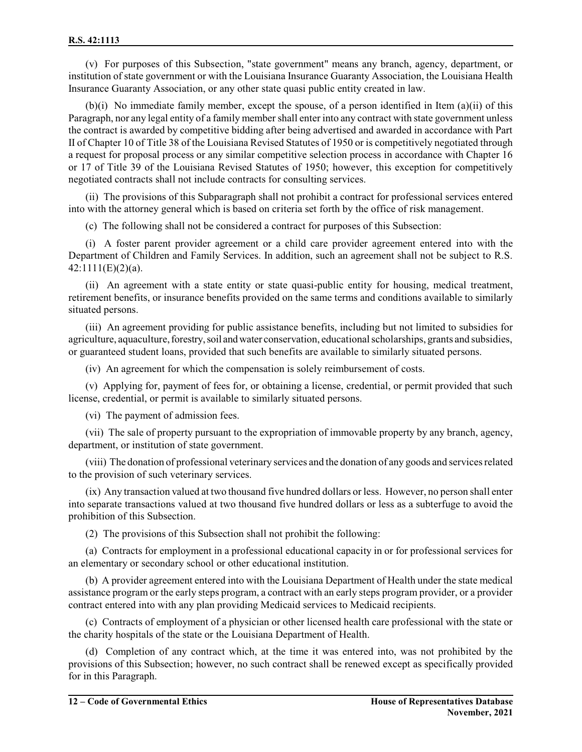(v) For purposes of this Subsection, "state government" means any branch, agency, department, or institution of state government or with the Louisiana Insurance Guaranty Association, the Louisiana Health Insurance Guaranty Association, or any other state quasi public entity created in law.

(b)(i) No immediate family member, except the spouse, of a person identified in Item (a)(ii) of this Paragraph, nor any legal entity of a family membershall enter into any contract with state government unless the contract is awarded by competitive bidding after being advertised and awarded in accordance with Part II of Chapter 10 of Title 38 of the Louisiana Revised Statutes of 1950 or is competitively negotiated through a request for proposal process or any similar competitive selection process in accordance with Chapter 16 or 17 of Title 39 of the Louisiana Revised Statutes of 1950; however, this exception for competitively negotiated contracts shall not include contracts for consulting services.

(ii) The provisions of this Subparagraph shall not prohibit a contract for professional services entered into with the attorney general which is based on criteria set forth by the office of risk management.

(c) The following shall not be considered a contract for purposes of this Subsection:

(i) A foster parent provider agreement or a child care provider agreement entered into with the Department of Children and Family Services. In addition, such an agreement shall not be subject to R.S. 42:1111(E)(2)(a).

(ii) An agreement with a state entity or state quasi-public entity for housing, medical treatment, retirement benefits, or insurance benefits provided on the same terms and conditions available to similarly situated persons.

(iii) An agreement providing for public assistance benefits, including but not limited to subsidies for agriculture, aquaculture, forestry, soil and water conservation, educational scholarships, grants and subsidies, or guaranteed student loans, provided that such benefits are available to similarly situated persons.

(iv) An agreement for which the compensation is solely reimbursement of costs.

(v) Applying for, payment of fees for, or obtaining a license, credential, or permit provided that such license, credential, or permit is available to similarly situated persons.

(vi) The payment of admission fees.

(vii) The sale of property pursuant to the expropriation of immovable property by any branch, agency, department, or institution of state government.

(viii) The donation of professional veterinary services and the donation of any goods and services related to the provision of such veterinary services.

(ix) Any transaction valued at two thousand five hundred dollars or less. However, no person shall enter into separate transactions valued at two thousand five hundred dollars or less as a subterfuge to avoid the prohibition of this Subsection.

(2) The provisions of this Subsection shall not prohibit the following:

(a) Contracts for employment in a professional educational capacity in or for professional services for an elementary or secondary school or other educational institution.

(b) A provider agreement entered into with the Louisiana Department of Health under the state medical assistance program or the early steps program, a contract with an early steps program provider, or a provider contract entered into with any plan providing Medicaid services to Medicaid recipients.

(c) Contracts of employment of a physician or other licensed health care professional with the state or the charity hospitals of the state or the Louisiana Department of Health.

(d) Completion of any contract which, at the time it was entered into, was not prohibited by the provisions of this Subsection; however, no such contract shall be renewed except as specifically provided for in this Paragraph.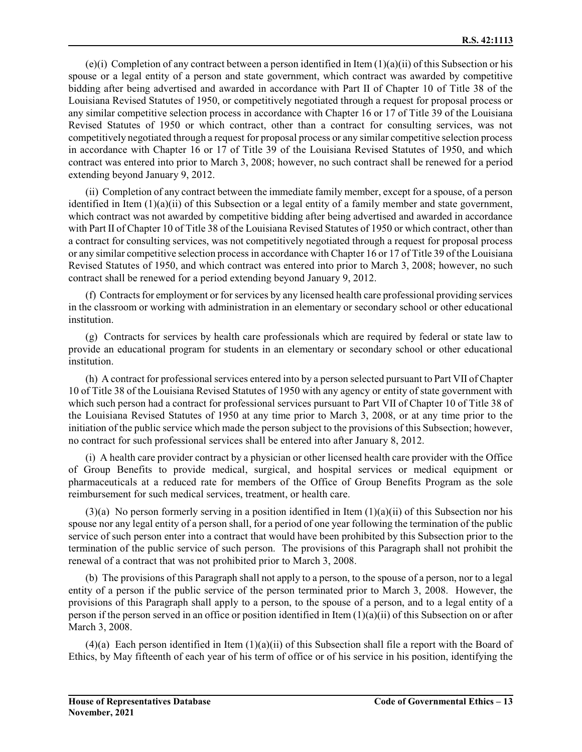$(e)(i)$  Completion of any contract between a person identified in Item  $(1)(a)(ii)$  of this Subsection or his spouse or a legal entity of a person and state government, which contract was awarded by competitive bidding after being advertised and awarded in accordance with Part II of Chapter 10 of Title 38 of the Louisiana Revised Statutes of 1950, or competitively negotiated through a request for proposal process or any similar competitive selection process in accordance with Chapter 16 or 17 of Title 39 of the Louisiana Revised Statutes of 1950 or which contract, other than a contract for consulting services, was not competitively negotiated through a request for proposal process or any similar competitive selection process in accordance with Chapter 16 or 17 of Title 39 of the Louisiana Revised Statutes of 1950, and which contract was entered into prior to March 3, 2008; however, no such contract shall be renewed for a period extending beyond January 9, 2012.

(ii) Completion of any contract between the immediate family member, except for a spouse, of a person identified in Item (1)(a)(ii) of this Subsection or a legal entity of a family member and state government, which contract was not awarded by competitive bidding after being advertised and awarded in accordance with Part II of Chapter 10 of Title 38 of the Louisiana Revised Statutes of 1950 or which contract, other than a contract for consulting services, was not competitively negotiated through a request for proposal process or any similar competitive selection process in accordance with Chapter 16 or 17 of Title 39 of the Louisiana Revised Statutes of 1950, and which contract was entered into prior to March 3, 2008; however, no such contract shall be renewed for a period extending beyond January 9, 2012.

(f) Contracts for employment or forservices by any licensed health care professional providing services in the classroom or working with administration in an elementary or secondary school or other educational institution.

(g) Contracts for services by health care professionals which are required by federal or state law to provide an educational program for students in an elementary or secondary school or other educational institution.

(h) A contract for professional services entered into by a person selected pursuant to Part VII of Chapter 10 of Title 38 of the Louisiana Revised Statutes of 1950 with any agency or entity of state government with which such person had a contract for professional services pursuant to Part VII of Chapter 10 of Title 38 of the Louisiana Revised Statutes of 1950 at any time prior to March 3, 2008, or at any time prior to the initiation of the public service which made the person subject to the provisions of this Subsection; however, no contract for such professional services shall be entered into after January 8, 2012.

(i) A health care provider contract by a physician or other licensed health care provider with the Office of Group Benefits to provide medical, surgical, and hospital services or medical equipment or pharmaceuticals at a reduced rate for members of the Office of Group Benefits Program as the sole reimbursement for such medical services, treatment, or health care.

 $(3)(a)$  No person formerly serving in a position identified in Item  $(1)(a)(ii)$  of this Subsection nor his spouse nor any legal entity of a person shall, for a period of one year following the termination of the public service of such person enter into a contract that would have been prohibited by this Subsection prior to the termination of the public service of such person. The provisions of this Paragraph shall not prohibit the renewal of a contract that was not prohibited prior to March 3, 2008.

(b) The provisions of this Paragraph shall not apply to a person, to the spouse of a person, nor to a legal entity of a person if the public service of the person terminated prior to March 3, 2008. However, the provisions of this Paragraph shall apply to a person, to the spouse of a person, and to a legal entity of a person if the person served in an office or position identified in Item  $(1)(a)(ii)$  of this Subsection on or after March 3, 2008.

 $(4)(a)$  Each person identified in Item  $(1)(a)(ii)$  of this Subsection shall file a report with the Board of Ethics, by May fifteenth of each year of his term of office or of his service in his position, identifying the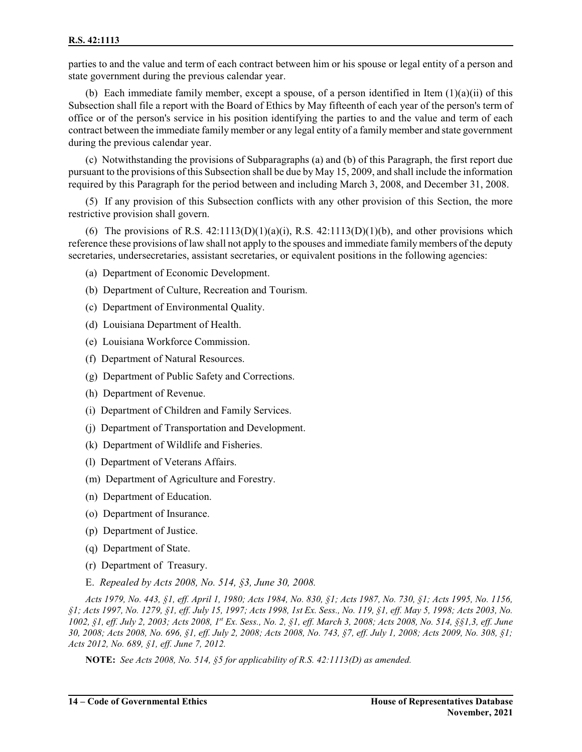parties to and the value and term of each contract between him or his spouse or legal entity of a person and state government during the previous calendar year.

(b) Each immediate family member, except a spouse, of a person identified in Item  $(1)(a)(ii)$  of this Subsection shall file a report with the Board of Ethics by May fifteenth of each year of the person's term of office or of the person's service in his position identifying the parties to and the value and term of each contract between the immediate family member or any legal entity of a family member and state government during the previous calendar year.

(c) Notwithstanding the provisions of Subparagraphs (a) and (b) of this Paragraph, the first report due pursuant to the provisions of this Subsection shall be due by May 15, 2009, and shall include the information required by this Paragraph for the period between and including March 3, 2008, and December 31, 2008.

(5) If any provision of this Subsection conflicts with any other provision of this Section, the more restrictive provision shall govern.

(6) The provisions of R.S.  $42:1113(D)(1)(a)(i)$ , R.S.  $42:1113(D)(1)(b)$ , and other provisions which reference these provisions of law shall not apply to the spouses and immediate family members of the deputy secretaries, undersecretaries, assistant secretaries, or equivalent positions in the following agencies:

- (a) Department of Economic Development.
- (b) Department of Culture, Recreation and Tourism.
- (c) Department of Environmental Quality.
- (d) Louisiana Department of Health.
- (e) Louisiana Workforce Commission.
- (f) Department of Natural Resources.
- (g) Department of Public Safety and Corrections.
- (h) Department of Revenue.
- (i) Department of Children and Family Services.
- (j) Department of Transportation and Development.
- (k) Department of Wildlife and Fisheries.
- (l) Department of Veterans Affairs.
- (m) Department of Agriculture and Forestry.
- (n) Department of Education.
- (o) Department of Insurance.
- (p) Department of Justice.
- (q) Department of State.
- (r) Department of Treasury.
- E. *Repealed by Acts 2008, No. 514, §3, June 30, 2008.*

*Acts 1979, No. 443, §1, eff. April 1, 1980; Acts 1984, No. 830, §1; Acts 1987, No. 730, §1; Acts 1995, No. 1156, §1; Acts 1997, No. 1279, §1, eff. July 15, 1997; Acts 1998, 1st Ex. Sess., No. 119, §1, eff. May 5, 1998; Acts 2003, No.* 1002, §1, eff. July 2, 2003; Acts 2008, 1<sup>st</sup> Ex. Sess., No. 2, §1, eff. March 3, 2008; Acts 2008, No. 514, §§1,3, eff. June *30, 2008; Acts 2008, No. 696, §1, eff. July 2, 2008; Acts 2008, No. 743, §7, eff. July 1, 2008; Acts 2009, No. 308, §1; Acts 2012, No. 689, §1, eff. June 7, 2012.*

**NOTE:** *See Acts 2008, No. 514, §5 for applicability of R.S. 42:1113(D) as amended.*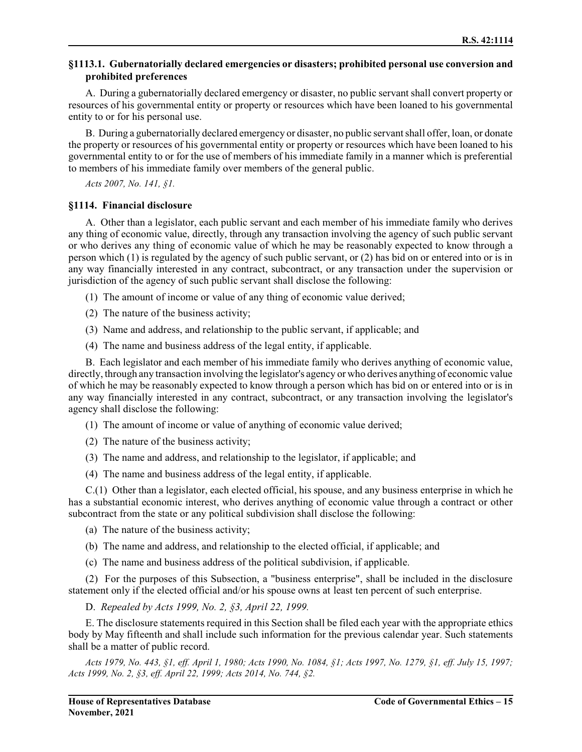#### **§1113.1. Gubernatorially declared emergencies or disasters; prohibited personal use conversion and prohibited preferences**

A. During a gubernatorially declared emergency or disaster, no public servant shall convert property or resources of his governmental entity or property or resources which have been loaned to his governmental entity to or for his personal use.

B. During a gubernatorially declared emergency or disaster, no public servantshall offer, loan, or donate the property or resources of his governmental entity or property or resources which have been loaned to his governmental entity to or for the use of members of his immediate family in a manner which is preferential to members of his immediate family over members of the general public.

*Acts 2007, No. 141, §1.*

#### **§1114. Financial disclosure**

A. Other than a legislator, each public servant and each member of his immediate family who derives any thing of economic value, directly, through any transaction involving the agency of such public servant or who derives any thing of economic value of which he may be reasonably expected to know through a person which (1) is regulated by the agency of such public servant, or (2) has bid on or entered into or is in any way financially interested in any contract, subcontract, or any transaction under the supervision or jurisdiction of the agency of such public servant shall disclose the following:

- (1) The amount of income or value of any thing of economic value derived;
- (2) The nature of the business activity;
- (3) Name and address, and relationship to the public servant, if applicable; and
- (4) The name and business address of the legal entity, if applicable.

B. Each legislator and each member of his immediate family who derives anything of economic value, directly, through any transaction involving the legislator's agency or who derives anything of economic value of which he may be reasonably expected to know through a person which has bid on or entered into or is in any way financially interested in any contract, subcontract, or any transaction involving the legislator's agency shall disclose the following:

- (1) The amount of income or value of anything of economic value derived;
- (2) The nature of the business activity;
- (3) The name and address, and relationship to the legislator, if applicable; and
- (4) The name and business address of the legal entity, if applicable.

C.(1) Other than a legislator, each elected official, his spouse, and any business enterprise in which he has a substantial economic interest, who derives anything of economic value through a contract or other subcontract from the state or any political subdivision shall disclose the following:

- (a) The nature of the business activity;
- (b) The name and address, and relationship to the elected official, if applicable; and
- (c) The name and business address of the political subdivision, if applicable.

(2) For the purposes of this Subsection, a "business enterprise", shall be included in the disclosure statement only if the elected official and/or his spouse owns at least ten percent of such enterprise.

D. *Repealed by Acts 1999, No. 2, §3, April 22, 1999.*

E. The disclosure statements required in this Section shall be filed each year with the appropriate ethics body by May fifteenth and shall include such information for the previous calendar year. Such statements shall be a matter of public record.

*Acts 1979, No. 443, §1, eff. April 1, 1980; Acts 1990, No. 1084, §1; Acts 1997, No. 1279, §1, eff. July 15, 1997; Acts 1999, No. 2, §3, eff. April 22, 1999; Acts 2014, No. 744, §2.*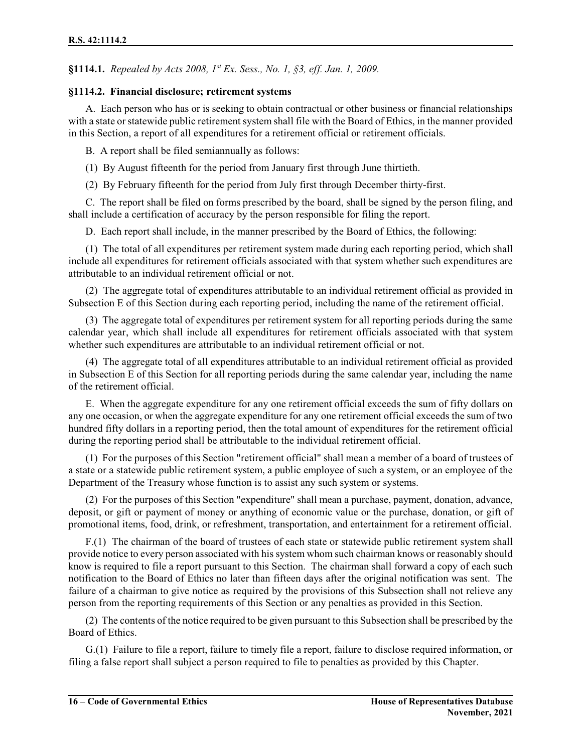**§1114.1.** *Repealed by Acts 2008, 1st Ex. Sess., No. 1, §3, eff. Jan. 1, 2009.*

#### **§1114.2. Financial disclosure; retirement systems**

A. Each person who has or is seeking to obtain contractual or other business or financial relationships with a state or statewide public retirement system shall file with the Board of Ethics, in the manner provided in this Section, a report of all expenditures for a retirement official or retirement officials.

B. A report shall be filed semiannually as follows:

(1) By August fifteenth for the period from January first through June thirtieth.

(2) By February fifteenth for the period from July first through December thirty-first.

C. The report shall be filed on forms prescribed by the board, shall be signed by the person filing, and shall include a certification of accuracy by the person responsible for filing the report.

D. Each report shall include, in the manner prescribed by the Board of Ethics, the following:

(1) The total of all expenditures per retirement system made during each reporting period, which shall include all expenditures for retirement officials associated with that system whether such expenditures are attributable to an individual retirement official or not.

(2) The aggregate total of expenditures attributable to an individual retirement official as provided in Subsection E of this Section during each reporting period, including the name of the retirement official.

(3) The aggregate total of expenditures per retirement system for all reporting periods during the same calendar year, which shall include all expenditures for retirement officials associated with that system whether such expenditures are attributable to an individual retirement official or not.

(4) The aggregate total of all expenditures attributable to an individual retirement official as provided in Subsection E of this Section for all reporting periods during the same calendar year, including the name of the retirement official.

E. When the aggregate expenditure for any one retirement official exceeds the sum of fifty dollars on any one occasion, or when the aggregate expenditure for any one retirement official exceeds the sum of two hundred fifty dollars in a reporting period, then the total amount of expenditures for the retirement official during the reporting period shall be attributable to the individual retirement official.

(1) For the purposes of this Section "retirement official" shall mean a member of a board of trustees of a state or a statewide public retirement system, a public employee of such a system, or an employee of the Department of the Treasury whose function is to assist any such system or systems.

(2) For the purposes of this Section "expenditure" shall mean a purchase, payment, donation, advance, deposit, or gift or payment of money or anything of economic value or the purchase, donation, or gift of promotional items, food, drink, or refreshment, transportation, and entertainment for a retirement official.

F.(1) The chairman of the board of trustees of each state or statewide public retirement system shall provide notice to every person associated with his system whom such chairman knows or reasonably should know is required to file a report pursuant to this Section. The chairman shall forward a copy of each such notification to the Board of Ethics no later than fifteen days after the original notification was sent. The failure of a chairman to give notice as required by the provisions of this Subsection shall not relieve any person from the reporting requirements of this Section or any penalties as provided in this Section.

(2) The contents of the notice required to be given pursuant to this Subsection shall be prescribed by the Board of Ethics.

G.(1) Failure to file a report, failure to timely file a report, failure to disclose required information, or filing a false report shall subject a person required to file to penalties as provided by this Chapter.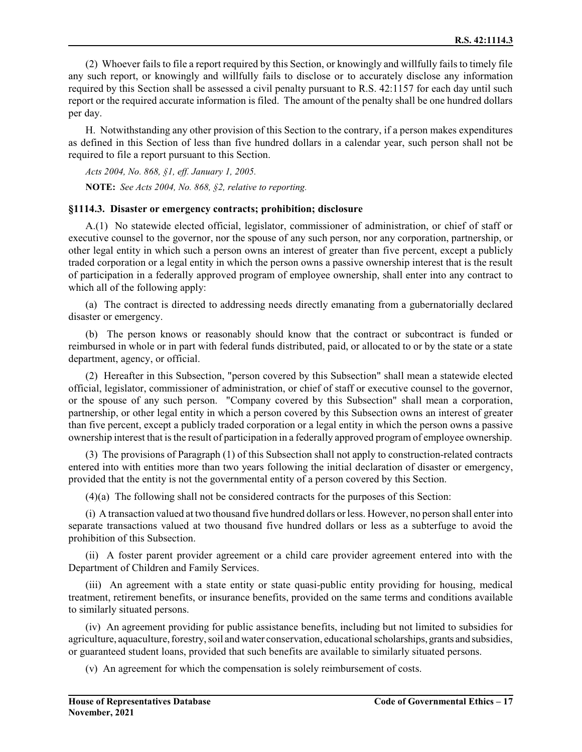(2) Whoever fails to file a report required by this Section, or knowingly and willfully fails to timely file any such report, or knowingly and willfully fails to disclose or to accurately disclose any information required by this Section shall be assessed a civil penalty pursuant to R.S. 42:1157 for each day until such report or the required accurate information is filed. The amount of the penalty shall be one hundred dollars per day.

H. Notwithstanding any other provision of this Section to the contrary, if a person makes expenditures as defined in this Section of less than five hundred dollars in a calendar year, such person shall not be required to file a report pursuant to this Section.

*Acts 2004, No. 868, §1, eff. January 1, 2005.* **NOTE:** *See Acts 2004, No. 868, §2, relative to reporting.*

#### **§1114.3. Disaster or emergency contracts; prohibition; disclosure**

A.(1) No statewide elected official, legislator, commissioner of administration, or chief of staff or executive counsel to the governor, nor the spouse of any such person, nor any corporation, partnership, or other legal entity in which such a person owns an interest of greater than five percent, except a publicly traded corporation or a legal entity in which the person owns a passive ownership interest that is the result of participation in a federally approved program of employee ownership, shall enter into any contract to which all of the following apply:

(a) The contract is directed to addressing needs directly emanating from a gubernatorially declared disaster or emergency.

(b) The person knows or reasonably should know that the contract or subcontract is funded or reimbursed in whole or in part with federal funds distributed, paid, or allocated to or by the state or a state department, agency, or official.

(2) Hereafter in this Subsection, "person covered by this Subsection" shall mean a statewide elected official, legislator, commissioner of administration, or chief of staff or executive counsel to the governor, or the spouse of any such person. "Company covered by this Subsection" shall mean a corporation, partnership, or other legal entity in which a person covered by this Subsection owns an interest of greater than five percent, except a publicly traded corporation or a legal entity in which the person owns a passive ownership interest that is the result of participation in a federally approved program of employee ownership.

(3) The provisions of Paragraph (1) of this Subsection shall not apply to construction-related contracts entered into with entities more than two years following the initial declaration of disaster or emergency, provided that the entity is not the governmental entity of a person covered by this Section.

(4)(a) The following shall not be considered contracts for the purposes of this Section:

(i) A transaction valued at two thousand five hundred dollars or less. However, no person shall enter into separate transactions valued at two thousand five hundred dollars or less as a subterfuge to avoid the prohibition of this Subsection.

(ii) A foster parent provider agreement or a child care provider agreement entered into with the Department of Children and Family Services.

(iii) An agreement with a state entity or state quasi-public entity providing for housing, medical treatment, retirement benefits, or insurance benefits, provided on the same terms and conditions available to similarly situated persons.

(iv) An agreement providing for public assistance benefits, including but not limited to subsidies for agriculture, aquaculture, forestry, soil and water conservation, educationalscholarships, grants and subsidies, or guaranteed student loans, provided that such benefits are available to similarly situated persons.

(v) An agreement for which the compensation is solely reimbursement of costs.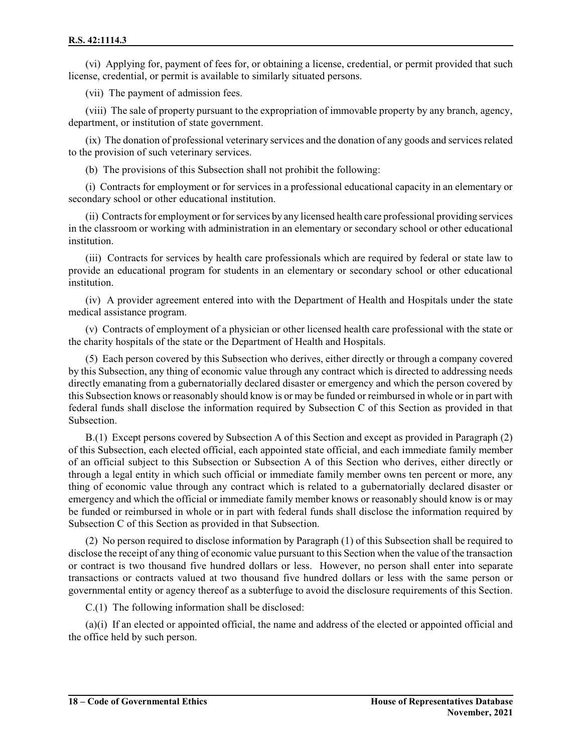(vi) Applying for, payment of fees for, or obtaining a license, credential, or permit provided that such license, credential, or permit is available to similarly situated persons.

(vii) The payment of admission fees.

(viii) The sale of property pursuant to the expropriation of immovable property by any branch, agency, department, or institution of state government.

(ix) The donation of professional veterinary services and the donation of any goods and services related to the provision of such veterinary services.

(b) The provisions of this Subsection shall not prohibit the following:

(i) Contracts for employment or for services in a professional educational capacity in an elementary or secondary school or other educational institution.

(ii) Contracts for employment or forservices by any licensed health care professional providing services in the classroom or working with administration in an elementary or secondary school or other educational institution.

(iii) Contracts for services by health care professionals which are required by federal or state law to provide an educational program for students in an elementary or secondary school or other educational institution.

(iv) A provider agreement entered into with the Department of Health and Hospitals under the state medical assistance program.

(v) Contracts of employment of a physician or other licensed health care professional with the state or the charity hospitals of the state or the Department of Health and Hospitals.

(5) Each person covered by this Subsection who derives, either directly or through a company covered by this Subsection, any thing of economic value through any contract which is directed to addressing needs directly emanating from a gubernatorially declared disaster or emergency and which the person covered by this Subsection knows or reasonably should know is or may be funded or reimbursed in whole or in part with federal funds shall disclose the information required by Subsection C of this Section as provided in that Subsection.

B.(1) Except persons covered by Subsection A of this Section and except as provided in Paragraph (2) of this Subsection, each elected official, each appointed state official, and each immediate family member of an official subject to this Subsection or Subsection A of this Section who derives, either directly or through a legal entity in which such official or immediate family member owns ten percent or more, any thing of economic value through any contract which is related to a gubernatorially declared disaster or emergency and which the official or immediate family member knows or reasonably should know is or may be funded or reimbursed in whole or in part with federal funds shall disclose the information required by Subsection C of this Section as provided in that Subsection.

(2) No person required to disclose information by Paragraph (1) of this Subsection shall be required to disclose the receipt of any thing of economic value pursuant to this Section when the value of the transaction or contract is two thousand five hundred dollars or less. However, no person shall enter into separate transactions or contracts valued at two thousand five hundred dollars or less with the same person or governmental entity or agency thereof as a subterfuge to avoid the disclosure requirements of this Section.

C.(1) The following information shall be disclosed:

(a)(i) If an elected or appointed official, the name and address of the elected or appointed official and the office held by such person.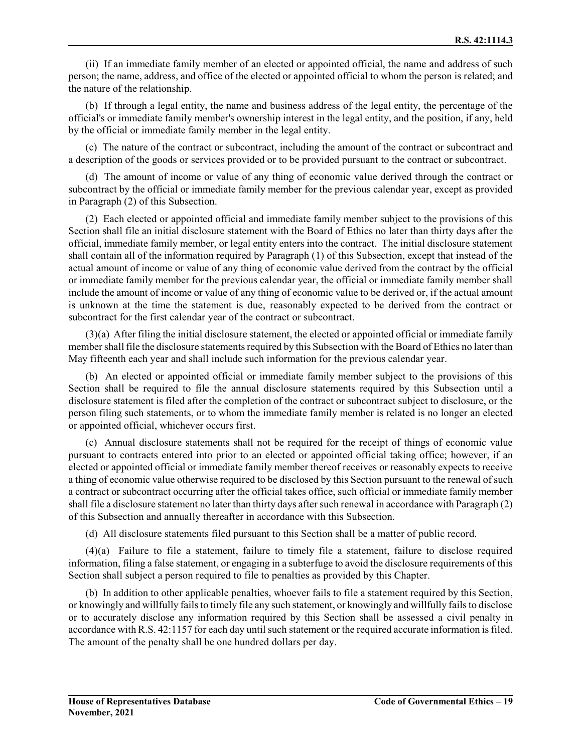(ii) If an immediate family member of an elected or appointed official, the name and address of such person; the name, address, and office of the elected or appointed official to whom the person is related; and the nature of the relationship.

(b) If through a legal entity, the name and business address of the legal entity, the percentage of the official's or immediate family member's ownership interest in the legal entity, and the position, if any, held by the official or immediate family member in the legal entity.

(c) The nature of the contract or subcontract, including the amount of the contract or subcontract and a description of the goods or services provided or to be provided pursuant to the contract or subcontract.

(d) The amount of income or value of any thing of economic value derived through the contract or subcontract by the official or immediate family member for the previous calendar year, except as provided in Paragraph (2) of this Subsection.

(2) Each elected or appointed official and immediate family member subject to the provisions of this Section shall file an initial disclosure statement with the Board of Ethics no later than thirty days after the official, immediate family member, or legal entity enters into the contract. The initial disclosure statement shall contain all of the information required by Paragraph (1) of this Subsection, except that instead of the actual amount of income or value of any thing of economic value derived from the contract by the official or immediate family member for the previous calendar year, the official or immediate family member shall include the amount of income or value of any thing of economic value to be derived or, if the actual amount is unknown at the time the statement is due, reasonably expected to be derived from the contract or subcontract for the first calendar year of the contract or subcontract.

(3)(a) After filing the initial disclosure statement, the elected or appointed official or immediate family member shall file the disclosure statements required by this Subsection with the Board of Ethics no later than May fifteenth each year and shall include such information for the previous calendar year.

(b) An elected or appointed official or immediate family member subject to the provisions of this Section shall be required to file the annual disclosure statements required by this Subsection until a disclosure statement is filed after the completion of the contract or subcontract subject to disclosure, or the person filing such statements, or to whom the immediate family member is related is no longer an elected or appointed official, whichever occurs first.

(c) Annual disclosure statements shall not be required for the receipt of things of economic value pursuant to contracts entered into prior to an elected or appointed official taking office; however, if an elected or appointed official or immediate family member thereof receives or reasonably expects to receive a thing of economic value otherwise required to be disclosed by this Section pursuant to the renewal of such a contract or subcontract occurring after the official takes office, such official or immediate family member shall file a disclosure statement no later than thirty days aftersuch renewal in accordance with Paragraph (2) of this Subsection and annually thereafter in accordance with this Subsection.

(d) All disclosure statements filed pursuant to this Section shall be a matter of public record.

(4)(a) Failure to file a statement, failure to timely file a statement, failure to disclose required information, filing a false statement, or engaging in a subterfuge to avoid the disclosure requirements of this Section shall subject a person required to file to penalties as provided by this Chapter.

(b) In addition to other applicable penalties, whoever fails to file a statement required by this Section, or knowingly and willfully fails to timely file any such statement, or knowingly and willfully fails to disclose or to accurately disclose any information required by this Section shall be assessed a civil penalty in accordance with R.S. 42:1157 for each day until such statement or the required accurate information is filed. The amount of the penalty shall be one hundred dollars per day.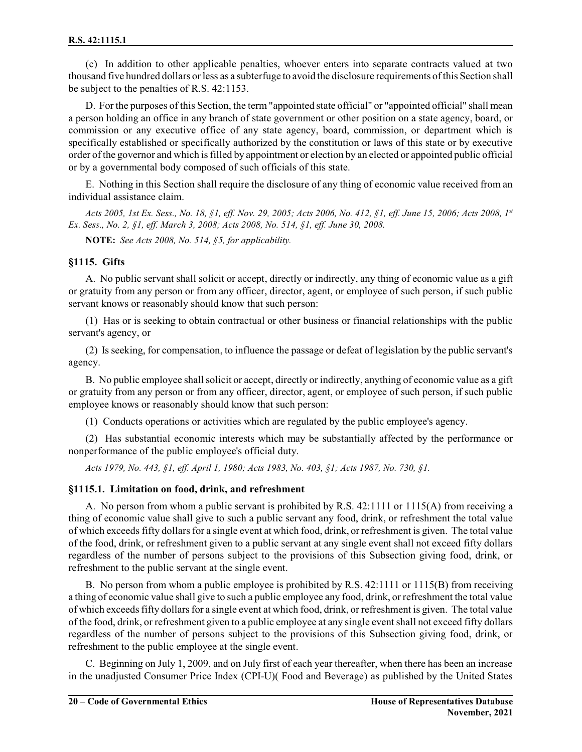(c) In addition to other applicable penalties, whoever enters into separate contracts valued at two thousand five hundred dollars orless as a subterfuge to avoid the disclosure requirements ofthis Section shall be subject to the penalties of R.S. 42:1153.

D. For the purposes of this Section, the term "appointed state official" or "appointed official" shall mean a person holding an office in any branch of state government or other position on a state agency, board, or commission or any executive office of any state agency, board, commission, or department which is specifically established or specifically authorized by the constitution or laws of this state or by executive order of the governor and which is filled by appointment or election by an elected or appointed public official or by a governmental body composed of such officials of this state.

E. Nothing in this Section shall require the disclosure of any thing of economic value received from an individual assistance claim.

*Acts 2005, 1st Ex. Sess., No. 18, §1, eff. Nov. 29, 2005; Acts 2006, No. 412, §1, eff. June 15, 2006; Acts 2008, 1 st Ex. Sess., No. 2, §1, eff. March 3, 2008; Acts 2008, No. 514, §1, eff. June 30, 2008.*

**NOTE:** *See Acts 2008, No. 514, §5, for applicability.*

#### **§1115. Gifts**

A. No public servant shall solicit or accept, directly or indirectly, any thing of economic value as a gift or gratuity from any person or from any officer, director, agent, or employee of such person, if such public servant knows or reasonably should know that such person:

(1) Has or is seeking to obtain contractual or other business or financial relationships with the public servant's agency, or

(2) Is seeking, for compensation, to influence the passage or defeat of legislation by the public servant's agency.

B. No public employee shall solicit or accept, directly or indirectly, anything of economic value as a gift or gratuity from any person or from any officer, director, agent, or employee of such person, if such public employee knows or reasonably should know that such person:

(1) Conducts operations or activities which are regulated by the public employee's agency.

(2) Has substantial economic interests which may be substantially affected by the performance or nonperformance of the public employee's official duty.

*Acts 1979, No. 443, §1, eff. April 1, 1980; Acts 1983, No. 403, §1; Acts 1987, No. 730, §1.*

#### **§1115.1. Limitation on food, drink, and refreshment**

A. No person from whom a public servant is prohibited by R.S. 42:1111 or 1115(A) from receiving a thing of economic value shall give to such a public servant any food, drink, or refreshment the total value of which exceeds fifty dollars for a single event at which food, drink, or refreshment is given. The total value of the food, drink, or refreshment given to a public servant at any single event shall not exceed fifty dollars regardless of the number of persons subject to the provisions of this Subsection giving food, drink, or refreshment to the public servant at the single event.

B. No person from whom a public employee is prohibited by R.S. 42:1111 or 1115(B) from receiving a thing of economic value shall give to such a public employee any food, drink, or refreshment the total value of which exceeds fifty dollars for a single event at which food, drink, or refreshment is given. The total value of the food, drink, or refreshment given to a public employee at any single eventshall not exceed fifty dollars regardless of the number of persons subject to the provisions of this Subsection giving food, drink, or refreshment to the public employee at the single event.

C. Beginning on July 1, 2009, and on July first of each year thereafter, when there has been an increase in the unadjusted Consumer Price Index (CPI-U)( Food and Beverage) as published by the United States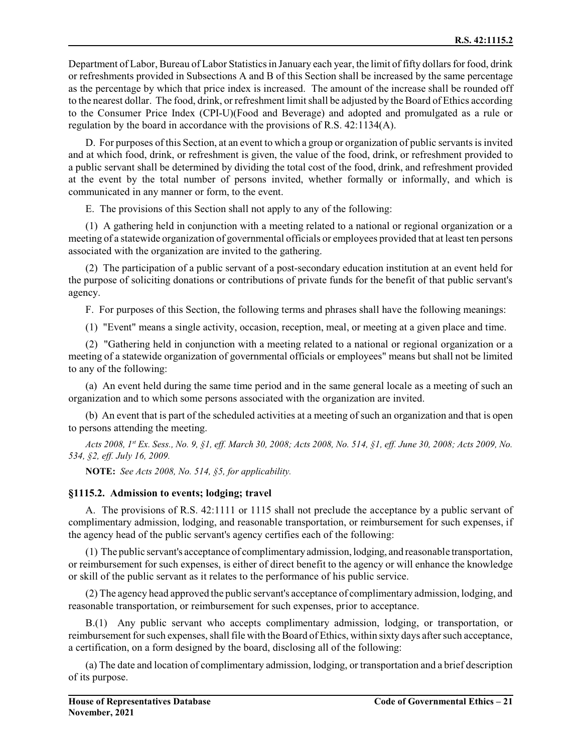Department of Labor, Bureau of Labor Statistics in January each year, the limit of fifty dollars for food, drink or refreshments provided in Subsections A and B of this Section shall be increased by the same percentage as the percentage by which that price index is increased. The amount of the increase shall be rounded off to the nearest dollar. The food, drink, or refreshment limit shall be adjusted by the Board of Ethics according to the Consumer Price Index (CPI-U)(Food and Beverage) and adopted and promulgated as a rule or regulation by the board in accordance with the provisions of R.S. 42:1134(A).

D. For purposes of this Section, at an event to which a group or organization of public servants is invited and at which food, drink, or refreshment is given, the value of the food, drink, or refreshment provided to a public servant shall be determined by dividing the total cost of the food, drink, and refreshment provided at the event by the total number of persons invited, whether formally or informally, and which is communicated in any manner or form, to the event.

E. The provisions of this Section shall not apply to any of the following:

(1) A gathering held in conjunction with a meeting related to a national or regional organization or a meeting of a statewide organization of governmental officials or employees provided that at least ten persons associated with the organization are invited to the gathering.

(2) The participation of a public servant of a post-secondary education institution at an event held for the purpose of soliciting donations or contributions of private funds for the benefit of that public servant's agency.

F. For purposes of this Section, the following terms and phrases shall have the following meanings:

(1) "Event" means a single activity, occasion, reception, meal, or meeting at a given place and time.

(2) "Gathering held in conjunction with a meeting related to a national or regional organization or a meeting of a statewide organization of governmental officials or employees" means but shall not be limited to any of the following:

(a) An event held during the same time period and in the same general locale as a meeting of such an organization and to which some persons associated with the organization are invited.

(b) An event that is part of the scheduled activities at a meeting of such an organization and that is open to persons attending the meeting.

*Acts 2008, 1 st Ex. Sess., No. 9, §1, eff. March 30, 2008; Acts 2008, No. 514, §1, eff. June 30, 2008; Acts 2009, No. 534, §2, eff. July 16, 2009.*

**NOTE:** *See Acts 2008, No. 514, §5, for applicability.*

#### **§1115.2. Admission to events; lodging; travel**

A. The provisions of R.S. 42:1111 or 1115 shall not preclude the acceptance by a public servant of complimentary admission, lodging, and reasonable transportation, or reimbursement for such expenses, if the agency head of the public servant's agency certifies each of the following:

(1) The public servant's acceptance of complimentary admission, lodging, and reasonable transportation, or reimbursement for such expenses, is either of direct benefit to the agency or will enhance the knowledge or skill of the public servant as it relates to the performance of his public service.

(2) The agency head approved the public servant's acceptance of complimentary admission, lodging, and reasonable transportation, or reimbursement for such expenses, prior to acceptance.

B.(1) Any public servant who accepts complimentary admission, lodging, or transportation, or reimbursement for such expenses, shall file with the Board of Ethics, within sixty days after such acceptance, a certification, on a form designed by the board, disclosing all of the following:

(a) The date and location of complimentary admission, lodging, or transportation and a brief description of its purpose.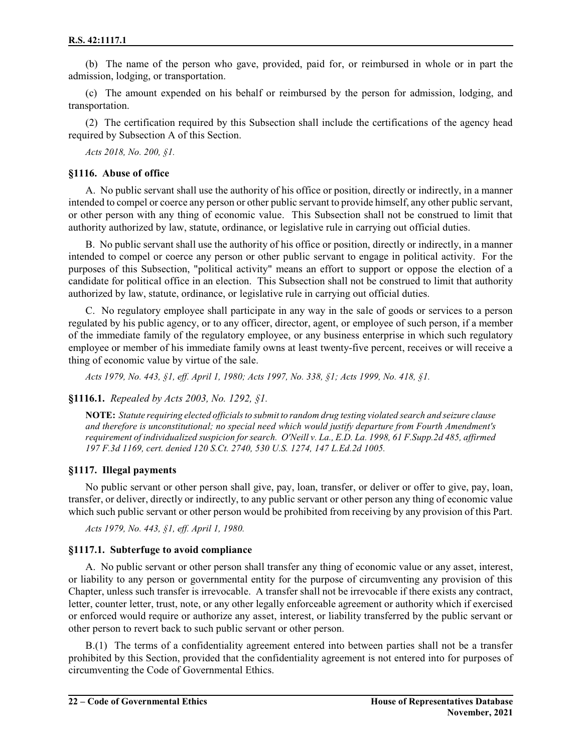(b) The name of the person who gave, provided, paid for, or reimbursed in whole or in part the admission, lodging, or transportation.

(c) The amount expended on his behalf or reimbursed by the person for admission, lodging, and transportation.

(2) The certification required by this Subsection shall include the certifications of the agency head required by Subsection A of this Section.

*Acts 2018, No. 200, §1.*

#### **§1116. Abuse of office**

A. No public servant shall use the authority of his office or position, directly or indirectly, in a manner intended to compel or coerce any person or other public servant to provide himself, any other public servant, or other person with any thing of economic value. This Subsection shall not be construed to limit that authority authorized by law, statute, ordinance, or legislative rule in carrying out official duties.

B. No public servant shall use the authority of his office or position, directly or indirectly, in a manner intended to compel or coerce any person or other public servant to engage in political activity. For the purposes of this Subsection, "political activity" means an effort to support or oppose the election of a candidate for political office in an election. This Subsection shall not be construed to limit that authority authorized by law, statute, ordinance, or legislative rule in carrying out official duties.

C. No regulatory employee shall participate in any way in the sale of goods or services to a person regulated by his public agency, or to any officer, director, agent, or employee of such person, if a member of the immediate family of the regulatory employee, or any business enterprise in which such regulatory employee or member of his immediate family owns at least twenty-five percent, receives or will receive a thing of economic value by virtue of the sale.

*Acts 1979, No. 443, §1, eff. April 1, 1980; Acts 1997, No. 338, §1; Acts 1999, No. 418, §1.*

#### **§1116.1.** *Repealed by Acts 2003, No. 1292, §1.*

**NOTE:** *Statute requiring elected officials to submit to random drug testing violated search and seizure clause and therefore is unconstitutional; no special need which would justify departure from Fourth Amendment's requirement of individualized suspicion for search. O'Neill v. La., E.D. La. 1998, 61 F.Supp.2d 485, affirmed 197 F.3d 1169, cert. denied 120 S.Ct. 2740, 530 U.S. 1274, 147 L.Ed.2d 1005.*

#### **§1117. Illegal payments**

No public servant or other person shall give, pay, loan, transfer, or deliver or offer to give, pay, loan, transfer, or deliver, directly or indirectly, to any public servant or other person any thing of economic value which such public servant or other person would be prohibited from receiving by any provision of this Part.

*Acts 1979, No. 443, §1, eff. April 1, 1980.*

#### **§1117.1. Subterfuge to avoid compliance**

A. No public servant or other person shall transfer any thing of economic value or any asset, interest, or liability to any person or governmental entity for the purpose of circumventing any provision of this Chapter, unless such transfer is irrevocable. A transfer shall not be irrevocable if there exists any contract, letter, counter letter, trust, note, or any other legally enforceable agreement or authority which if exercised or enforced would require or authorize any asset, interest, or liability transferred by the public servant or other person to revert back to such public servant or other person.

B.(1) The terms of a confidentiality agreement entered into between parties shall not be a transfer prohibited by this Section, provided that the confidentiality agreement is not entered into for purposes of circumventing the Code of Governmental Ethics.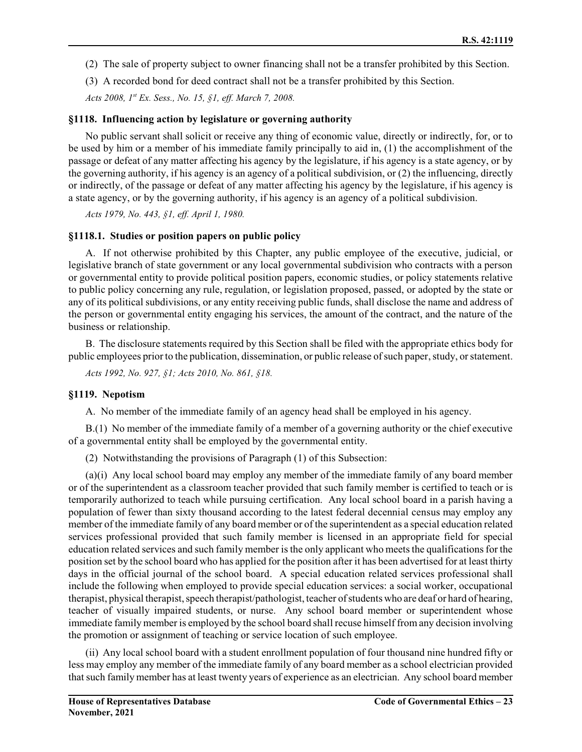- (2) The sale of property subject to owner financing shall not be a transfer prohibited by this Section.
- (3) A recorded bond for deed contract shall not be a transfer prohibited by this Section.

*Acts 2008, 1st Ex. Sess., No. 15, §1, eff. March 7, 2008.*

#### **§1118. Influencing action by legislature or governing authority**

No public servant shall solicit or receive any thing of economic value, directly or indirectly, for, or to be used by him or a member of his immediate family principally to aid in, (1) the accomplishment of the passage or defeat of any matter affecting his agency by the legislature, if his agency is a state agency, or by the governing authority, if his agency is an agency of a political subdivision, or (2) the influencing, directly or indirectly, of the passage or defeat of any matter affecting his agency by the legislature, if his agency is a state agency, or by the governing authority, if his agency is an agency of a political subdivision.

*Acts 1979, No. 443, §1, eff. April 1, 1980.*

#### **§1118.1. Studies or position papers on public policy**

A. If not otherwise prohibited by this Chapter, any public employee of the executive, judicial, or legislative branch of state government or any local governmental subdivision who contracts with a person or governmental entity to provide political position papers, economic studies, or policy statements relative to public policy concerning any rule, regulation, or legislation proposed, passed, or adopted by the state or any of its political subdivisions, or any entity receiving public funds, shall disclose the name and address of the person or governmental entity engaging his services, the amount of the contract, and the nature of the business or relationship.

B. The disclosure statements required by this Section shall be filed with the appropriate ethics body for public employees prior to the publication, dissemination, or public release ofsuch paper, study, orstatement.

*Acts 1992, No. 927, §1; Acts 2010, No. 861, §18.*

#### **§1119. Nepotism**

A. No member of the immediate family of an agency head shall be employed in his agency.

B.(1) No member of the immediate family of a member of a governing authority or the chief executive of a governmental entity shall be employed by the governmental entity.

(2) Notwithstanding the provisions of Paragraph (1) of this Subsection:

(a)(i) Any local school board may employ any member of the immediate family of any board member or of the superintendent as a classroom teacher provided that such family member is certified to teach or is temporarily authorized to teach while pursuing certification. Any local school board in a parish having a population of fewer than sixty thousand according to the latest federal decennial census may employ any member of the immediate family of any board member or of the superintendent as a special education related services professional provided that such family member is licensed in an appropriate field for special education related services and such family member is the only applicant who meets the qualifications for the position set by the school board who has applied for the position after it has been advertised for at least thirty days in the official journal of the school board. A special education related services professional shall include the following when employed to provide special education services: a social worker, occupational therapist, physical therapist, speech therapist/pathologist, teacher ofstudents who are deaf or hard of hearing, teacher of visually impaired students, or nurse. Any school board member or superintendent whose immediate family member is employed by the school board shall recuse himself from any decision involving the promotion or assignment of teaching or service location of such employee.

(ii) Any local school board with a student enrollment population of four thousand nine hundred fifty or less may employ any member of the immediate family of any board member as a school electrician provided that such family member has at least twenty years of experience as an electrician. Any school board member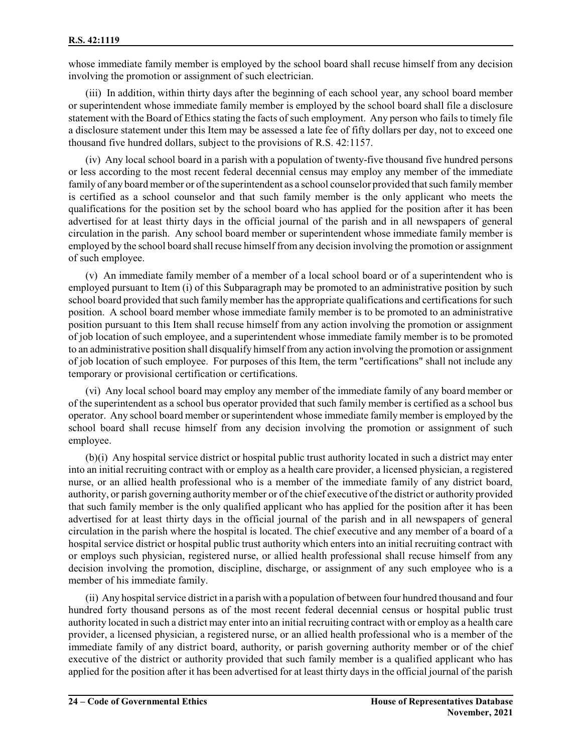whose immediate family member is employed by the school board shall recuse himself from any decision involving the promotion or assignment of such electrician.

(iii) In addition, within thirty days after the beginning of each school year, any school board member or superintendent whose immediate family member is employed by the school board shall file a disclosure statement with the Board of Ethics stating the facts of such employment. Any person who fails to timely file a disclosure statement under this Item may be assessed a late fee of fifty dollars per day, not to exceed one thousand five hundred dollars, subject to the provisions of R.S. 42:1157.

(iv) Any local school board in a parish with a population of twenty-five thousand five hundred persons or less according to the most recent federal decennial census may employ any member of the immediate family of any board member or of the superintendent as a school counselor provided that such family member is certified as a school counselor and that such family member is the only applicant who meets the qualifications for the position set by the school board who has applied for the position after it has been advertised for at least thirty days in the official journal of the parish and in all newspapers of general circulation in the parish. Any school board member or superintendent whose immediate family member is employed by the school board shall recuse himself from any decision involving the promotion or assignment of such employee.

(v) An immediate family member of a member of a local school board or of a superintendent who is employed pursuant to Item (i) of this Subparagraph may be promoted to an administrative position by such school board provided that such family member has the appropriate qualifications and certifications for such position. A school board member whose immediate family member is to be promoted to an administrative position pursuant to this Item shall recuse himself from any action involving the promotion or assignment of job location of such employee, and a superintendent whose immediate family member is to be promoted to an administrative position shall disqualify himself from any action involving the promotion or assignment of job location of such employee. For purposes of this Item, the term "certifications" shall not include any temporary or provisional certification or certifications.

(vi) Any local school board may employ any member of the immediate family of any board member or of the superintendent as a school bus operator provided that such family member is certified as a school bus operator. Any school board member orsuperintendent whose immediate family member is employed by the school board shall recuse himself from any decision involving the promotion or assignment of such employee.

(b)(i) Any hospital service district or hospital public trust authority located in such a district may enter into an initial recruiting contract with or employ as a health care provider, a licensed physician, a registered nurse, or an allied health professional who is a member of the immediate family of any district board, authority, or parish governing authority member or of the chief executive of the district or authority provided that such family member is the only qualified applicant who has applied for the position after it has been advertised for at least thirty days in the official journal of the parish and in all newspapers of general circulation in the parish where the hospital is located. The chief executive and any member of a board of a hospital service district or hospital public trust authority which enters into an initial recruiting contract with or employs such physician, registered nurse, or allied health professional shall recuse himself from any decision involving the promotion, discipline, discharge, or assignment of any such employee who is a member of his immediate family.

(ii) Any hospital service district in a parish with a population of between four hundred thousand and four hundred forty thousand persons as of the most recent federal decennial census or hospital public trust authority located in such a district may enter into an initial recruiting contract with or employ as a health care provider, a licensed physician, a registered nurse, or an allied health professional who is a member of the immediate family of any district board, authority, or parish governing authority member or of the chief executive of the district or authority provided that such family member is a qualified applicant who has applied for the position after it has been advertised for at least thirty days in the official journal of the parish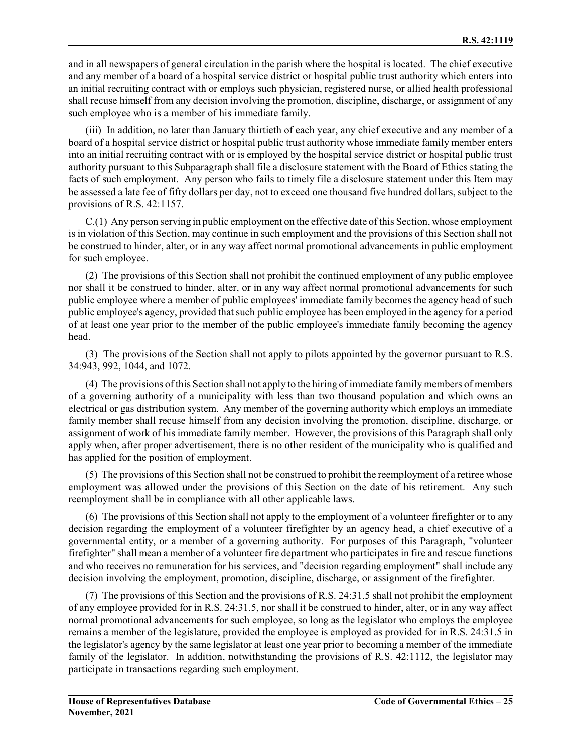and in all newspapers of general circulation in the parish where the hospital is located. The chief executive and any member of a board of a hospital service district or hospital public trust authority which enters into an initial recruiting contract with or employs such physician, registered nurse, or allied health professional shall recuse himself from any decision involving the promotion, discipline, discharge, or assignment of any such employee who is a member of his immediate family.

(iii) In addition, no later than January thirtieth of each year, any chief executive and any member of a board of a hospital service district or hospital public trust authority whose immediate family member enters into an initial recruiting contract with or is employed by the hospital service district or hospital public trust authority pursuant to this Subparagraph shall file a disclosure statement with the Board of Ethics stating the facts of such employment. Any person who fails to timely file a disclosure statement under this Item may be assessed a late fee of fifty dollars per day, not to exceed one thousand five hundred dollars, subject to the provisions of R.S. 42:1157.

C.(1) Any person serving in public employment on the effective date of this Section, whose employment is in violation of this Section, may continue in such employment and the provisions of this Section shall not be construed to hinder, alter, or in any way affect normal promotional advancements in public employment for such employee.

(2) The provisions of this Section shall not prohibit the continued employment of any public employee nor shall it be construed to hinder, alter, or in any way affect normal promotional advancements for such public employee where a member of public employees' immediate family becomes the agency head of such public employee's agency, provided that such public employee has been employed in the agency for a period of at least one year prior to the member of the public employee's immediate family becoming the agency head.

(3) The provisions of the Section shall not apply to pilots appointed by the governor pursuant to R.S. 34:943, 992, 1044, and 1072.

(4) The provisions of this Section shall not apply to the hiring of immediate family members of members of a governing authority of a municipality with less than two thousand population and which owns an electrical or gas distribution system. Any member of the governing authority which employs an immediate family member shall recuse himself from any decision involving the promotion, discipline, discharge, or assignment of work of his immediate family member. However, the provisions of this Paragraph shall only apply when, after proper advertisement, there is no other resident of the municipality who is qualified and has applied for the position of employment.

(5) The provisions of this Section shall not be construed to prohibit the reemployment of a retiree whose employment was allowed under the provisions of this Section on the date of his retirement. Any such reemployment shall be in compliance with all other applicable laws.

(6) The provisions of this Section shall not apply to the employment of a volunteer firefighter or to any decision regarding the employment of a volunteer firefighter by an agency head, a chief executive of a governmental entity, or a member of a governing authority. For purposes of this Paragraph, "volunteer firefighter" shall mean a member of a volunteer fire department who participates in fire and rescue functions and who receives no remuneration for his services, and "decision regarding employment" shall include any decision involving the employment, promotion, discipline, discharge, or assignment of the firefighter.

(7) The provisions of this Section and the provisions of R.S. 24:31.5 shall not prohibit the employment of any employee provided for in R.S. 24:31.5, nor shall it be construed to hinder, alter, or in any way affect normal promotional advancements for such employee, so long as the legislator who employs the employee remains a member of the legislature, provided the employee is employed as provided for in R.S. 24:31.5 in the legislator's agency by the same legislator at least one year prior to becoming a member of the immediate family of the legislator. In addition, notwithstanding the provisions of R.S. 42:1112, the legislator may participate in transactions regarding such employment.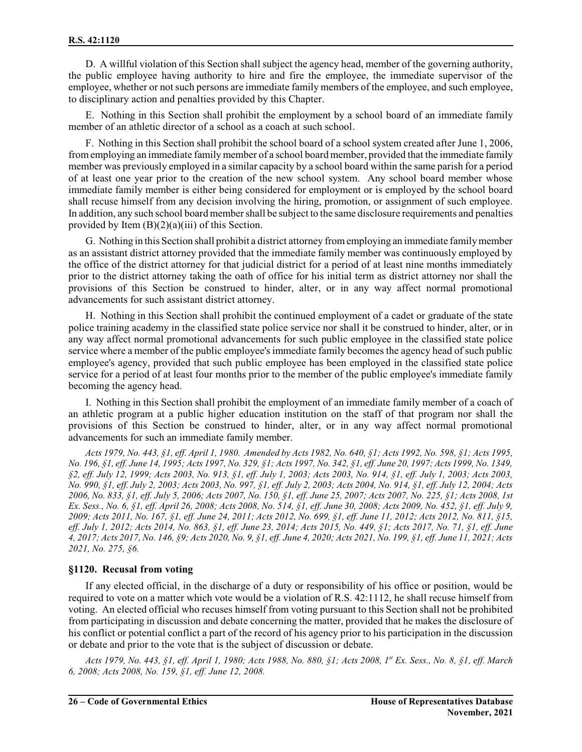D. A willful violation of this Section shall subject the agency head, member of the governing authority, the public employee having authority to hire and fire the employee, the immediate supervisor of the employee, whether or not such persons are immediate family members of the employee, and such employee, to disciplinary action and penalties provided by this Chapter.

E. Nothing in this Section shall prohibit the employment by a school board of an immediate family member of an athletic director of a school as a coach at such school.

F. Nothing in this Section shall prohibit the school board of a school system created after June 1, 2006, fromemploying an immediate family member of a school board member, provided that the immediate family member was previously employed in a similar capacity by a school board within the same parish for a period of at least one year prior to the creation of the new school system. Any school board member whose immediate family member is either being considered for employment or is employed by the school board shall recuse himself from any decision involving the hiring, promotion, or assignment of such employee. In addition, any such school board membershall be subject to the same disclosure requirements and penalties provided by Item  $(B)(2)(a)(iii)$  of this Section.

G. Nothing in this Section shall prohibit a district attorney fromemploying an immediate familymember as an assistant district attorney provided that the immediate family member was continuously employed by the office of the district attorney for that judicial district for a period of at least nine months immediately prior to the district attorney taking the oath of office for his initial term as district attorney nor shall the provisions of this Section be construed to hinder, alter, or in any way affect normal promotional advancements for such assistant district attorney.

H. Nothing in this Section shall prohibit the continued employment of a cadet or graduate of the state police training academy in the classified state police service nor shall it be construed to hinder, alter, or in any way affect normal promotional advancements for such public employee in the classified state police service where a member of the public employee's immediate family becomes the agency head of such public employee's agency, provided that such public employee has been employed in the classified state police service for a period of at least four months prior to the member of the public employee's immediate family becoming the agency head.

I. Nothing in this Section shall prohibit the employment of an immediate family member of a coach of an athletic program at a public higher education institution on the staff of that program nor shall the provisions of this Section be construed to hinder, alter, or in any way affect normal promotional advancements for such an immediate family member.

*Acts 1979, No. 443, §1, eff. April 1, 1980. Amended by Acts 1982, No. 640, §1; Acts 1992, No. 598, §1; Acts 1995, No. 196, §1, eff. June 14, 1995; Acts 1997, No. 329, §1; Acts 1997, No. 342, §1, eff. June 20, 1997; Acts 1999, No. 1349, §2, eff. July 12, 1999; Acts 2003, No. 913, §1, eff. July 1, 2003; Acts 2003, No. 914, §1, eff. July 1, 2003; Acts 2003, No. 990, §1, eff. July 2, 2003; Acts 2003, No. 997, §1, eff. July 2, 2003; Acts 2004, No. 914, §1, eff. July 12, 2004; Acts 2006, No. 833, §1, eff. July 5, 2006; Acts 2007, No. 150, §1, eff. June 25, 2007; Acts 2007, No. 225, §1; Acts 2008, 1st Ex. Sess., No. 6, §1, eff. April 26, 2008; Acts 2008, No. 514, §1, eff. June 30, 2008; Acts 2009, No. 452, §1, eff. July 9, 2009; Acts 2011, No. 167, §1, eff. June 24, 2011; Acts 2012, No. 699, §1, eff. June 11, 2012; Acts 2012, No. 811, §15, eff. July 1, 2012; Acts 2014, No. 863, §1, eff. June 23, 2014; Acts 2015, No. 449, §1; Acts 2017, No. 71, §1, eff. June 4, 2017; Acts 2017, No. 146, §9; Acts 2020, No. 9, §1, eff. June 4, 2020; Acts 2021, No. 199, §1, eff. June 11, 2021; Acts 2021, No. 275, §6.* 

#### **§1120. Recusal from voting**

If any elected official, in the discharge of a duty or responsibility of his office or position, would be required to vote on a matter which vote would be a violation of R.S. 42:1112, he shall recuse himself from voting. An elected official who recuses himself from voting pursuant to this Section shall not be prohibited from participating in discussion and debate concerning the matter, provided that he makes the disclosure of his conflict or potential conflict a part of the record of his agency prior to his participation in the discussion or debate and prior to the vote that is the subject of discussion or debate.

*Acts 1979, No. 443, §1, eff. April 1, 1980; Acts 1988, No. 880, §1; Acts 2008, 1st Ex. Sess., No. 8, §1, eff. March 6, 2008; Acts 2008, No. 159, §1, eff. June 12, 2008.*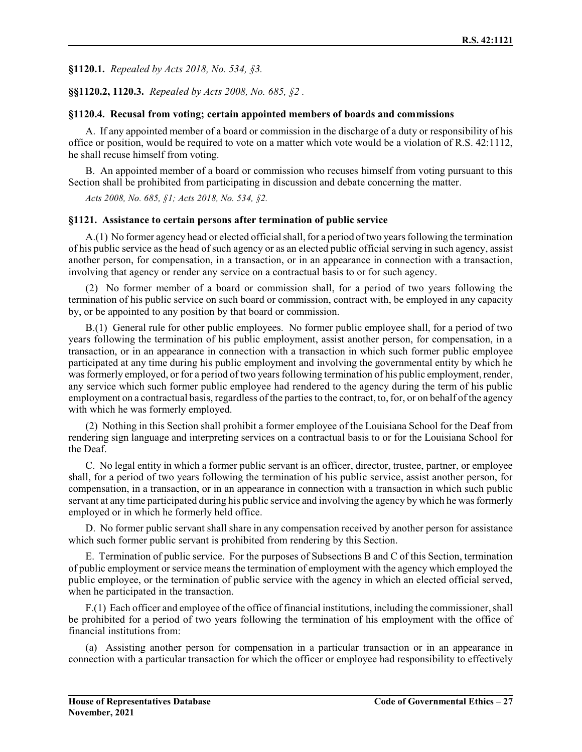**§1120.1.** *Repealed by Acts 2018, No. 534, §3.*

**§§1120.2, 1120.3.** *Repealed by Acts 2008, No. 685, §2 .*

#### **§1120.4. Recusal from voting; certain appointed members of boards and commissions**

A. If any appointed member of a board or commission in the discharge of a duty or responsibility of his office or position, would be required to vote on a matter which vote would be a violation of R.S. 42:1112, he shall recuse himself from voting.

B. An appointed member of a board or commission who recuses himself from voting pursuant to this Section shall be prohibited from participating in discussion and debate concerning the matter.

*Acts 2008, No. 685, §1; Acts 2018, No. 534, §2.*

#### **§1121. Assistance to certain persons after termination of public service**

A.(1) No former agency head or elected official shall, for a period of two years following the termination of his public service as the head of such agency or as an elected public official serving in such agency, assist another person, for compensation, in a transaction, or in an appearance in connection with a transaction, involving that agency or render any service on a contractual basis to or for such agency.

(2) No former member of a board or commission shall, for a period of two years following the termination of his public service on such board or commission, contract with, be employed in any capacity by, or be appointed to any position by that board or commission.

B.(1) General rule for other public employees. No former public employee shall, for a period of two years following the termination of his public employment, assist another person, for compensation, in a transaction, or in an appearance in connection with a transaction in which such former public employee participated at any time during his public employment and involving the governmental entity by which he was formerly employed, or for a period of two years following termination of his public employment, render, any service which such former public employee had rendered to the agency during the term of his public employment on a contractual basis, regardless of the parties to the contract, to, for, or on behalf of the agency with which he was formerly employed.

(2) Nothing in this Section shall prohibit a former employee of the Louisiana School for the Deaf from rendering sign language and interpreting services on a contractual basis to or for the Louisiana School for the Deaf.

C. No legal entity in which a former public servant is an officer, director, trustee, partner, or employee shall, for a period of two years following the termination of his public service, assist another person, for compensation, in a transaction, or in an appearance in connection with a transaction in which such public servant at any time participated during his public service and involving the agency by which he was formerly employed or in which he formerly held office.

D. No former public servant shall share in any compensation received by another person for assistance which such former public servant is prohibited from rendering by this Section.

E. Termination of public service. For the purposes of Subsections B and C of this Section, termination of public employment orservice means the termination of employment with the agency which employed the public employee, or the termination of public service with the agency in which an elected official served, when he participated in the transaction.

F.(1) Each officer and employee of the office of financial institutions, including the commissioner, shall be prohibited for a period of two years following the termination of his employment with the office of financial institutions from:

(a) Assisting another person for compensation in a particular transaction or in an appearance in connection with a particular transaction for which the officer or employee had responsibility to effectively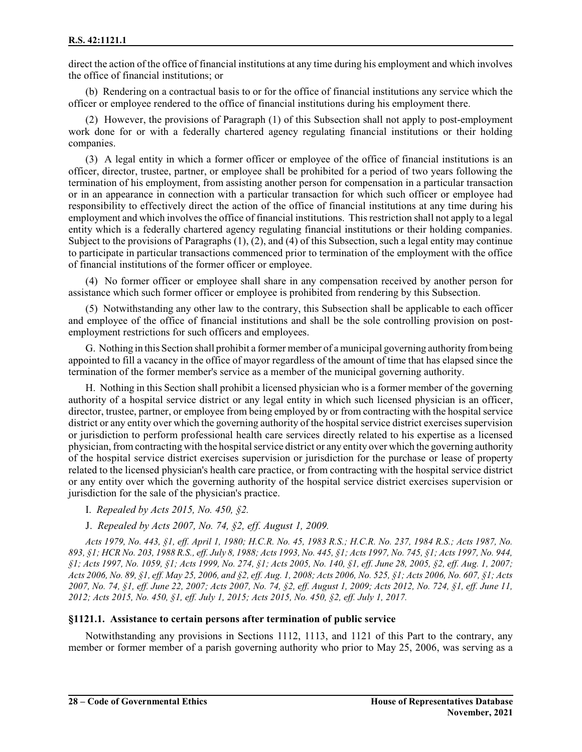direct the action of the office of financial institutions at any time during his employment and which involves the office of financial institutions; or

(b) Rendering on a contractual basis to or for the office of financial institutions any service which the officer or employee rendered to the office of financial institutions during his employment there.

(2) However, the provisions of Paragraph (1) of this Subsection shall not apply to post-employment work done for or with a federally chartered agency regulating financial institutions or their holding companies.

(3) A legal entity in which a former officer or employee of the office of financial institutions is an officer, director, trustee, partner, or employee shall be prohibited for a period of two years following the termination of his employment, from assisting another person for compensation in a particular transaction or in an appearance in connection with a particular transaction for which such officer or employee had responsibility to effectively direct the action of the office of financial institutions at any time during his employment and which involves the office of financial institutions. This restriction shall not apply to a legal entity which is a federally chartered agency regulating financial institutions or their holding companies. Subject to the provisions of Paragraphs (1), (2), and (4) of this Subsection, such a legal entity may continue to participate in particular transactions commenced prior to termination of the employment with the office of financial institutions of the former officer or employee.

(4) No former officer or employee shall share in any compensation received by another person for assistance which such former officer or employee is prohibited from rendering by this Subsection.

(5) Notwithstanding any other law to the contrary, this Subsection shall be applicable to each officer and employee of the office of financial institutions and shall be the sole controlling provision on postemployment restrictions for such officers and employees.

G. Nothing in this Section shall prohibit a former member of a municipal governing authority frombeing appointed to fill a vacancy in the office of mayor regardless of the amount of time that has elapsed since the termination of the former member's service as a member of the municipal governing authority.

H. Nothing in this Section shall prohibit a licensed physician who is a former member of the governing authority of a hospital service district or any legal entity in which such licensed physician is an officer, director, trustee, partner, or employee from being employed by or from contracting with the hospital service district or any entity over which the governing authority of the hospital service district exercises supervision or jurisdiction to perform professional health care services directly related to his expertise as a licensed physician, fromcontracting with the hospitalservice district or any entity over which the governing authority of the hospital service district exercises supervision or jurisdiction for the purchase or lease of property related to the licensed physician's health care practice, or from contracting with the hospital service district or any entity over which the governing authority of the hospital service district exercises supervision or jurisdiction for the sale of the physician's practice.

- I. *Repealed by Acts 2015, No. 450, §2.*
- J. *Repealed by Acts 2007, No. 74, §2, eff. August 1, 2009.*

*Acts 1979, No. 443, §1, eff. April 1, 1980; H.C.R. No. 45, 1983 R.S.; H.C.R. No. 237, 1984 R.S.; Acts 1987, No. 893, §1; HCR No. 203, 1988 R.S., eff. July 8, 1988; Acts 1993, No. 445, §1; Acts 1997, No. 745, §1; Acts 1997, No. 944, §1; Acts 1997, No. 1059, §1; Acts 1999, No. 274, §1; Acts 2005, No. 140, §1, eff. June 28, 2005, §2, eff. Aug. 1, 2007; Acts 2006, No. 89, §1, eff. May 25, 2006, and §2, eff. Aug. 1, 2008; Acts 2006, No. 525, §1; Acts 2006, No. 607, §1; Acts 2007, No. 74, §1, eff. June 22, 2007; Acts 2007, No. 74, §2, eff. August 1, 2009; Acts 2012, No. 724, §1, eff. June 11, 2012; Acts 2015, No. 450, §1, eff. July 1, 2015; Acts 2015, No. 450, §2, eff. July 1, 2017.*

#### **§1121.1. Assistance to certain persons after termination of public service**

Notwithstanding any provisions in Sections 1112, 1113, and 1121 of this Part to the contrary, any member or former member of a parish governing authority who prior to May 25, 2006, was serving as a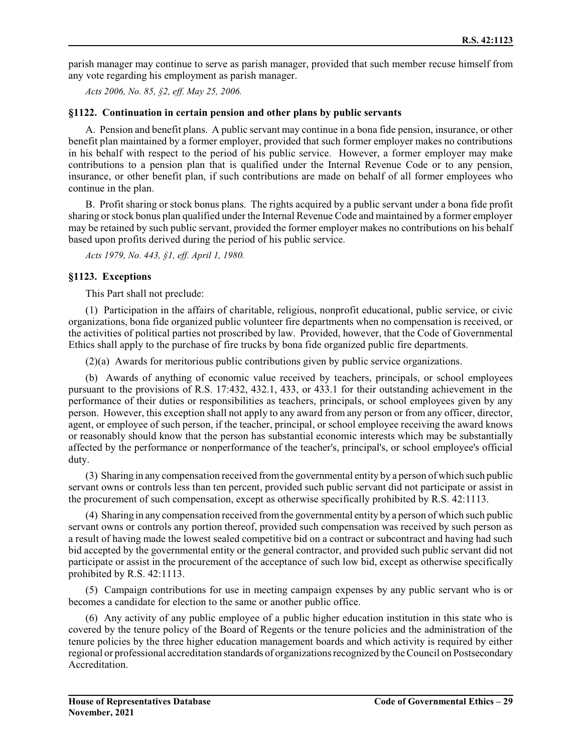parish manager may continue to serve as parish manager, provided that such member recuse himself from any vote regarding his employment as parish manager.

*Acts 2006, No. 85, §2, eff. May 25, 2006.*

#### **§1122. Continuation in certain pension and other plans by public servants**

A. Pension and benefit plans. A public servant may continue in a bona fide pension, insurance, or other benefit plan maintained by a former employer, provided that such former employer makes no contributions in his behalf with respect to the period of his public service. However, a former employer may make contributions to a pension plan that is qualified under the Internal Revenue Code or to any pension, insurance, or other benefit plan, if such contributions are made on behalf of all former employees who continue in the plan.

B. Profit sharing or stock bonus plans. The rights acquired by a public servant under a bona fide profit sharing orstock bonus plan qualified under the Internal Revenue Code and maintained by a former employer may be retained by such public servant, provided the former employer makes no contributions on his behalf based upon profits derived during the period of his public service.

*Acts 1979, No. 443, §1, eff. April 1, 1980.*

#### **§1123. Exceptions**

This Part shall not preclude:

(1) Participation in the affairs of charitable, religious, nonprofit educational, public service, or civic organizations, bona fide organized public volunteer fire departments when no compensation is received, or the activities of political parties not proscribed by law. Provided, however, that the Code of Governmental Ethics shall apply to the purchase of fire trucks by bona fide organized public fire departments.

(2)(a) Awards for meritorious public contributions given by public service organizations.

(b) Awards of anything of economic value received by teachers, principals, or school employees pursuant to the provisions of R.S. 17:432, 432.1, 433, or 433.1 for their outstanding achievement in the performance of their duties or responsibilities as teachers, principals, or school employees given by any person. However, this exception shall not apply to any award from any person or from any officer, director, agent, or employee of such person, if the teacher, principal, or school employee receiving the award knows or reasonably should know that the person has substantial economic interests which may be substantially affected by the performance or nonperformance of the teacher's, principal's, or school employee's official duty.

(3) Sharing in any compensation received fromthe governmental entity by a person of which such public servant owns or controls less than ten percent, provided such public servant did not participate or assist in the procurement of such compensation, except as otherwise specifically prohibited by R.S. 42:1113.

(4) Sharing in any compensation received fromthe governmental entity by a person of which such public servant owns or controls any portion thereof, provided such compensation was received by such person as a result of having made the lowest sealed competitive bid on a contract or subcontract and having had such bid accepted by the governmental entity or the general contractor, and provided such public servant did not participate or assist in the procurement of the acceptance of such low bid, except as otherwise specifically prohibited by R.S. 42:1113.

(5) Campaign contributions for use in meeting campaign expenses by any public servant who is or becomes a candidate for election to the same or another public office.

(6) Any activity of any public employee of a public higher education institution in this state who is covered by the tenure policy of the Board of Regents or the tenure policies and the administration of the tenure policies by the three higher education management boards and which activity is required by either regional or professional accreditation standards of organizations recognized by the Council on Postsecondary Accreditation.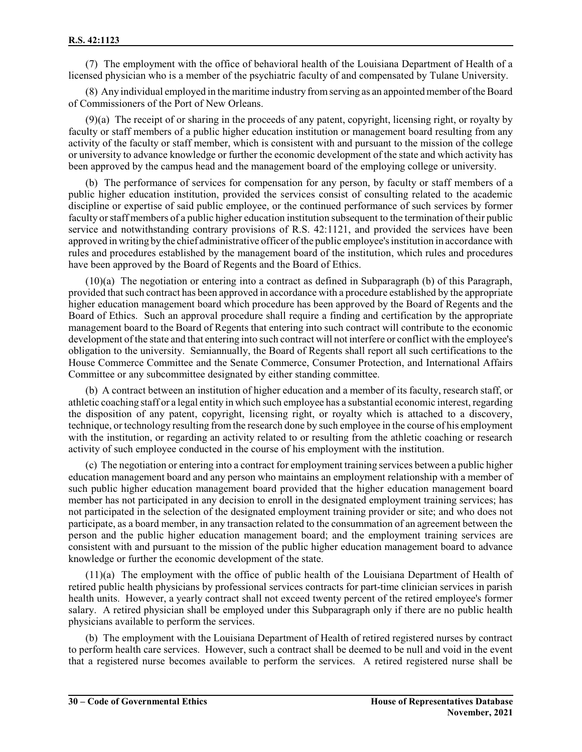(7) The employment with the office of behavioral health of the Louisiana Department of Health of a licensed physician who is a member of the psychiatric faculty of and compensated by Tulane University.

(8) Any individual employed in the maritime industry fromserving as an appointed member ofthe Board of Commissioners of the Port of New Orleans.

(9)(a) The receipt of or sharing in the proceeds of any patent, copyright, licensing right, or royalty by faculty or staff members of a public higher education institution or management board resulting from any activity of the faculty or staff member, which is consistent with and pursuant to the mission of the college or university to advance knowledge or further the economic development of the state and which activity has been approved by the campus head and the management board of the employing college or university.

(b) The performance of services for compensation for any person, by faculty or staff members of a public higher education institution, provided the services consist of consulting related to the academic discipline or expertise of said public employee, or the continued performance of such services by former faculty orstaff members of a public higher education institution subsequent to the termination of their public service and notwithstanding contrary provisions of R.S. 42:1121, and provided the services have been approved in writing by the chief administrative officer ofthe public employee's institution in accordance with rules and procedures established by the management board of the institution, which rules and procedures have been approved by the Board of Regents and the Board of Ethics.

(10)(a) The negotiation or entering into a contract as defined in Subparagraph (b) of this Paragraph, provided thatsuch contract has been approved in accordance with a procedure established by the appropriate higher education management board which procedure has been approved by the Board of Regents and the Board of Ethics. Such an approval procedure shall require a finding and certification by the appropriate management board to the Board of Regents that entering into such contract will contribute to the economic development of the state and that entering into such contract will not interfere or conflict with the employee's obligation to the university. Semiannually, the Board of Regents shall report all such certifications to the House Commerce Committee and the Senate Commerce, Consumer Protection, and International Affairs Committee or any subcommittee designated by either standing committee.

(b) A contract between an institution of higher education and a member of its faculty, research staff, or athletic coaching staff or a legal entity in which such employee has a substantial economic interest, regarding the disposition of any patent, copyright, licensing right, or royalty which is attached to a discovery, technique, or technology resulting fromthe research done by such employee in the course of his employment with the institution, or regarding an activity related to or resulting from the athletic coaching or research activity of such employee conducted in the course of his employment with the institution.

(c) The negotiation or entering into a contract for employment training services between a public higher education management board and any person who maintains an employment relationship with a member of such public higher education management board provided that the higher education management board member has not participated in any decision to enroll in the designated employment training services; has not participated in the selection of the designated employment training provider or site; and who does not participate, as a board member, in any transaction related to the consummation of an agreement between the person and the public higher education management board; and the employment training services are consistent with and pursuant to the mission of the public higher education management board to advance knowledge or further the economic development of the state.

(11)(a) The employment with the office of public health of the Louisiana Department of Health of retired public health physicians by professional services contracts for part-time clinician services in parish health units. However, a yearly contract shall not exceed twenty percent of the retired employee's former salary. A retired physician shall be employed under this Subparagraph only if there are no public health physicians available to perform the services.

(b) The employment with the Louisiana Department of Health of retired registered nurses by contract to perform health care services. However, such a contract shall be deemed to be null and void in the event that a registered nurse becomes available to perform the services. A retired registered nurse shall be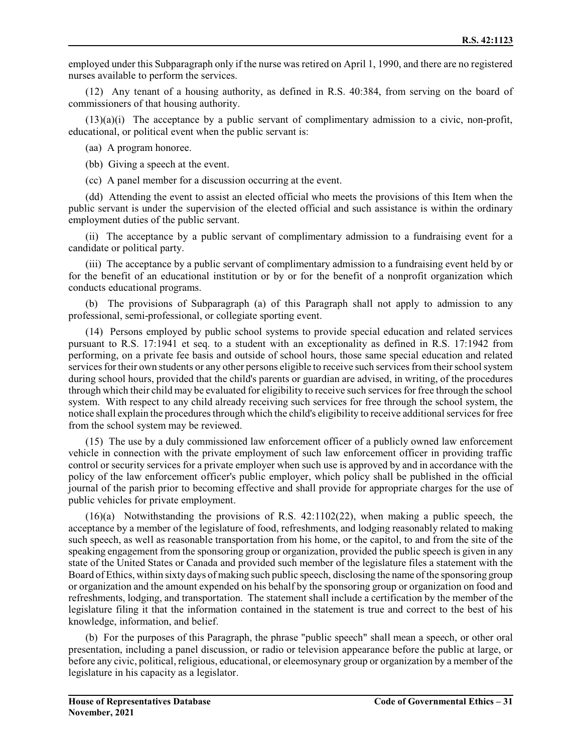employed under this Subparagraph only if the nurse was retired on April 1, 1990, and there are no registered nurses available to perform the services.

(12) Any tenant of a housing authority, as defined in R.S. 40:384, from serving on the board of commissioners of that housing authority.

 $(13)(a)(i)$  The acceptance by a public servant of complimentary admission to a civic, non-profit, educational, or political event when the public servant is:

(aa) A program honoree.

(bb) Giving a speech at the event.

(cc) A panel member for a discussion occurring at the event.

(dd) Attending the event to assist an elected official who meets the provisions of this Item when the public servant is under the supervision of the elected official and such assistance is within the ordinary employment duties of the public servant.

(ii) The acceptance by a public servant of complimentary admission to a fundraising event for a candidate or political party.

(iii) The acceptance by a public servant of complimentary admission to a fundraising event held by or for the benefit of an educational institution or by or for the benefit of a nonprofit organization which conducts educational programs.

(b) The provisions of Subparagraph (a) of this Paragraph shall not apply to admission to any professional, semi-professional, or collegiate sporting event.

(14) Persons employed by public school systems to provide special education and related services pursuant to R.S. 17:1941 et seq. to a student with an exceptionality as defined in R.S. 17:1942 from performing, on a private fee basis and outside of school hours, those same special education and related services for their own students or any other persons eligible to receive such services from their school system during school hours, provided that the child's parents or guardian are advised, in writing, of the procedures through which their child may be evaluated for eligibility to receive such services for free through the school system. With respect to any child already receiving such services for free through the school system, the notice shall explain the procedures through which the child's eligibility to receive additional services for free from the school system may be reviewed.

(15) The use by a duly commissioned law enforcement officer of a publicly owned law enforcement vehicle in connection with the private employment of such law enforcement officer in providing traffic control or security services for a private employer when such use is approved by and in accordance with the policy of the law enforcement officer's public employer, which policy shall be published in the official journal of the parish prior to becoming effective and shall provide for appropriate charges for the use of public vehicles for private employment.

(16)(a) Notwithstanding the provisions of R.S. 42:1102(22), when making a public speech, the acceptance by a member of the legislature of food, refreshments, and lodging reasonably related to making such speech, as well as reasonable transportation from his home, or the capitol, to and from the site of the speaking engagement from the sponsoring group or organization, provided the public speech is given in any state of the United States or Canada and provided such member of the legislature files a statement with the Board of Ethics, within sixty days of making such public speech, disclosing the name of the sponsoring group or organization and the amount expended on his behalf by the sponsoring group or organization on food and refreshments, lodging, and transportation. The statement shall include a certification by the member of the legislature filing it that the information contained in the statement is true and correct to the best of his knowledge, information, and belief.

(b) For the purposes of this Paragraph, the phrase "public speech" shall mean a speech, or other oral presentation, including a panel discussion, or radio or television appearance before the public at large, or before any civic, political, religious, educational, or eleemosynary group or organization by a member of the legislature in his capacity as a legislator.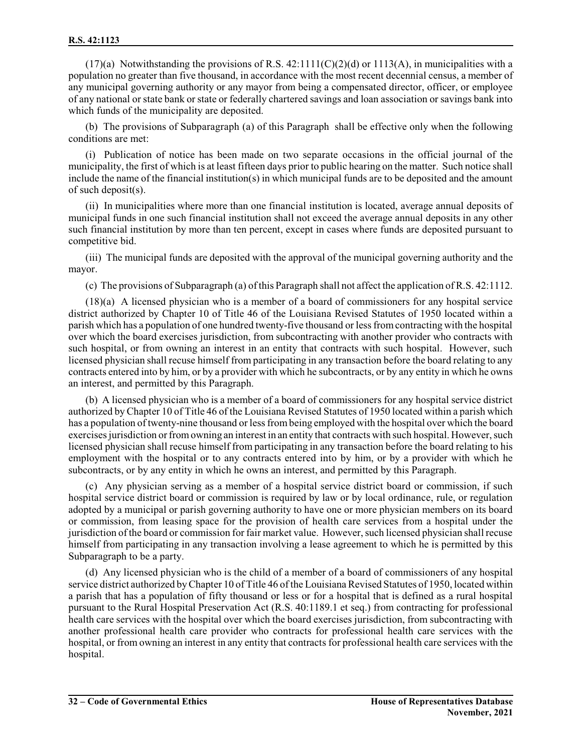$(17)(a)$  Notwithstanding the provisions of R.S. 42:1111 $(C)(2)(d)$  or 1113 $(A)$ , in municipalities with a population no greater than five thousand, in accordance with the most recent decennial census, a member of any municipal governing authority or any mayor from being a compensated director, officer, or employee of any national or state bank or state or federally chartered savings and loan association or savings bank into which funds of the municipality are deposited.

(b) The provisions of Subparagraph (a) of this Paragraph shall be effective only when the following conditions are met:

(i) Publication of notice has been made on two separate occasions in the official journal of the municipality, the first of which is at least fifteen days prior to public hearing on the matter. Such notice shall include the name of the financial institution(s) in which municipal funds are to be deposited and the amount of such deposit(s).

(ii) In municipalities where more than one financial institution is located, average annual deposits of municipal funds in one such financial institution shall not exceed the average annual deposits in any other such financial institution by more than ten percent, except in cases where funds are deposited pursuant to competitive bid.

(iii) The municipal funds are deposited with the approval of the municipal governing authority and the mayor.

(c) The provisions of Subparagraph (a) of this Paragraph shall not affect the application of R.S. 42:1112.

(18)(a) A licensed physician who is a member of a board of commissioners for any hospital service district authorized by Chapter 10 of Title 46 of the Louisiana Revised Statutes of 1950 located within a parish which has a population of one hundred twenty-five thousand or less fromcontracting with the hospital over which the board exercises jurisdiction, from subcontracting with another provider who contracts with such hospital, or from owning an interest in an entity that contracts with such hospital. However, such licensed physician shall recuse himself from participating in any transaction before the board relating to any contracts entered into by him, or by a provider with which he subcontracts, or by any entity in which he owns an interest, and permitted by this Paragraph.

(b) A licensed physician who is a member of a board of commissioners for any hospital service district authorized byChapter 10 of Title 46 of the Louisiana Revised Statutes of 1950 located within a parish which has a population of twenty-nine thousand or less frombeing employed with the hospital over which the board exercises jurisdiction or from owning an interest in an entity that contracts with such hospital. However, such licensed physician shall recuse himself from participating in any transaction before the board relating to his employment with the hospital or to any contracts entered into by him, or by a provider with which he subcontracts, or by any entity in which he owns an interest, and permitted by this Paragraph.

(c) Any physician serving as a member of a hospital service district board or commission, if such hospital service district board or commission is required by law or by local ordinance, rule, or regulation adopted by a municipal or parish governing authority to have one or more physician members on its board or commission, from leasing space for the provision of health care services from a hospital under the jurisdiction of the board or commission for fair market value. However, such licensed physician shall recuse himself from participating in any transaction involving a lease agreement to which he is permitted by this Subparagraph to be a party.

(d) Any licensed physician who is the child of a member of a board of commissioners of any hospital service district authorized byChapter 10 of Title 46 of the Louisiana Revised Statutes of 1950, located within a parish that has a population of fifty thousand or less or for a hospital that is defined as a rural hospital pursuant to the Rural Hospital Preservation Act (R.S. 40:1189.1 et seq.) from contracting for professional health care services with the hospital over which the board exercises jurisdiction, from subcontracting with another professional health care provider who contracts for professional health care services with the hospital, or from owning an interest in any entity that contracts for professional health care services with the hospital.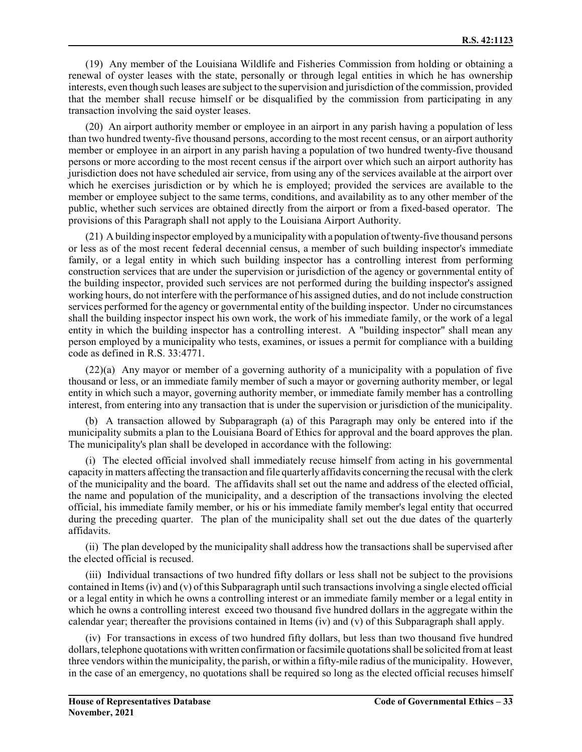(19) Any member of the Louisiana Wildlife and Fisheries Commission from holding or obtaining a renewal of oyster leases with the state, personally or through legal entities in which he has ownership interests, even though such leases are subject to the supervision and jurisdiction of the commission, provided that the member shall recuse himself or be disqualified by the commission from participating in any transaction involving the said oyster leases.

(20) An airport authority member or employee in an airport in any parish having a population of less than two hundred twenty-five thousand persons, according to the most recent census, or an airport authority member or employee in an airport in any parish having a population of two hundred twenty-five thousand persons or more according to the most recent census if the airport over which such an airport authority has jurisdiction does not have scheduled air service, from using any of the services available at the airport over which he exercises jurisdiction or by which he is employed; provided the services are available to the member or employee subject to the same terms, conditions, and availability as to any other member of the public, whether such services are obtained directly from the airport or from a fixed-based operator. The provisions of this Paragraph shall not apply to the Louisiana Airport Authority.

(21) A building inspector employed by a municipalitywith a population oftwenty-five thousand persons or less as of the most recent federal decennial census, a member of such building inspector's immediate family, or a legal entity in which such building inspector has a controlling interest from performing construction services that are under the supervision or jurisdiction of the agency or governmental entity of the building inspector, provided such services are not performed during the building inspector's assigned working hours, do not interfere with the performance of his assigned duties, and do not include construction services performed for the agency or governmental entity of the building inspector. Under no circumstances shall the building inspector inspect his own work, the work of his immediate family, or the work of a legal entity in which the building inspector has a controlling interest. A "building inspector" shall mean any person employed by a municipality who tests, examines, or issues a permit for compliance with a building code as defined in R.S. 33:4771.

(22)(a) Any mayor or member of a governing authority of a municipality with a population of five thousand or less, or an immediate family member of such a mayor or governing authority member, or legal entity in which such a mayor, governing authority member, or immediate family member has a controlling interest, from entering into any transaction that is under the supervision or jurisdiction of the municipality.

(b) A transaction allowed by Subparagraph (a) of this Paragraph may only be entered into if the municipality submits a plan to the Louisiana Board of Ethics for approval and the board approves the plan. The municipality's plan shall be developed in accordance with the following:

(i) The elected official involved shall immediately recuse himself from acting in his governmental capacity in matters affecting the transaction and file quarterly affidavits concerning the recusal with the clerk of the municipality and the board. The affidavits shall set out the name and address of the elected official, the name and population of the municipality, and a description of the transactions involving the elected official, his immediate family member, or his or his immediate family member's legal entity that occurred during the preceding quarter. The plan of the municipality shall set out the due dates of the quarterly affidavits.

(ii) The plan developed by the municipality shall address how the transactions shall be supervised after the elected official is recused.

(iii) Individual transactions of two hundred fifty dollars or less shall not be subject to the provisions contained in Items (iv) and (v) of this Subparagraph until such transactions involving a single elected official or a legal entity in which he owns a controlling interest or an immediate family member or a legal entity in which he owns a controlling interest exceed two thousand five hundred dollars in the aggregate within the calendar year; thereafter the provisions contained in Items (iv) and (v) of this Subparagraph shall apply.

(iv) For transactions in excess of two hundred fifty dollars, but less than two thousand five hundred dollars, telephone quotations with written confirmation orfacsimile quotations shall be solicited fromat least three vendors within the municipality, the parish, or within a fifty-mile radius of the municipality. However, in the case of an emergency, no quotations shall be required so long as the elected official recuses himself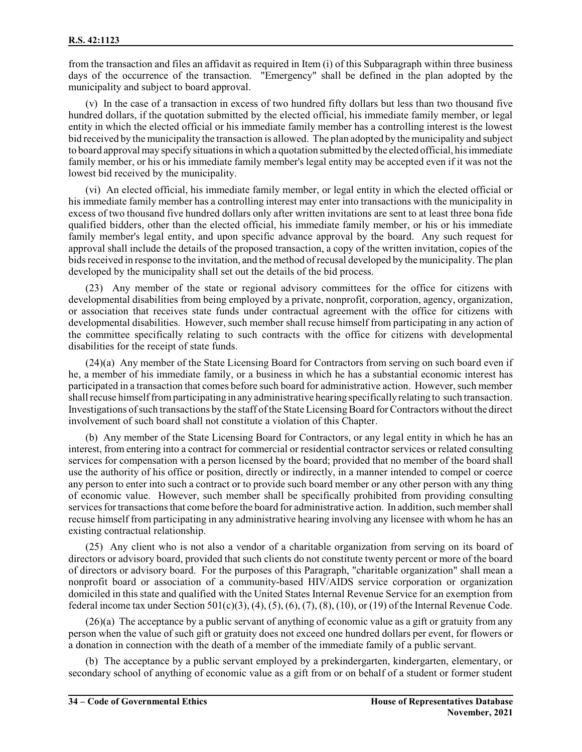from the transaction and files an affidavit as required in Item (i) of this Subparagraph within three business days of the occurrence of the transaction. "Emergency" shall be defined in the plan adopted by the municipality and subject to board approval.

(v) In the case of a transaction in excess of two hundred fifty dollars but less than two thousand five hundred dollars, if the quotation submitted by the elected official, his immediate family member, or legal entity in which the elected official or his immediate family member has a controlling interest is the lowest bid received by the municipality the transaction is allowed. The plan adopted by the municipality and subject to board approvalmay specify situations in which a quotation submitted by the elected official, his immediate family member, or his or his immediate family member's legal entity may be accepted even if it was not the lowest bid received by the municipality.

(vi) An elected official, his immediate family member, or legal entity in which the elected official or his immediate family member has a controlling interest may enter into transactions with the municipality in excess of two thousand five hundred dollars only after written invitations are sent to at least three bona fide qualified bidders, other than the elected official, his immediate family member, or his or his immediate family member's legal entity, and upon specific advance approval by the board. Any such request for approval shall include the details of the proposed transaction, a copy of the written invitation, copies of the bids received in response to the invitation, and the method ofrecusal developed by the municipality. The plan developed by the municipality shall set out the details of the bid process.

(23) Any member of the state or regional advisory committees for the office for citizens with developmental disabilities from being employed by a private, nonprofit, corporation, agency, organization, or association that receives state funds under contractual agreement with the office for citizens with developmental disabilities. However, such member shall recuse himself from participating in any action of the committee specifically relating to such contracts with the office for citizens with developmental disabilities for the receipt of state funds.

(24)(a) Any member of the State Licensing Board for Contractors from serving on such board even if he, a member of his immediate family, or a business in which he has a substantial economic interest has participated in a transaction that comes before such board for administrative action. However, such member shall recuse himself from participating in any administrative hearing specifically relating to such transaction. Investigations of such transactions by the staff of the State Licensing Board for Contractors without the direct involvement of such board shall not constitute a violation of this Chapter.

(b) Any member of the State Licensing Board for Contractors, or any legal entity in which he has an interest, from entering into a contract for commercial or residential contractor services or related consulting services for compensation with a person licensed by the board; provided that no member of the board shall use the authority of his office or position, directly or indirectly, in a manner intended to compel or coerce any person to enter into such a contract or to provide such board member or any other person with any thing of economic value. However, such member shall be specifically prohibited from providing consulting services for transactions that come before the board for administrative action. In addition, such member shall recuse himself from participating in any administrative hearing involving any licensee with whom he has an existing contractual relationship.

(25) Any client who is not also a vendor of a charitable organization from serving on its board of directors or advisory board, provided that such clients do not constitute twenty percent or more of the board of directors or advisory board. For the purposes of this Paragraph, "charitable organization" shall mean a nonprofit board or association of a community-based HIV/AIDS service corporation or organization domiciled in this state and qualified with the United States Internal Revenue Service for an exemption from federal income tax under Section  $501(c)(3)$ ,  $(4)$ ,  $(5)$ ,  $(6)$ ,  $(7)$ ,  $(8)$ ,  $(10)$ , or  $(19)$  of the Internal Revenue Code.

(26)(a) The acceptance by a public servant of anything of economic value as a gift or gratuity from any person when the value of such gift or gratuity does not exceed one hundred dollars per event, for flowers or a donation in connection with the death of a member of the immediate family of a public servant.

(b) The acceptance by a public servant employed by a prekindergarten, kindergarten, elementary, or secondary school of anything of economic value as a gift from or on behalf of a student or former student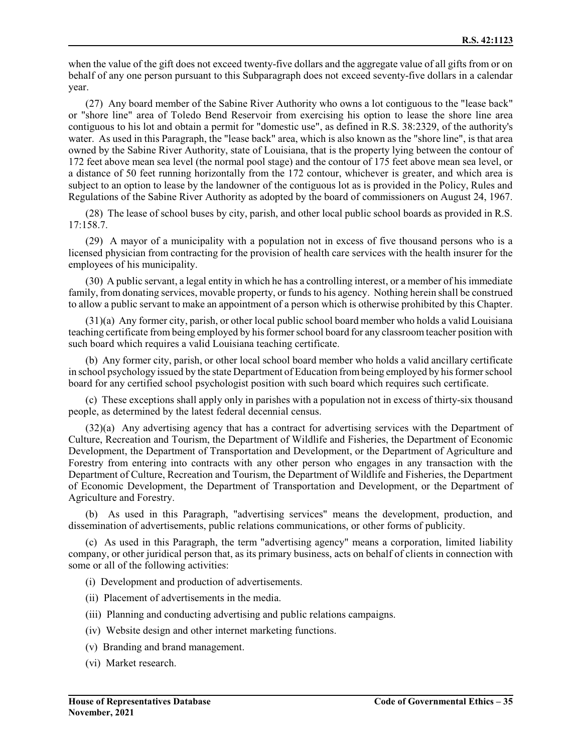when the value of the gift does not exceed twenty-five dollars and the aggregate value of all gifts from or on behalf of any one person pursuant to this Subparagraph does not exceed seventy-five dollars in a calendar year.

(27) Any board member of the Sabine River Authority who owns a lot contiguous to the "lease back" or "shore line" area of Toledo Bend Reservoir from exercising his option to lease the shore line area contiguous to his lot and obtain a permit for "domestic use", as defined in R.S. 38:2329, of the authority's water. As used in this Paragraph, the "lease back" area, which is also known as the "shore line", is that area owned by the Sabine River Authority, state of Louisiana, that is the property lying between the contour of 172 feet above mean sea level (the normal pool stage) and the contour of 175 feet above mean sea level, or a distance of 50 feet running horizontally from the 172 contour, whichever is greater, and which area is subject to an option to lease by the landowner of the contiguous lot as is provided in the Policy, Rules and Regulations of the Sabine River Authority as adopted by the board of commissioners on August 24, 1967.

(28) The lease of school buses by city, parish, and other local public school boards as provided in R.S. 17:158.7.

(29) A mayor of a municipality with a population not in excess of five thousand persons who is a licensed physician from contracting for the provision of health care services with the health insurer for the employees of his municipality.

(30) A public servant, a legal entity in which he has a controlling interest, or a member of his immediate family, from donating services, movable property, or funds to his agency. Nothing herein shall be construed to allow a public servant to make an appointment of a person which is otherwise prohibited by this Chapter.

(31)(a) Any former city, parish, or other local public school board member who holds a valid Louisiana teaching certificate from being employed by his former school board for any classroom teacher position with such board which requires a valid Louisiana teaching certificate.

(b) Any former city, parish, or other local school board member who holds a valid ancillary certificate in school psychology issued by the state Department of Education from being employed by his former school board for any certified school psychologist position with such board which requires such certificate.

(c) These exceptions shall apply only in parishes with a population not in excess of thirty-six thousand people, as determined by the latest federal decennial census.

(32)(a) Any advertising agency that has a contract for advertising services with the Department of Culture, Recreation and Tourism, the Department of Wildlife and Fisheries, the Department of Economic Development, the Department of Transportation and Development, or the Department of Agriculture and Forestry from entering into contracts with any other person who engages in any transaction with the Department of Culture, Recreation and Tourism, the Department of Wildlife and Fisheries, the Department of Economic Development, the Department of Transportation and Development, or the Department of Agriculture and Forestry.

(b) As used in this Paragraph, "advertising services" means the development, production, and dissemination of advertisements, public relations communications, or other forms of publicity.

(c) As used in this Paragraph, the term "advertising agency" means a corporation, limited liability company, or other juridical person that, as its primary business, acts on behalf of clients in connection with some or all of the following activities:

(i) Development and production of advertisements.

- (ii) Placement of advertisements in the media.
- (iii) Planning and conducting advertising and public relations campaigns.
- (iv) Website design and other internet marketing functions.
- (v) Branding and brand management.
- (vi) Market research.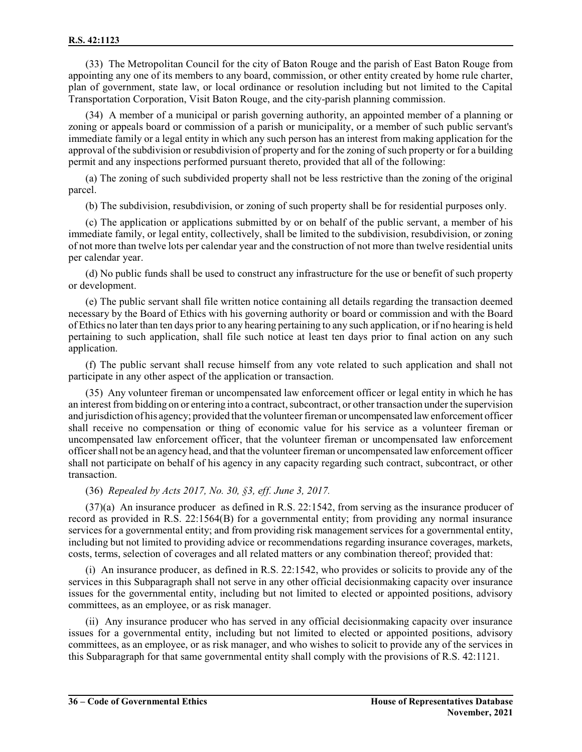(33) The Metropolitan Council for the city of Baton Rouge and the parish of East Baton Rouge from appointing any one of its members to any board, commission, or other entity created by home rule charter, plan of government, state law, or local ordinance or resolution including but not limited to the Capital Transportation Corporation, Visit Baton Rouge, and the city-parish planning commission.

(34) A member of a municipal or parish governing authority, an appointed member of a planning or zoning or appeals board or commission of a parish or municipality, or a member of such public servant's immediate family or a legal entity in which any such person has an interest from making application for the approval of the subdivision or resubdivision of property and for the zoning of such property or for a building permit and any inspections performed pursuant thereto, provided that all of the following:

(a) The zoning of such subdivided property shall not be less restrictive than the zoning of the original parcel.

(b) The subdivision, resubdivision, or zoning of such property shall be for residential purposes only.

(c) The application or applications submitted by or on behalf of the public servant, a member of his immediate family, or legal entity, collectively, shall be limited to the subdivision, resubdivision, or zoning of not more than twelve lots per calendar year and the construction of not more than twelve residential units per calendar year.

(d) No public funds shall be used to construct any infrastructure for the use or benefit of such property or development.

(e) The public servant shall file written notice containing all details regarding the transaction deemed necessary by the Board of Ethics with his governing authority or board or commission and with the Board of Ethics no later than ten days prior to any hearing pertaining to any such application, or if no hearing is held pertaining to such application, shall file such notice at least ten days prior to final action on any such application.

(f) The public servant shall recuse himself from any vote related to such application and shall not participate in any other aspect of the application or transaction.

(35) Any volunteer fireman or uncompensated law enforcement officer or legal entity in which he has an interest frombidding on or entering into a contract, subcontract, or other transaction under the supervision and jurisdiction of his agency; provided that the volunteer fireman or uncompensated law enforcement officer shall receive no compensation or thing of economic value for his service as a volunteer fireman or uncompensated law enforcement officer, that the volunteer fireman or uncompensated law enforcement officershall not be an agency head, and that the volunteer fireman or uncompensated law enforcement officer shall not participate on behalf of his agency in any capacity regarding such contract, subcontract, or other transaction.

(36) *Repealed by Acts 2017, No. 30, §3, eff. June 3, 2017.*

(37)(a) An insurance producer as defined in R.S. 22:1542, from serving as the insurance producer of record as provided in R.S. 22:1564(B) for a governmental entity; from providing any normal insurance services for a governmental entity; and from providing risk management services for a governmental entity, including but not limited to providing advice or recommendations regarding insurance coverages, markets, costs, terms, selection of coverages and all related matters or any combination thereof; provided that:

(i) An insurance producer, as defined in R.S. 22:1542, who provides or solicits to provide any of the services in this Subparagraph shall not serve in any other official decisionmaking capacity over insurance issues for the governmental entity, including but not limited to elected or appointed positions, advisory committees, as an employee, or as risk manager.

(ii) Any insurance producer who has served in any official decisionmaking capacity over insurance issues for a governmental entity, including but not limited to elected or appointed positions, advisory committees, as an employee, or as risk manager, and who wishes to solicit to provide any of the services in this Subparagraph for that same governmental entity shall comply with the provisions of R.S. 42:1121.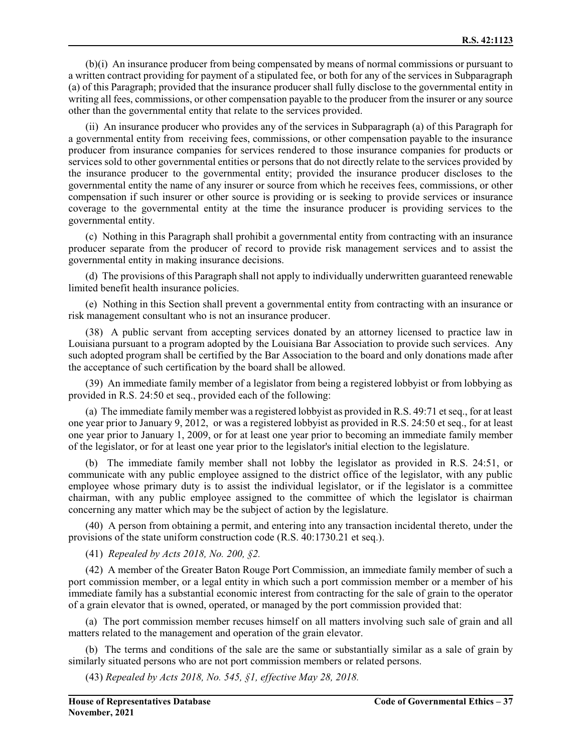(b)(i) An insurance producer from being compensated by means of normal commissions or pursuant to a written contract providing for payment of a stipulated fee, or both for any of the services in Subparagraph (a) of this Paragraph; provided that the insurance producer shall fully disclose to the governmental entity in writing all fees, commissions, or other compensation payable to the producer from the insurer or any source other than the governmental entity that relate to the services provided.

(ii) An insurance producer who provides any of the services in Subparagraph (a) of this Paragraph for a governmental entity from receiving fees, commissions, or other compensation payable to the insurance producer from insurance companies for services rendered to those insurance companies for products or services sold to other governmental entities or persons that do not directly relate to the services provided by the insurance producer to the governmental entity; provided the insurance producer discloses to the governmental entity the name of any insurer or source from which he receives fees, commissions, or other compensation if such insurer or other source is providing or is seeking to provide services or insurance coverage to the governmental entity at the time the insurance producer is providing services to the governmental entity.

(c) Nothing in this Paragraph shall prohibit a governmental entity from contracting with an insurance producer separate from the producer of record to provide risk management services and to assist the governmental entity in making insurance decisions.

(d) The provisions of this Paragraph shall not apply to individually underwritten guaranteed renewable limited benefit health insurance policies.

(e) Nothing in this Section shall prevent a governmental entity from contracting with an insurance or risk management consultant who is not an insurance producer.

(38) A public servant from accepting services donated by an attorney licensed to practice law in Louisiana pursuant to a program adopted by the Louisiana Bar Association to provide such services. Any such adopted program shall be certified by the Bar Association to the board and only donations made after the acceptance of such certification by the board shall be allowed.

(39) An immediate family member of a legislator from being a registered lobbyist or from lobbying as provided in R.S. 24:50 et seq., provided each of the following:

(a) The immediate family member was a registered lobbyist as provided in R.S. 49:71 etseq., for at least one year prior to January 9, 2012, or was a registered lobbyist as provided in R.S. 24:50 et seq., for at least one year prior to January 1, 2009, or for at least one year prior to becoming an immediate family member of the legislator, or for at least one year prior to the legislator's initial election to the legislature.

(b) The immediate family member shall not lobby the legislator as provided in R.S. 24:51, or communicate with any public employee assigned to the district office of the legislator, with any public employee whose primary duty is to assist the individual legislator, or if the legislator is a committee chairman, with any public employee assigned to the committee of which the legislator is chairman concerning any matter which may be the subject of action by the legislature.

(40) A person from obtaining a permit, and entering into any transaction incidental thereto, under the provisions of the state uniform construction code (R.S. 40:1730.21 et seq.).

(41) *Repealed by Acts 2018, No. 200, §2.*

(42) A member of the Greater Baton Rouge Port Commission, an immediate family member of such a port commission member, or a legal entity in which such a port commission member or a member of his immediate family has a substantial economic interest from contracting for the sale of grain to the operator of a grain elevator that is owned, operated, or managed by the port commission provided that:

(a) The port commission member recuses himself on all matters involving such sale of grain and all matters related to the management and operation of the grain elevator.

(b) The terms and conditions of the sale are the same or substantially similar as a sale of grain by similarly situated persons who are not port commission members or related persons.

(43) *Repealed by Acts 2018, No. 545, §1, effective May 28, 2018.*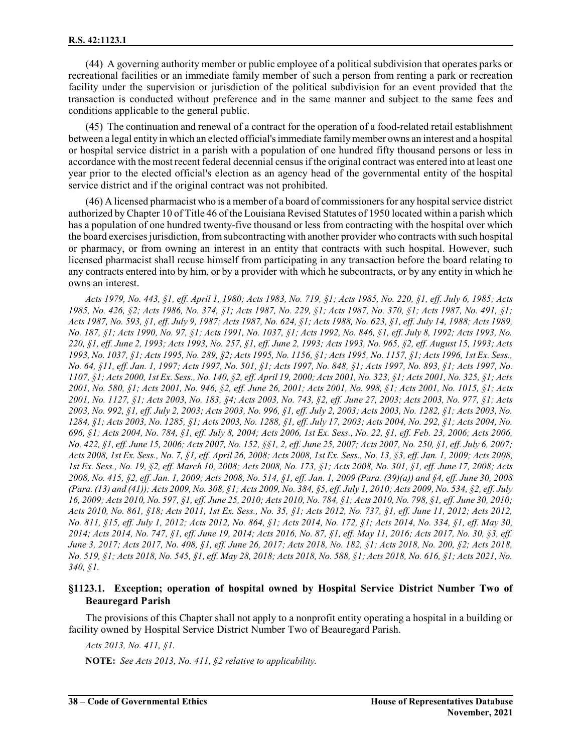(44) A governing authority member or public employee of a political subdivision that operates parks or recreational facilities or an immediate family member of such a person from renting a park or recreation facility under the supervision or jurisdiction of the political subdivision for an event provided that the transaction is conducted without preference and in the same manner and subject to the same fees and conditions applicable to the general public.

(45) The continuation and renewal of a contract for the operation of a food-related retail establishment between a legal entity in which an elected official's immediate familymember owns an interest and a hospital or hospital service district in a parish with a population of one hundred fifty thousand persons or less in accordance with the most recent federal decennial census if the original contract was entered into at least one year prior to the elected official's election as an agency head of the governmental entity of the hospital service district and if the original contract was not prohibited.

(46) A licensed pharmacist who is a member of a board of commissioners for any hospitalservice district authorized byChapter 10 of Title 46 of the Louisiana Revised Statutes of 1950 located within a parish which has a population of one hundred twenty-five thousand or less from contracting with the hospital over which the board exercises jurisdiction, fromsubcontracting with another provider who contracts with such hospital or pharmacy, or from owning an interest in an entity that contracts with such hospital. However, such licensed pharmacist shall recuse himself from participating in any transaction before the board relating to any contracts entered into by him, or by a provider with which he subcontracts, or by any entity in which he owns an interest.

*Acts 1979, No. 443, §1, eff. April 1, 1980; Acts 1983, No. 719, §1; Acts 1985, No. 220, §1, eff. July 6, 1985; Acts 1985, No. 426, §2; Acts 1986, No. 374, §1; Acts 1987, No. 229, §1; Acts 1987, No. 370, §1; Acts 1987, No. 491, §1; Acts 1987, No. 593, §1, eff. July 9, 1987; Acts 1987, No. 624, §1; Acts 1988, No. 623, §1, eff. July 14, 1988; Acts 1989, No. 187, §1; Acts 1990, No. 97, §1; Acts 1991, No. 1037, §1; Acts 1992, No. 846, §1, eff. July 8, 1992; Acts 1993, No. 220, §1, eff. June 2, 1993; Acts 1993, No. 257, §1, eff. June 2, 1993; Acts 1993, No. 965, §2, eff. August 15, 1993; Acts 1993, No. 1037, §1; Acts 1995, No. 289, §2; Acts 1995, No. 1156, §1; Acts 1995, No. 1157, §1; Acts 1996, 1st Ex. Sess., No. 64, §11, eff. Jan. 1, 1997; Acts 1997, No. 501, §1; Acts 1997, No. 848, §1; Acts 1997, No. 893, §1; Acts 1997, No. 1107, §1; Acts 2000, 1st Ex. Sess., No. 140, §2, eff. April 19, 2000; Acts 2001, No. 323, §1; Acts 2001, No. 325, §1; Acts 2001, No. 580, §1; Acts 2001, No. 946, §2, eff. June 26, 2001; Acts 2001, No. 998, §1; Acts 2001, No. 1015, §1; Acts 2001, No. 1127, §1; Acts 2003, No. 183, §4; Acts 2003, No. 743, §2, eff. June 27, 2003; Acts 2003, No. 977, §1; Acts 2003, No. 992, §1, eff. July 2, 2003; Acts 2003, No. 996, §1, eff. July 2, 2003; Acts 2003, No. 1282, §1; Acts 2003, No. 1284, §1; Acts 2003, No. 1285, §1; Acts 2003, No. 1288, §1, eff. July 17, 2003; Acts 2004, No. 292, §1; Acts 2004, No. 696, §1; Acts 2004, No. 784, §1, eff. July 8, 2004; Acts 2006, 1st Ex. Sess., No. 22, §1, eff. Feb. 23, 2006; Acts 2006, No. 422, §1, eff. June 15, 2006; Acts 2007, No. 152, §§1, 2, eff. June 25, 2007; Acts 2007, No. 250, §1, eff. July 6, 2007; Acts 2008, 1st Ex. Sess., No. 7, §1, eff. April 26, 2008; Acts 2008, 1st Ex. Sess., No. 13, §3, eff. Jan. 1, 2009; Acts 2008, 1st Ex. Sess., No. 19, §2, eff. March 10, 2008; Acts 2008, No. 173, §1; Acts 2008, No. 301, §1, eff. June 17, 2008; Acts 2008, No. 415, §2, eff. Jan. 1, 2009; Acts 2008, No. 514, §1, eff. Jan. 1, 2009 (Para. (39)(a)) and §4, eff. June 30, 2008 (Para. (13) and (41)); Acts 2009, No. 308, §1; Acts 2009, No. 384, §5, eff. July 1, 2010; Acts 2009, No. 534, §2, eff. July 16, 2009; Acts 2010, No. 597, §1, eff. June 25, 2010; Acts 2010, No. 784, §1; Acts 2010, No. 798, §1, eff. June 30, 2010; Acts 2010, No. 861, §18; Acts 2011, 1st Ex. Sess., No. 35, §1; Acts 2012, No. 737, §1, eff. June 11, 2012; Acts 2012, No. 811, §15, eff. July 1, 2012; Acts 2012, No. 864, §1; Acts 2014, No. 172, §1; Acts 2014, No. 334, §1, eff. May 30, 2014; Acts 2014, No. 747, §1, eff. June 19, 2014; Acts 2016, No. 87, §1, eff. May 11, 2016; Acts 2017, No. 30, §3, eff. June 3, 2017; Acts 2017, No. 408, §1, eff. June 26, 2017; Acts 2018, No. 182, §1; Acts 2018, No. 200, §2; Acts 2018, No. 519, §1; Acts 2018, No. 545, §1, eff. May 28, 2018; Acts 2018, No. 588, §1; Acts 2018, No. 616, §1; Acts 2021, No. 340, §1.*

# **§1123.1. Exception; operation of hospital owned by Hospital Service District Number Two of Beauregard Parish**

The provisions of this Chapter shall not apply to a nonprofit entity operating a hospital in a building or facility owned by Hospital Service District Number Two of Beauregard Parish.

*Acts 2013, No. 411, §1.*

**NOTE:** *See Acts 2013, No. 411, §2 relative to applicability.*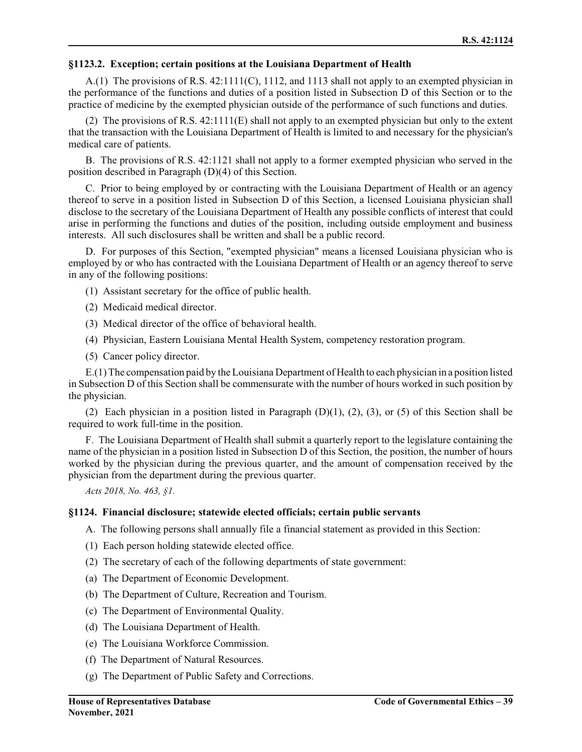# **§1123.2. Exception; certain positions at the Louisiana Department of Health**

 $A(1)$  The provisions of R.S. 42:1111(C), 1112, and 1113 shall not apply to an exempted physician in the performance of the functions and duties of a position listed in Subsection D of this Section or to the practice of medicine by the exempted physician outside of the performance of such functions and duties.

(2) The provisions of R.S. 42:1111(E) shall not apply to an exempted physician but only to the extent that the transaction with the Louisiana Department of Health is limited to and necessary for the physician's medical care of patients.

B. The provisions of R.S. 42:1121 shall not apply to a former exempted physician who served in the position described in Paragraph (D)(4) of this Section.

C. Prior to being employed by or contracting with the Louisiana Department of Health or an agency thereof to serve in a position listed in Subsection D of this Section, a licensed Louisiana physician shall disclose to the secretary of the Louisiana Department of Health any possible conflicts of interest that could arise in performing the functions and duties of the position, including outside employment and business interests. All such disclosures shall be written and shall be a public record.

D. For purposes of this Section, "exempted physician" means a licensed Louisiana physician who is employed by or who has contracted with the Louisiana Department of Health or an agency thereof to serve in any of the following positions:

- (1) Assistant secretary for the office of public health.
- (2) Medicaid medical director.
- (3) Medical director of the office of behavioral health.
- (4) Physician, Eastern Louisiana Mental Health System, competency restoration program.
- (5) Cancer policy director.

E.(1)The compensation paid by the Louisiana Department of Health to each physician in a position listed in Subsection D of this Section shall be commensurate with the number of hours worked in such position by the physician.

(2) Each physician in a position listed in Paragraph  $(D)(1)$ ,  $(2)$ ,  $(3)$ , or  $(5)$  of this Section shall be required to work full-time in the position.

F. The Louisiana Department of Health shall submit a quarterly report to the legislature containing the name of the physician in a position listed in Subsection D of this Section, the position, the number of hours worked by the physician during the previous quarter, and the amount of compensation received by the physician from the department during the previous quarter.

*Acts 2018, No. 463, §1.*

## **§1124. Financial disclosure; statewide elected officials; certain public servants**

A. The following persons shall annually file a financial statement as provided in this Section:

- (1) Each person holding statewide elected office.
- (2) The secretary of each of the following departments of state government:
- (a) The Department of Economic Development.
- (b) The Department of Culture, Recreation and Tourism.
- (c) The Department of Environmental Quality.
- (d) The Louisiana Department of Health.
- (e) The Louisiana Workforce Commission.
- (f) The Department of Natural Resources.
- (g) The Department of Public Safety and Corrections.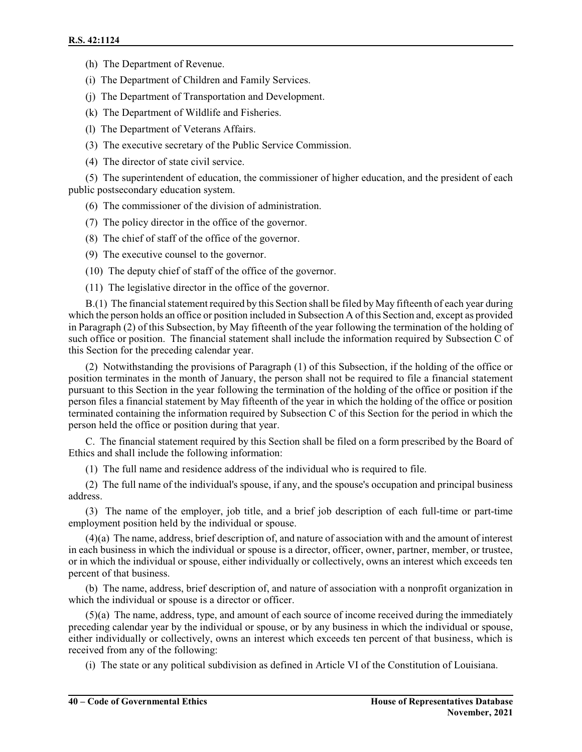- (h) The Department of Revenue.
- (i) The Department of Children and Family Services.
- (j) The Department of Transportation and Development.
- (k) The Department of Wildlife and Fisheries.
- (l) The Department of Veterans Affairs.
- (3) The executive secretary of the Public Service Commission.
- (4) The director of state civil service.

(5) The superintendent of education, the commissioner of higher education, and the president of each public postsecondary education system.

- (6) The commissioner of the division of administration.
- (7) The policy director in the office of the governor.
- (8) The chief of staff of the office of the governor.
- (9) The executive counsel to the governor.
- (10) The deputy chief of staff of the office of the governor.
- (11) The legislative director in the office of the governor.

B.(1) The financial statement required by this Section shall be filed by May fifteenth of each year during which the person holds an office or position included in Subsection A of this Section and, except as provided in Paragraph (2) of this Subsection, by May fifteenth of the year following the termination of the holding of such office or position. The financial statement shall include the information required by Subsection C of this Section for the preceding calendar year.

(2) Notwithstanding the provisions of Paragraph (1) of this Subsection, if the holding of the office or position terminates in the month of January, the person shall not be required to file a financial statement pursuant to this Section in the year following the termination of the holding of the office or position if the person files a financial statement by May fifteenth of the year in which the holding of the office or position terminated containing the information required by Subsection C of this Section for the period in which the person held the office or position during that year.

C. The financial statement required by this Section shall be filed on a form prescribed by the Board of Ethics and shall include the following information:

(1) The full name and residence address of the individual who is required to file.

(2) The full name of the individual's spouse, if any, and the spouse's occupation and principal business address.

(3) The name of the employer, job title, and a brief job description of each full-time or part-time employment position held by the individual or spouse.

(4)(a) The name, address, brief description of, and nature of association with and the amount of interest in each business in which the individual or spouse is a director, officer, owner, partner, member, or trustee, or in which the individual or spouse, either individually or collectively, owns an interest which exceeds ten percent of that business.

(b) The name, address, brief description of, and nature of association with a nonprofit organization in which the individual or spouse is a director or officer.

(5)(a) The name, address, type, and amount of each source of income received during the immediately preceding calendar year by the individual or spouse, or by any business in which the individual or spouse, either individually or collectively, owns an interest which exceeds ten percent of that business, which is received from any of the following:

(i) The state or any political subdivision as defined in Article VI of the Constitution of Louisiana.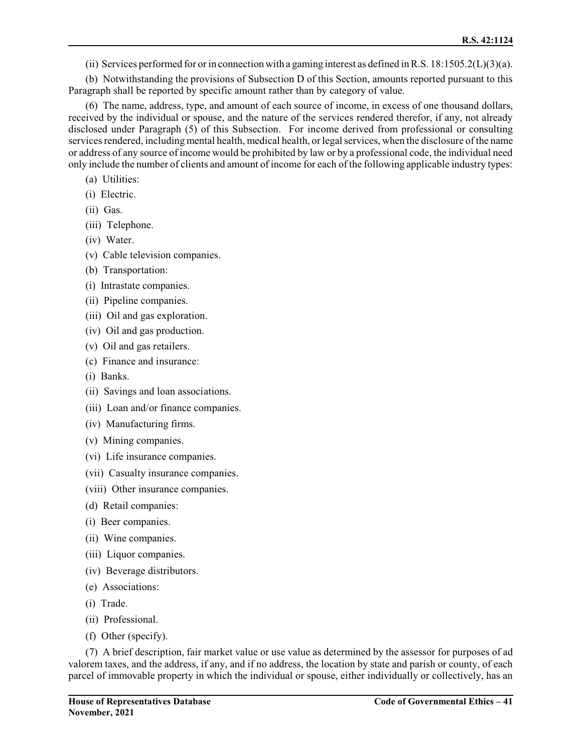(ii) Services performed for or in connection with a gaming interest as defined in R.S.  $18:1505.2(L)(3)(a)$ .

(b) Notwithstanding the provisions of Subsection D of this Section, amounts reported pursuant to this Paragraph shall be reported by specific amount rather than by category of value.

(6) The name, address, type, and amount of each source of income, in excess of one thousand dollars, received by the individual or spouse, and the nature of the services rendered therefor, if any, not already disclosed under Paragraph (5) of this Subsection. For income derived from professional or consulting services rendered, including mental health, medical health, or legal services, when the disclosure of the name or address of any source of income would be prohibited by law or by a professional code, the individual need only include the number of clients and amount of income for each of the following applicable industry types:

- (a) Utilities:
- (i) Electric.
- (ii) Gas.
- (iii) Telephone.
- (iv) Water.
- (v) Cable television companies.
- (b) Transportation:
- (i) Intrastate companies.
- (ii) Pipeline companies.
- (iii) Oil and gas exploration.
- (iv) Oil and gas production.
- (v) Oil and gas retailers.
- (c) Finance and insurance:
- (i) Banks.
- (ii) Savings and loan associations.
- (iii) Loan and/or finance companies.
- (iv) Manufacturing firms.
- (v) Mining companies.
- (vi) Life insurance companies.
- (vii) Casualty insurance companies.
- (viii) Other insurance companies.
- (d) Retail companies:
- (i) Beer companies.
- (ii) Wine companies.
- (iii) Liquor companies.
- (iv) Beverage distributors.
- (e) Associations:
- (i) Trade.
- (ii) Professional.
- (f) Other (specify).

(7) A brief description, fair market value or use value as determined by the assessor for purposes of ad valorem taxes, and the address, if any, and if no address, the location by state and parish or county, of each parcel of immovable property in which the individual or spouse, either individually or collectively, has an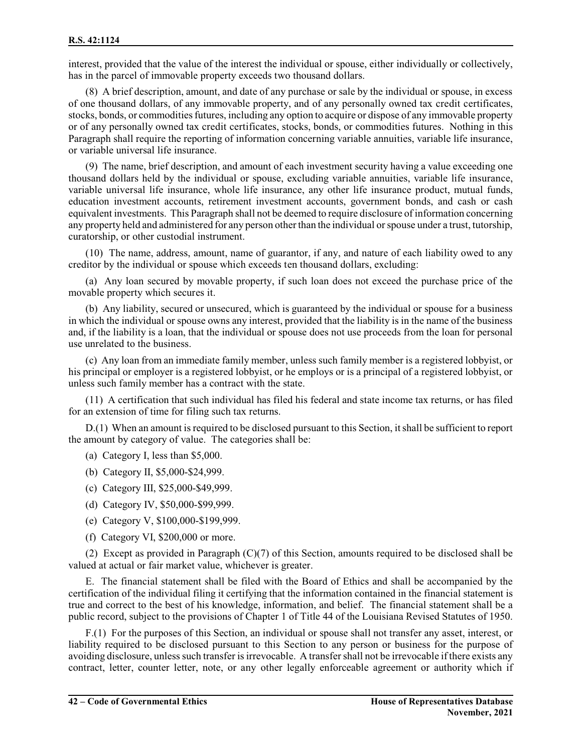interest, provided that the value of the interest the individual or spouse, either individually or collectively, has in the parcel of immovable property exceeds two thousand dollars.

(8) A brief description, amount, and date of any purchase or sale by the individual or spouse, in excess of one thousand dollars, of any immovable property, and of any personally owned tax credit certificates, stocks, bonds, or commodities futures, including any option to acquire or dispose of any immovable property or of any personally owned tax credit certificates, stocks, bonds, or commodities futures. Nothing in this Paragraph shall require the reporting of information concerning variable annuities, variable life insurance, or variable universal life insurance.

(9) The name, brief description, and amount of each investment security having a value exceeding one thousand dollars held by the individual or spouse, excluding variable annuities, variable life insurance, variable universal life insurance, whole life insurance, any other life insurance product, mutual funds, education investment accounts, retirement investment accounts, government bonds, and cash or cash equivalent investments. This Paragraph shall not be deemed to require disclosure of information concerning any property held and administered for any person otherthan the individual orspouse under a trust, tutorship, curatorship, or other custodial instrument.

(10) The name, address, amount, name of guarantor, if any, and nature of each liability owed to any creditor by the individual or spouse which exceeds ten thousand dollars, excluding:

(a) Any loan secured by movable property, if such loan does not exceed the purchase price of the movable property which secures it.

(b) Any liability, secured or unsecured, which is guaranteed by the individual or spouse for a business in which the individual or spouse owns any interest, provided that the liability is in the name of the business and, if the liability is a loan, that the individual or spouse does not use proceeds from the loan for personal use unrelated to the business.

(c) Any loan from an immediate family member, unless such family member is a registered lobbyist, or his principal or employer is a registered lobbyist, or he employs or is a principal of a registered lobbyist, or unless such family member has a contract with the state.

(11) A certification that such individual has filed his federal and state income tax returns, or has filed for an extension of time for filing such tax returns.

D.(1) When an amount is required to be disclosed pursuant to this Section, it shall be sufficient to report the amount by category of value. The categories shall be:

- (a) Category I, less than \$5,000.
- (b) Category II, \$5,000-\$24,999.
- (c) Category III, \$25,000-\$49,999.
- (d) Category IV, \$50,000-\$99,999.
- (e) Category V, \$100,000-\$199,999.
- (f) Category VI, \$200,000 or more.

(2) Except as provided in Paragraph (C)(7) of this Section, amounts required to be disclosed shall be valued at actual or fair market value, whichever is greater.

E. The financial statement shall be filed with the Board of Ethics and shall be accompanied by the certification of the individual filing it certifying that the information contained in the financial statement is true and correct to the best of his knowledge, information, and belief. The financial statement shall be a public record, subject to the provisions of Chapter 1 of Title 44 of the Louisiana Revised Statutes of 1950.

F.(1) For the purposes of this Section, an individual or spouse shall not transfer any asset, interest, or liability required to be disclosed pursuant to this Section to any person or business for the purpose of avoiding disclosure, unless such transfer is irrevocable. A transfershall not be irrevocable if there exists any contract, letter, counter letter, note, or any other legally enforceable agreement or authority which if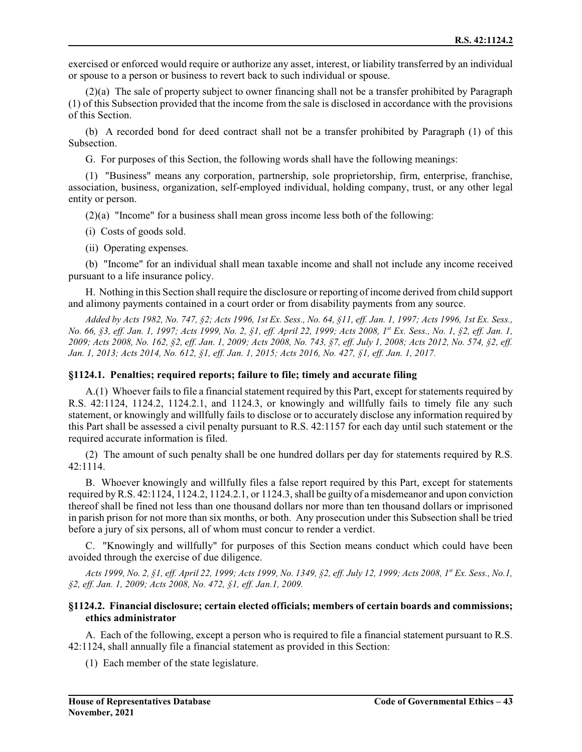exercised or enforced would require or authorize any asset, interest, or liability transferred by an individual or spouse to a person or business to revert back to such individual or spouse.

(2)(a) The sale of property subject to owner financing shall not be a transfer prohibited by Paragraph (1) of this Subsection provided that the income from the sale is disclosed in accordance with the provisions of this Section.

(b) A recorded bond for deed contract shall not be a transfer prohibited by Paragraph (1) of this Subsection.

G. For purposes of this Section, the following words shall have the following meanings:

(1) "Business" means any corporation, partnership, sole proprietorship, firm, enterprise, franchise, association, business, organization, self-employed individual, holding company, trust, or any other legal entity or person.

(2)(a) "Income" for a business shall mean gross income less both of the following:

(i) Costs of goods sold.

(ii) Operating expenses.

(b) "Income" for an individual shall mean taxable income and shall not include any income received pursuant to a life insurance policy.

H. Nothing in this Section shall require the disclosure or reporting of income derived from child support and alimony payments contained in a court order or from disability payments from any source.

*Added by Acts 1982, No. 747, §2; Acts 1996, 1st Ex. Sess., No. 64, §11, eff. Jan. 1, 1997; Acts 1996, 1st Ex. Sess., No. 66, §3, eff. Jan. 1, 1997; Acts 1999, No. 2, §1, eff. April 22, 1999; Acts 2008, 1 st Ex. Sess., No. 1, §2, eff. Jan. 1, 2009; Acts 2008, No. 162, §2, eff. Jan. 1, 2009; Acts 2008, No. 743, §7, eff. July 1, 2008; Acts 2012, No. 574, §2, eff. Jan. 1, 2013; Acts 2014, No. 612, §1, eff. Jan. 1, 2015; Acts 2016, No. 427, §1, eff. Jan. 1, 2017.*

# **§1124.1. Penalties; required reports; failure to file; timely and accurate filing**

A.(1) Whoever fails to file a financial statement required by this Part, except for statements required by R.S. 42:1124, 1124.2, 1124.2.1, and 1124.3, or knowingly and willfully fails to timely file any such statement, or knowingly and willfully fails to disclose or to accurately disclose any information required by this Part shall be assessed a civil penalty pursuant to R.S. 42:1157 for each day until such statement or the required accurate information is filed.

(2) The amount of such penalty shall be one hundred dollars per day for statements required by R.S. 42:1114.

B. Whoever knowingly and willfully files a false report required by this Part, except for statements required by R.S. 42:1124, 1124.2, 1124.2.1, or 1124.3, shall be guilty of a misdemeanor and upon conviction thereof shall be fined not less than one thousand dollars nor more than ten thousand dollars or imprisoned in parish prison for not more than six months, or both. Any prosecution under this Subsection shall be tried before a jury of six persons, all of whom must concur to render a verdict.

C. "Knowingly and willfully" for purposes of this Section means conduct which could have been avoided through the exercise of due diligence.

*Acts 1999, No. 2, §1, eff. April 22, 1999; Acts 1999, No. 1349, §2, eff. July 12, 1999; Acts 2008, 1 st Ex. Sess., No.1, §2, eff. Jan. 1, 2009; Acts 2008, No. 472, §1, eff. Jan.1, 2009.*

# **§1124.2. Financial disclosure; certain elected officials; members of certain boards and commissions; ethics administrator**

A. Each of the following, except a person who is required to file a financial statement pursuant to R.S. 42:1124, shall annually file a financial statement as provided in this Section:

(1) Each member of the state legislature.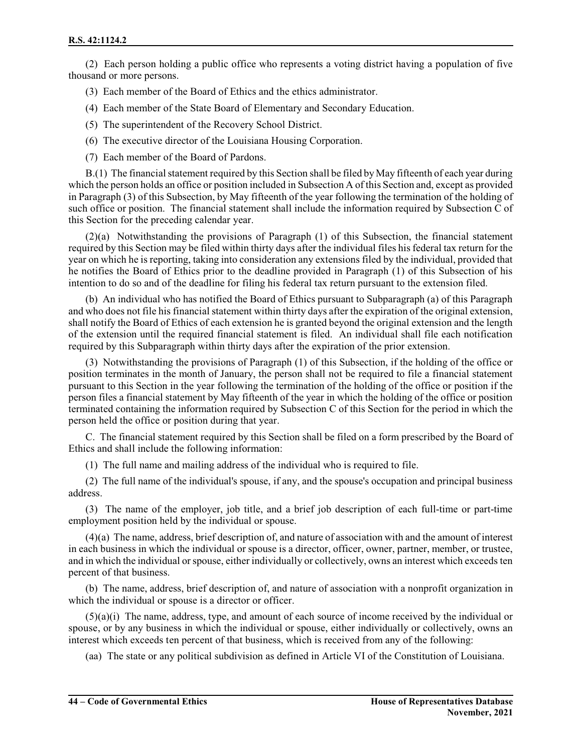(2) Each person holding a public office who represents a voting district having a population of five thousand or more persons.

(3) Each member of the Board of Ethics and the ethics administrator.

(4) Each member of the State Board of Elementary and Secondary Education.

- (5) The superintendent of the Recovery School District.
- (6) The executive director of the Louisiana Housing Corporation.

(7) Each member of the Board of Pardons.

 $B(1)$  The financial statement required by this Section shall be filed by May fifteenth of each year during which the person holds an office or position included in Subsection A of this Section and, except as provided in Paragraph (3) of this Subsection, by May fifteenth of the year following the termination of the holding of such office or position. The financial statement shall include the information required by Subsection C of this Section for the preceding calendar year.

(2)(a) Notwithstanding the provisions of Paragraph (1) of this Subsection, the financial statement required by this Section may be filed within thirty days after the individual files his federal tax return for the year on which he is reporting, taking into consideration any extensions filed by the individual, provided that he notifies the Board of Ethics prior to the deadline provided in Paragraph (1) of this Subsection of his intention to do so and of the deadline for filing his federal tax return pursuant to the extension filed.

(b) An individual who has notified the Board of Ethics pursuant to Subparagraph (a) of this Paragraph and who does not file his financial statement within thirty days after the expiration of the original extension, shall notify the Board of Ethics of each extension he is granted beyond the original extension and the length of the extension until the required financial statement is filed. An individual shall file each notification required by this Subparagraph within thirty days after the expiration of the prior extension.

(3) Notwithstanding the provisions of Paragraph (1) of this Subsection, if the holding of the office or position terminates in the month of January, the person shall not be required to file a financial statement pursuant to this Section in the year following the termination of the holding of the office or position if the person files a financial statement by May fifteenth of the year in which the holding of the office or position terminated containing the information required by Subsection C of this Section for the period in which the person held the office or position during that year.

C. The financial statement required by this Section shall be filed on a form prescribed by the Board of Ethics and shall include the following information:

(1) The full name and mailing address of the individual who is required to file.

(2) The full name of the individual's spouse, if any, and the spouse's occupation and principal business address.

(3) The name of the employer, job title, and a brief job description of each full-time or part-time employment position held by the individual or spouse.

(4)(a) The name, address, brief description of, and nature of association with and the amount of interest in each business in which the individual or spouse is a director, officer, owner, partner, member, or trustee, and in which the individual orspouse, either individually or collectively, owns an interest which exceeds ten percent of that business.

(b) The name, address, brief description of, and nature of association with a nonprofit organization in which the individual or spouse is a director or officer.

(5)(a)(i) The name, address, type, and amount of each source of income received by the individual or spouse, or by any business in which the individual or spouse, either individually or collectively, owns an interest which exceeds ten percent of that business, which is received from any of the following:

(aa) The state or any political subdivision as defined in Article VI of the Constitution of Louisiana.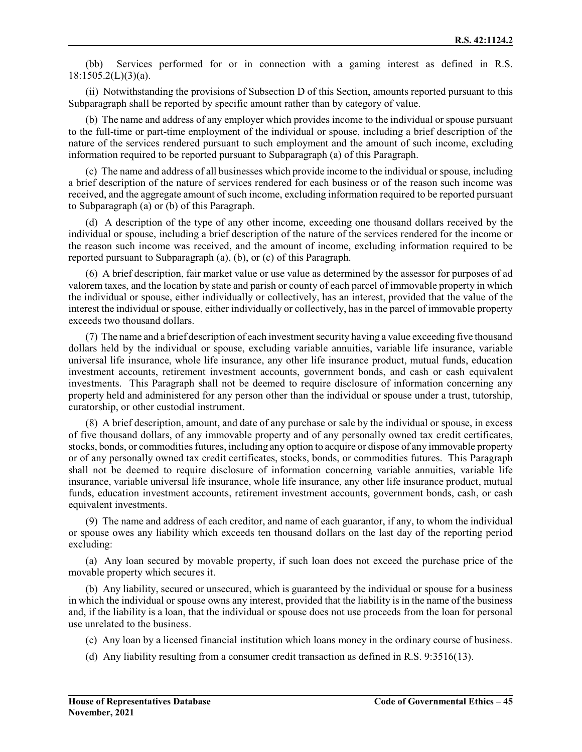(bb) Services performed for or in connection with a gaming interest as defined in R.S.  $18:1505.2(L)(3)(a)$ .

(ii) Notwithstanding the provisions of Subsection D of this Section, amounts reported pursuant to this Subparagraph shall be reported by specific amount rather than by category of value.

(b) The name and address of any employer which provides income to the individual or spouse pursuant to the full-time or part-time employment of the individual or spouse, including a brief description of the nature of the services rendered pursuant to such employment and the amount of such income, excluding information required to be reported pursuant to Subparagraph (a) of this Paragraph.

(c) The name and address of all businesses which provide income to the individual or spouse, including a brief description of the nature of services rendered for each business or of the reason such income was received, and the aggregate amount of such income, excluding information required to be reported pursuant to Subparagraph (a) or (b) of this Paragraph.

(d) A description of the type of any other income, exceeding one thousand dollars received by the individual or spouse, including a brief description of the nature of the services rendered for the income or the reason such income was received, and the amount of income, excluding information required to be reported pursuant to Subparagraph (a), (b), or (c) of this Paragraph.

(6) A brief description, fair market value or use value as determined by the assessor for purposes of ad valorem taxes, and the location by state and parish or county of each parcel of immovable property in which the individual or spouse, either individually or collectively, has an interest, provided that the value of the interest the individual or spouse, either individually or collectively, has in the parcel of immovable property exceeds two thousand dollars.

(7) The name and a brief description of each investmentsecurity having a value exceeding five thousand dollars held by the individual or spouse, excluding variable annuities, variable life insurance, variable universal life insurance, whole life insurance, any other life insurance product, mutual funds, education investment accounts, retirement investment accounts, government bonds, and cash or cash equivalent investments. This Paragraph shall not be deemed to require disclosure of information concerning any property held and administered for any person other than the individual or spouse under a trust, tutorship, curatorship, or other custodial instrument.

(8) A brief description, amount, and date of any purchase or sale by the individual or spouse, in excess of five thousand dollars, of any immovable property and of any personally owned tax credit certificates, stocks, bonds, or commodities futures, including any option to acquire or dispose of any immovable property or of any personally owned tax credit certificates, stocks, bonds, or commodities futures. This Paragraph shall not be deemed to require disclosure of information concerning variable annuities, variable life insurance, variable universal life insurance, whole life insurance, any other life insurance product, mutual funds, education investment accounts, retirement investment accounts, government bonds, cash, or cash equivalent investments.

(9) The name and address of each creditor, and name of each guarantor, if any, to whom the individual or spouse owes any liability which exceeds ten thousand dollars on the last day of the reporting period excluding:

(a) Any loan secured by movable property, if such loan does not exceed the purchase price of the movable property which secures it.

(b) Any liability, secured or unsecured, which is guaranteed by the individual or spouse for a business in which the individual or spouse owns any interest, provided that the liability is in the name of the business and, if the liability is a loan, that the individual or spouse does not use proceeds from the loan for personal use unrelated to the business.

(c) Any loan by a licensed financial institution which loans money in the ordinary course of business.

(d) Any liability resulting from a consumer credit transaction as defined in R.S. 9:3516(13).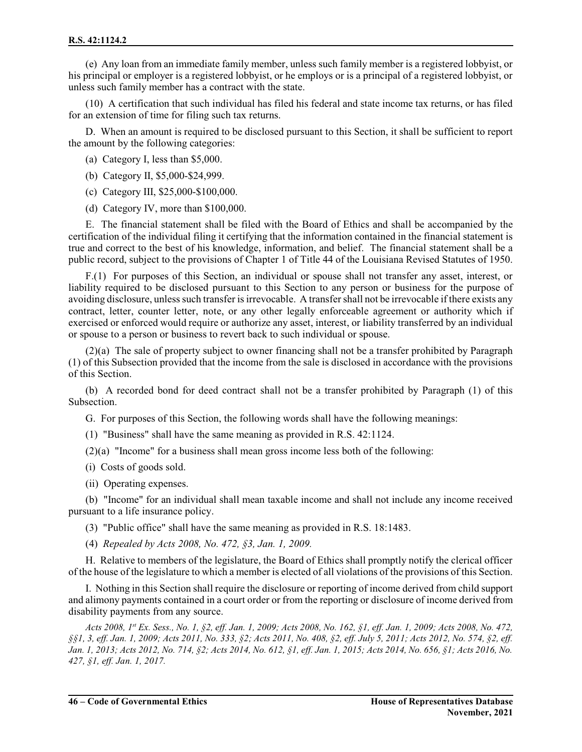(e) Any loan from an immediate family member, unless such family member is a registered lobbyist, or his principal or employer is a registered lobbyist, or he employs or is a principal of a registered lobbyist, or unless such family member has a contract with the state.

(10) A certification that such individual has filed his federal and state income tax returns, or has filed for an extension of time for filing such tax returns.

D. When an amount is required to be disclosed pursuant to this Section, it shall be sufficient to report the amount by the following categories:

- (a) Category I, less than \$5,000.
- (b) Category II, \$5,000-\$24,999.
- (c) Category III, \$25,000-\$100,000.
- (d) Category IV, more than \$100,000.

E. The financial statement shall be filed with the Board of Ethics and shall be accompanied by the certification of the individual filing it certifying that the information contained in the financial statement is true and correct to the best of his knowledge, information, and belief. The financial statement shall be a public record, subject to the provisions of Chapter 1 of Title 44 of the Louisiana Revised Statutes of 1950.

F.(1) For purposes of this Section, an individual or spouse shall not transfer any asset, interest, or liability required to be disclosed pursuant to this Section to any person or business for the purpose of avoiding disclosure, unless such transfer is irrevocable. A transfershall not be irrevocable if there exists any contract, letter, counter letter, note, or any other legally enforceable agreement or authority which if exercised or enforced would require or authorize any asset, interest, or liability transferred by an individual or spouse to a person or business to revert back to such individual or spouse.

(2)(a) The sale of property subject to owner financing shall not be a transfer prohibited by Paragraph (1) of this Subsection provided that the income from the sale is disclosed in accordance with the provisions of this Section.

(b) A recorded bond for deed contract shall not be a transfer prohibited by Paragraph (1) of this Subsection.

G. For purposes of this Section, the following words shall have the following meanings:

- (1) "Business" shall have the same meaning as provided in R.S. 42:1124.
- (2)(a) "Income" for a business shall mean gross income less both of the following:
- (i) Costs of goods sold.
- (ii) Operating expenses.

(b) "Income" for an individual shall mean taxable income and shall not include any income received pursuant to a life insurance policy.

- (3) "Public office" shall have the same meaning as provided in R.S. 18:1483.
- (4) *Repealed by Acts 2008, No. 472, §3, Jan. 1, 2009.*

H. Relative to members of the legislature, the Board of Ethics shall promptly notify the clerical officer of the house of the legislature to which a member is elected of all violations of the provisions of this Section.

I. Nothing in this Section shall require the disclosure or reporting of income derived from child support and alimony payments contained in a court order or from the reporting or disclosure of income derived from disability payments from any source.

*Acts 2008, 1 st Ex. Sess., No. 1, §2, eff. Jan. 1, 2009; Acts 2008, No. 162, §1, eff. Jan. 1, 2009; Acts 2008, No. 472, §§1, 3, eff. Jan. 1, 2009; Acts 2011, No. 333, §2; Acts 2011, No. 408, §2, eff. July 5, 2011; Acts 2012, No. 574, §2, eff. Jan. 1, 2013; Acts 2012, No. 714, §2; Acts 2014, No. 612, §1, eff. Jan. 1, 2015; Acts 2014, No. 656, §1; Acts 2016, No. 427, §1, eff. Jan. 1, 2017.*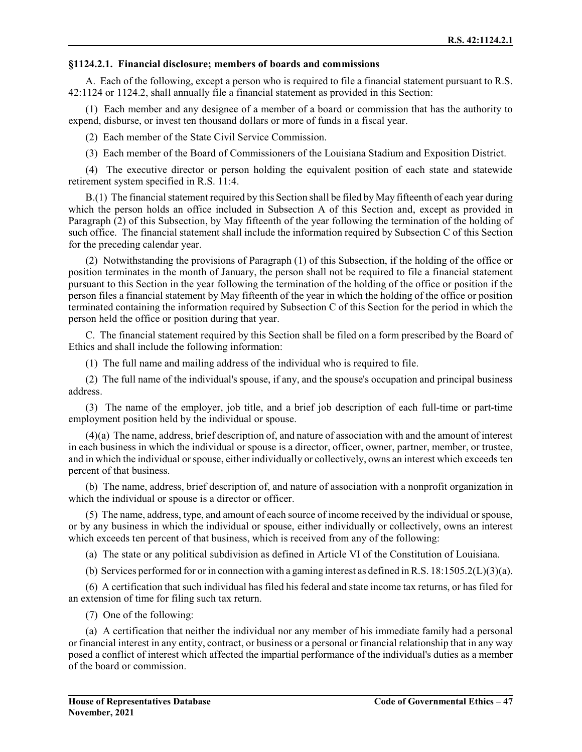# **§1124.2.1. Financial disclosure; members of boards and commissions**

A. Each of the following, except a person who is required to file a financial statement pursuant to R.S. 42:1124 or 1124.2, shall annually file a financial statement as provided in this Section:

(1) Each member and any designee of a member of a board or commission that has the authority to expend, disburse, or invest ten thousand dollars or more of funds in a fiscal year.

(2) Each member of the State Civil Service Commission.

(3) Each member of the Board of Commissioners of the Louisiana Stadium and Exposition District.

(4) The executive director or person holding the equivalent position of each state and statewide retirement system specified in R.S. 11:4.

 $B(1)$  The financial statement required by this Section shall be filed by May fifteenth of each year during which the person holds an office included in Subsection A of this Section and, except as provided in Paragraph (2) of this Subsection, by May fifteenth of the year following the termination of the holding of such office. The financial statement shall include the information required by Subsection C of this Section for the preceding calendar year.

(2) Notwithstanding the provisions of Paragraph (1) of this Subsection, if the holding of the office or position terminates in the month of January, the person shall not be required to file a financial statement pursuant to this Section in the year following the termination of the holding of the office or position if the person files a financial statement by May fifteenth of the year in which the holding of the office or position terminated containing the information required by Subsection C of this Section for the period in which the person held the office or position during that year.

C. The financial statement required by this Section shall be filed on a form prescribed by the Board of Ethics and shall include the following information:

(1) The full name and mailing address of the individual who is required to file.

(2) The full name of the individual's spouse, if any, and the spouse's occupation and principal business address.

(3) The name of the employer, job title, and a brief job description of each full-time or part-time employment position held by the individual or spouse.

(4)(a) The name, address, brief description of, and nature of association with and the amount of interest in each business in which the individual or spouse is a director, officer, owner, partner, member, or trustee, and in which the individual orspouse, either individually or collectively, owns an interest which exceeds ten percent of that business.

(b) The name, address, brief description of, and nature of association with a nonprofit organization in which the individual or spouse is a director or officer.

(5) The name, address, type, and amount of each source of income received by the individual or spouse, or by any business in which the individual or spouse, either individually or collectively, owns an interest which exceeds ten percent of that business, which is received from any of the following:

(a) The state or any political subdivision as defined in Article VI of the Constitution of Louisiana.

(b) Services performed for or in connection with a gaming interest as defined in R.S. 18:1505.2(L)(3)(a).

(6) A certification that such individual has filed his federal and state income tax returns, or has filed for an extension of time for filing such tax return.

(7) One of the following:

(a) A certification that neither the individual nor any member of his immediate family had a personal or financial interest in any entity, contract, or business or a personal or financial relationship that in any way posed a conflict of interest which affected the impartial performance of the individual's duties as a member of the board or commission.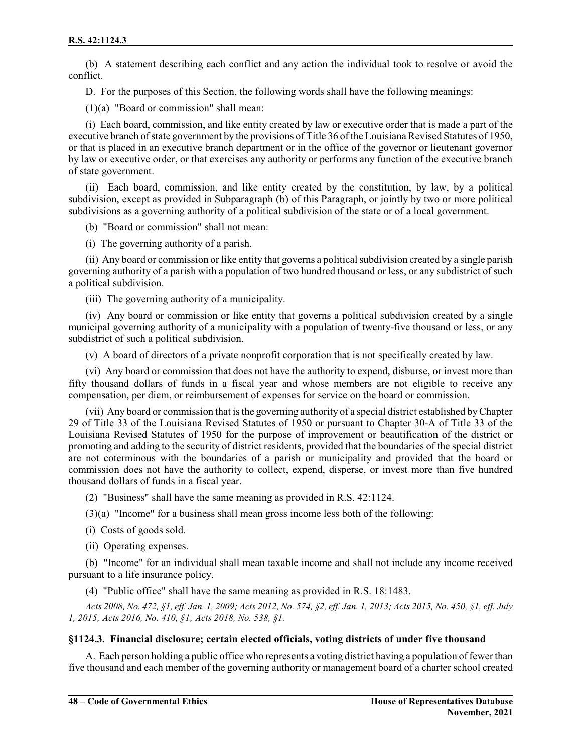(b) A statement describing each conflict and any action the individual took to resolve or avoid the conflict.

D. For the purposes of this Section, the following words shall have the following meanings:

(1)(a) "Board or commission" shall mean:

(i) Each board, commission, and like entity created by law or executive order that is made a part of the executive branch of state government by the provisions of Title 36 of the Louisiana Revised Statutes of 1950, or that is placed in an executive branch department or in the office of the governor or lieutenant governor by law or executive order, or that exercises any authority or performs any function of the executive branch of state government.

(ii) Each board, commission, and like entity created by the constitution, by law, by a political subdivision, except as provided in Subparagraph (b) of this Paragraph, or jointly by two or more political subdivisions as a governing authority of a political subdivision of the state or of a local government.

(b) "Board or commission" shall not mean:

(i) The governing authority of a parish.

(ii) Any board or commission or like entity that governs a political subdivision created by a single parish governing authority of a parish with a population of two hundred thousand or less, or any subdistrict of such a political subdivision.

(iii) The governing authority of a municipality.

(iv) Any board or commission or like entity that governs a political subdivision created by a single municipal governing authority of a municipality with a population of twenty-five thousand or less, or any subdistrict of such a political subdivision.

(v) A board of directors of a private nonprofit corporation that is not specifically created by law.

(vi) Any board or commission that does not have the authority to expend, disburse, or invest more than fifty thousand dollars of funds in a fiscal year and whose members are not eligible to receive any compensation, per diem, or reimbursement of expenses for service on the board or commission.

(vii) Any board or commission that is the governing authority of a special district established byChapter 29 of Title 33 of the Louisiana Revised Statutes of 1950 or pursuant to Chapter 30-A of Title 33 of the Louisiana Revised Statutes of 1950 for the purpose of improvement or beautification of the district or promoting and adding to the security of district residents, provided that the boundaries of the special district are not coterminous with the boundaries of a parish or municipality and provided that the board or commission does not have the authority to collect, expend, disperse, or invest more than five hundred thousand dollars of funds in a fiscal year.

(2) "Business" shall have the same meaning as provided in R.S. 42:1124.

(3)(a) "Income" for a business shall mean gross income less both of the following:

(i) Costs of goods sold.

(ii) Operating expenses.

(b) "Income" for an individual shall mean taxable income and shall not include any income received pursuant to a life insurance policy.

(4) "Public office" shall have the same meaning as provided in R.S. 18:1483.

*Acts 2008, No. 472, §1, eff. Jan. 1, 2009; Acts 2012, No. 574, §2, eff. Jan. 1, 2013; Acts 2015, No. 450, §1, eff. July 1, 2015; Acts 2016, No. 410, §1; Acts 2018, No. 538, §1.*

#### **§1124.3. Financial disclosure; certain elected officials, voting districts of under five thousand**

A. Each person holding a public office who represents a voting district having a population offewerthan five thousand and each member of the governing authority or management board of a charter school created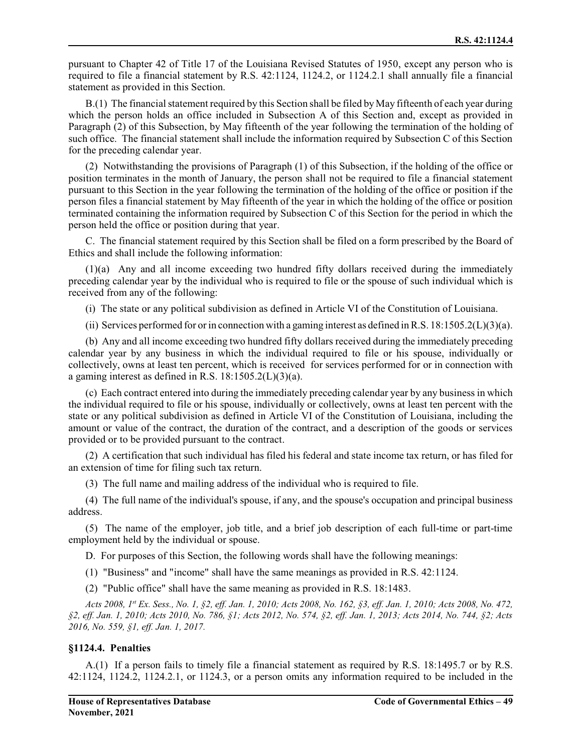pursuant to Chapter 42 of Title 17 of the Louisiana Revised Statutes of 1950, except any person who is required to file a financial statement by R.S. 42:1124, 1124.2, or 1124.2.1 shall annually file a financial statement as provided in this Section.

B.(1) The financial statement required by this Section shall be filed by May fifteenth of each year during which the person holds an office included in Subsection A of this Section and, except as provided in Paragraph (2) of this Subsection, by May fifteenth of the year following the termination of the holding of such office. The financial statement shall include the information required by Subsection C of this Section for the preceding calendar year.

(2) Notwithstanding the provisions of Paragraph (1) of this Subsection, if the holding of the office or position terminates in the month of January, the person shall not be required to file a financial statement pursuant to this Section in the year following the termination of the holding of the office or position if the person files a financial statement by May fifteenth of the year in which the holding of the office or position terminated containing the information required by Subsection C of this Section for the period in which the person held the office or position during that year.

C. The financial statement required by this Section shall be filed on a form prescribed by the Board of Ethics and shall include the following information:

(1)(a) Any and all income exceeding two hundred fifty dollars received during the immediately preceding calendar year by the individual who is required to file or the spouse of such individual which is received from any of the following:

(i) The state or any political subdivision as defined in Article VI of the Constitution of Louisiana.

(ii) Services performed for or in connection with a gaming interest as defined in R.S. 18:1505.2(L)(3)(a).

(b) Any and all income exceeding two hundred fifty dollars received during the immediately preceding calendar year by any business in which the individual required to file or his spouse, individually or collectively, owns at least ten percent, which is received for services performed for or in connection with a gaming interest as defined in R.S.  $18:1505.2(L)(3)(a)$ .

(c) Each contract entered into during the immediately preceding calendar year by any business in which the individual required to file or his spouse, individually or collectively, owns at least ten percent with the state or any political subdivision as defined in Article VI of the Constitution of Louisiana, including the amount or value of the contract, the duration of the contract, and a description of the goods or services provided or to be provided pursuant to the contract.

(2) A certification that such individual has filed his federal and state income tax return, or has filed for an extension of time for filing such tax return.

(3) The full name and mailing address of the individual who is required to file.

(4) The full name of the individual's spouse, if any, and the spouse's occupation and principal business address.

(5) The name of the employer, job title, and a brief job description of each full-time or part-time employment held by the individual or spouse.

D. For purposes of this Section, the following words shall have the following meanings:

- (1) "Business" and "income" shall have the same meanings as provided in R.S. 42:1124.
- (2) "Public office" shall have the same meaning as provided in R.S. 18:1483.

*Acts 2008, 1 st Ex. Sess., No. 1, §2, eff. Jan. 1, 2010; Acts 2008, No. 162, §3, eff. Jan. 1, 2010; Acts 2008, No. 472, §2, eff. Jan. 1, 2010; Acts 2010, No. 786, §1; Acts 2012, No. 574, §2, eff. Jan. 1, 2013; Acts 2014, No. 744, §2; Acts 2016, No. 559, §1, eff. Jan. 1, 2017.*

## **§1124.4. Penalties**

A.(1) If a person fails to timely file a financial statement as required by R.S. 18:1495.7 or by R.S. 42:1124, 1124.2, 1124.2.1, or 1124.3, or a person omits any information required to be included in the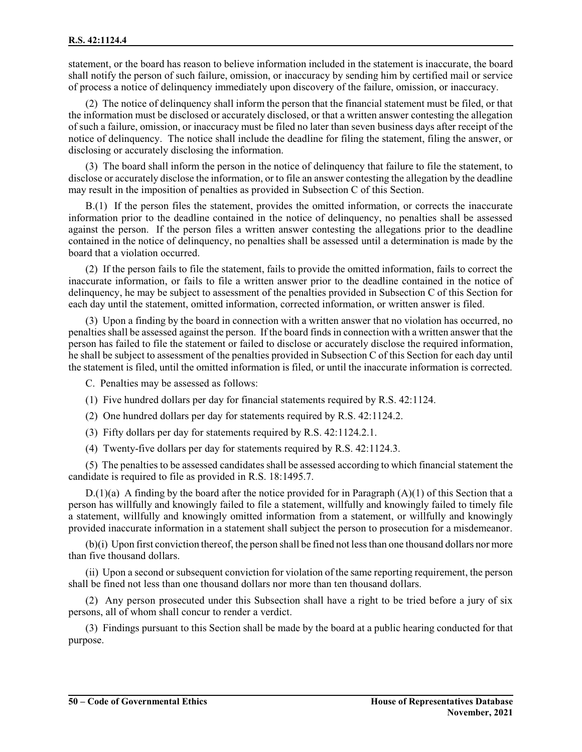statement, or the board has reason to believe information included in the statement is inaccurate, the board shall notify the person of such failure, omission, or inaccuracy by sending him by certified mail or service of process a notice of delinquency immediately upon discovery of the failure, omission, or inaccuracy.

(2) The notice of delinquency shall inform the person that the financial statement must be filed, or that the information must be disclosed or accurately disclosed, or that a written answer contesting the allegation of such a failure, omission, or inaccuracy must be filed no later than seven business days after receipt of the notice of delinquency. The notice shall include the deadline for filing the statement, filing the answer, or disclosing or accurately disclosing the information.

(3) The board shall inform the person in the notice of delinquency that failure to file the statement, to disclose or accurately disclose the information, or to file an answer contesting the allegation by the deadline may result in the imposition of penalties as provided in Subsection C of this Section.

B.(1) If the person files the statement, provides the omitted information, or corrects the inaccurate information prior to the deadline contained in the notice of delinquency, no penalties shall be assessed against the person. If the person files a written answer contesting the allegations prior to the deadline contained in the notice of delinquency, no penalties shall be assessed until a determination is made by the board that a violation occurred.

(2) If the person fails to file the statement, fails to provide the omitted information, fails to correct the inaccurate information, or fails to file a written answer prior to the deadline contained in the notice of delinquency, he may be subject to assessment of the penalties provided in Subsection C of this Section for each day until the statement, omitted information, corrected information, or written answer is filed.

(3) Upon a finding by the board in connection with a written answer that no violation has occurred, no penalties shall be assessed against the person. If the board finds in connection with a written answer that the person has failed to file the statement or failed to disclose or accurately disclose the required information, he shall be subject to assessment of the penalties provided in Subsection C of this Section for each day until the statement is filed, until the omitted information is filed, or until the inaccurate information is corrected.

C. Penalties may be assessed as follows:

- (1) Five hundred dollars per day for financial statements required by R.S. 42:1124.
- (2) One hundred dollars per day for statements required by R.S. 42:1124.2.
- (3) Fifty dollars per day for statements required by R.S. 42:1124.2.1.
- (4) Twenty-five dollars per day for statements required by R.S. 42:1124.3.

(5) The penalties to be assessed candidates shall be assessed according to which financial statement the candidate is required to file as provided in R.S. 18:1495.7.

 $D(1)(a)$  A finding by the board after the notice provided for in Paragraph  $(A)(1)$  of this Section that a person has willfully and knowingly failed to file a statement, willfully and knowingly failed to timely file a statement, willfully and knowingly omitted information from a statement, or willfully and knowingly provided inaccurate information in a statement shall subject the person to prosecution for a misdemeanor.

(b)(i) Upon first conviction thereof, the person shall be fined not less than one thousand dollars nor more than five thousand dollars.

(ii) Upon a second orsubsequent conviction for violation of the same reporting requirement, the person shall be fined not less than one thousand dollars nor more than ten thousand dollars.

(2) Any person prosecuted under this Subsection shall have a right to be tried before a jury of six persons, all of whom shall concur to render a verdict.

(3) Findings pursuant to this Section shall be made by the board at a public hearing conducted for that purpose.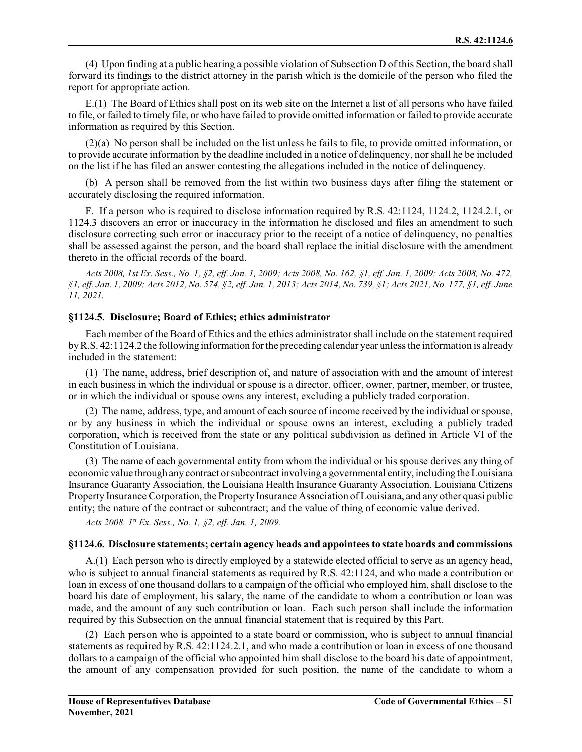(4) Upon finding at a public hearing a possible violation of Subsection D of this Section, the board shall forward its findings to the district attorney in the parish which is the domicile of the person who filed the report for appropriate action.

E.(1) The Board of Ethics shall post on its web site on the Internet a list of all persons who have failed to file, or failed to timely file, or who have failed to provide omitted information or failed to provide accurate information as required by this Section.

(2)(a) No person shall be included on the list unless he fails to file, to provide omitted information, or to provide accurate information by the deadline included in a notice of delinquency, nor shall he be included on the list if he has filed an answer contesting the allegations included in the notice of delinquency.

(b) A person shall be removed from the list within two business days after filing the statement or accurately disclosing the required information.

F. If a person who is required to disclose information required by R.S. 42:1124, 1124.2, 1124.2.1, or 1124.3 discovers an error or inaccuracy in the information he disclosed and files an amendment to such disclosure correcting such error or inaccuracy prior to the receipt of a notice of delinquency, no penalties shall be assessed against the person, and the board shall replace the initial disclosure with the amendment thereto in the official records of the board.

*Acts 2008, 1st Ex. Sess., No. 1, §2, eff. Jan. 1, 2009; Acts 2008, No. 162, §1, eff. Jan. 1, 2009; Acts 2008, No. 472, §1, eff. Jan. 1, 2009; Acts 2012, No. 574, §2, eff. Jan. 1, 2013; Acts 2014, No. 739, §1; Acts 2021, No. 177, §1, eff. June 11, 2021.*

# **§1124.5. Disclosure; Board of Ethics; ethics administrator**

Each member of the Board of Ethics and the ethics administratorshall include on the statement required byR.S. 42:1124.2 the following information forthe preceding calendar year unless the information is already included in the statement:

(1) The name, address, brief description of, and nature of association with and the amount of interest in each business in which the individual or spouse is a director, officer, owner, partner, member, or trustee, or in which the individual or spouse owns any interest, excluding a publicly traded corporation.

(2) The name, address, type, and amount of each source of income received by the individual orspouse, or by any business in which the individual or spouse owns an interest, excluding a publicly traded corporation, which is received from the state or any political subdivision as defined in Article VI of the Constitution of Louisiana.

(3) The name of each governmental entity from whom the individual or his spouse derives any thing of economic value through any contract orsubcontract involving a governmental entity, including the Louisiana Insurance Guaranty Association, the Louisiana Health Insurance Guaranty Association, Louisiana Citizens Property Insurance Corporation, the Property Insurance Association of Louisiana, and any other quasi public entity; the nature of the contract or subcontract; and the value of thing of economic value derived.

*Acts 2008, 1st Ex. Sess., No. 1, §2, eff. Jan. 1, 2009.*

## **§1124.6. Disclosure statements; certain agency heads and appointees to state boards and commissions**

A.(1) Each person who is directly employed by a statewide elected official to serve as an agency head, who is subject to annual financial statements as required by R.S. 42:1124, and who made a contribution or loan in excess of one thousand dollars to a campaign of the official who employed him, shall disclose to the board his date of employment, his salary, the name of the candidate to whom a contribution or loan was made, and the amount of any such contribution or loan. Each such person shall include the information required by this Subsection on the annual financial statement that is required by this Part.

(2) Each person who is appointed to a state board or commission, who is subject to annual financial statements as required by R.S. 42:1124.2.1, and who made a contribution or loan in excess of one thousand dollars to a campaign of the official who appointed him shall disclose to the board his date of appointment, the amount of any compensation provided for such position, the name of the candidate to whom a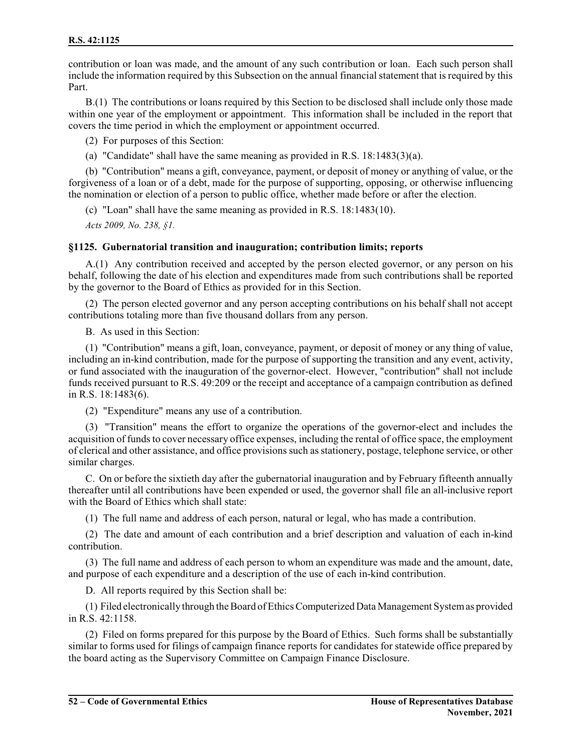contribution or loan was made, and the amount of any such contribution or loan. Each such person shall include the information required by this Subsection on the annual financial statement that is required by this Part.

B.(1) The contributions or loans required by this Section to be disclosed shall include only those made within one year of the employment or appointment. This information shall be included in the report that covers the time period in which the employment or appointment occurred.

(2) For purposes of this Section:

(a) "Candidate" shall have the same meaning as provided in R.S. 18:1483(3)(a).

(b) "Contribution" means a gift, conveyance, payment, or deposit of money or anything of value, or the forgiveness of a loan or of a debt, made for the purpose of supporting, opposing, or otherwise influencing the nomination or election of a person to public office, whether made before or after the election.

(c) "Loan" shall have the same meaning as provided in R.S. 18:1483(10).

*Acts 2009, No. 238, §1.*

## **§1125. Gubernatorial transition and inauguration; contribution limits; reports**

A.(1) Any contribution received and accepted by the person elected governor, or any person on his behalf, following the date of his election and expenditures made from such contributions shall be reported by the governor to the Board of Ethics as provided for in this Section.

(2) The person elected governor and any person accepting contributions on his behalf shall not accept contributions totaling more than five thousand dollars from any person.

B. As used in this Section:

(1) "Contribution" means a gift, loan, conveyance, payment, or deposit of money or any thing of value, including an in-kind contribution, made for the purpose of supporting the transition and any event, activity, or fund associated with the inauguration of the governor-elect. However, "contribution" shall not include funds received pursuant to R.S. 49:209 or the receipt and acceptance of a campaign contribution as defined in R.S. 18:1483(6).

(2) "Expenditure" means any use of a contribution.

(3) "Transition" means the effort to organize the operations of the governor-elect and includes the acquisition of funds to cover necessary office expenses, including the rental of office space, the employment of clerical and other assistance, and office provisions such as stationery, postage, telephone service, or other similar charges.

C. On or before the sixtieth day after the gubernatorial inauguration and by February fifteenth annually thereafter until all contributions have been expended or used, the governor shall file an all-inclusive report with the Board of Ethics which shall state:

(1) The full name and address of each person, natural or legal, who has made a contribution.

(2) The date and amount of each contribution and a brief description and valuation of each in-kind contribution.

(3) The full name and address of each person to whom an expenditure was made and the amount, date, and purpose of each expenditure and a description of the use of each in-kind contribution.

D. All reports required by this Section shall be:

(1) Filed electronically through the Board ofEthics Computerized Data Management Systemas provided in R.S. 42:1158.

(2) Filed on forms prepared for this purpose by the Board of Ethics. Such forms shall be substantially similar to forms used for filings of campaign finance reports for candidates for statewide office prepared by the board acting as the Supervisory Committee on Campaign Finance Disclosure.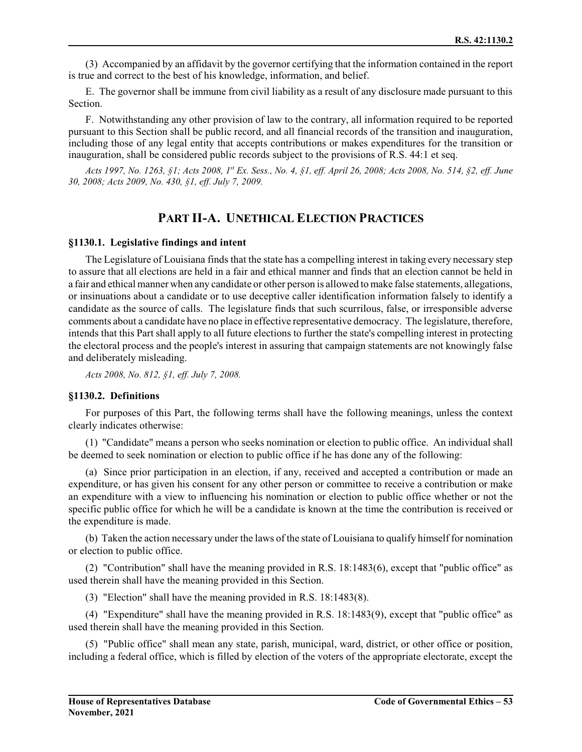(3) Accompanied by an affidavit by the governor certifying that the information contained in the report is true and correct to the best of his knowledge, information, and belief.

E. The governor shall be immune from civil liability as a result of any disclosure made pursuant to this Section.

F. Notwithstanding any other provision of law to the contrary, all information required to be reported pursuant to this Section shall be public record, and all financial records of the transition and inauguration, including those of any legal entity that accepts contributions or makes expenditures for the transition or inauguration, shall be considered public records subject to the provisions of R.S. 44:1 et seq.

*Acts 1997, No. 1263, §1; Acts 2008, 1st Ex. Sess., No. 4, §1, eff. April 26, 2008; Acts 2008, No. 514, §2, eff. June 30, 2008; Acts 2009, No. 430, §1, eff. July 7, 2009.*

# **PART II-A. UNETHICAL ELECTION PRACTICES**

#### **§1130.1. Legislative findings and intent**

The Legislature of Louisiana finds that the state has a compelling interest in taking every necessary step to assure that all elections are held in a fair and ethical manner and finds that an election cannot be held in a fair and ethical manner when any candidate or other person is allowed to make false statements, allegations, or insinuations about a candidate or to use deceptive caller identification information falsely to identify a candidate as the source of calls. The legislature finds that such scurrilous, false, or irresponsible adverse comments about a candidate have no place in effective representative democracy. The legislature, therefore, intends that this Part shall apply to all future elections to further the state's compelling interest in protecting the electoral process and the people's interest in assuring that campaign statements are not knowingly false and deliberately misleading.

*Acts 2008, No. 812, §1, eff. July 7, 2008.*

## **§1130.2. Definitions**

For purposes of this Part, the following terms shall have the following meanings, unless the context clearly indicates otherwise:

(1) "Candidate" means a person who seeks nomination or election to public office. An individual shall be deemed to seek nomination or election to public office if he has done any of the following:

(a) Since prior participation in an election, if any, received and accepted a contribution or made an expenditure, or has given his consent for any other person or committee to receive a contribution or make an expenditure with a view to influencing his nomination or election to public office whether or not the specific public office for which he will be a candidate is known at the time the contribution is received or the expenditure is made.

(b) Taken the action necessary under the laws of the state of Louisiana to qualify himself for nomination or election to public office.

(2) "Contribution" shall have the meaning provided in R.S. 18:1483(6), except that "public office" as used therein shall have the meaning provided in this Section.

(3) "Election" shall have the meaning provided in R.S. 18:1483(8).

(4) "Expenditure" shall have the meaning provided in R.S. 18:1483(9), except that "public office" as used therein shall have the meaning provided in this Section.

(5) "Public office" shall mean any state, parish, municipal, ward, district, or other office or position, including a federal office, which is filled by election of the voters of the appropriate electorate, except the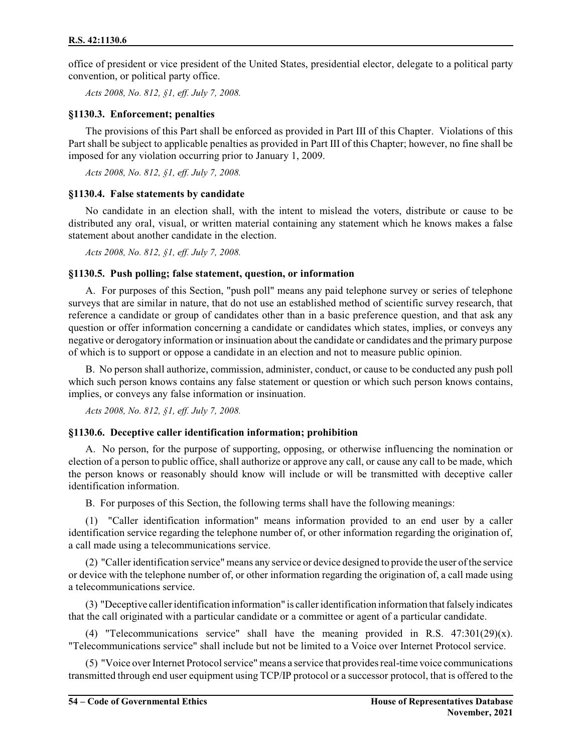office of president or vice president of the United States, presidential elector, delegate to a political party convention, or political party office.

*Acts 2008, No. 812, §1, eff. July 7, 2008.*

## **§1130.3. Enforcement; penalties**

The provisions of this Part shall be enforced as provided in Part III of this Chapter. Violations of this Part shall be subject to applicable penalties as provided in Part III of this Chapter; however, no fine shall be imposed for any violation occurring prior to January 1, 2009.

*Acts 2008, No. 812, §1, eff. July 7, 2008.*

# **§1130.4. False statements by candidate**

No candidate in an election shall, with the intent to mislead the voters, distribute or cause to be distributed any oral, visual, or written material containing any statement which he knows makes a false statement about another candidate in the election.

*Acts 2008, No. 812, §1, eff. July 7, 2008.*

# **§1130.5. Push polling; false statement, question, or information**

A. For purposes of this Section, "push poll" means any paid telephone survey or series of telephone surveys that are similar in nature, that do not use an established method of scientific survey research, that reference a candidate or group of candidates other than in a basic preference question, and that ask any question or offer information concerning a candidate or candidates which states, implies, or conveys any negative or derogatory information or insinuation about the candidate or candidates and the primary purpose of which is to support or oppose a candidate in an election and not to measure public opinion.

B. No person shall authorize, commission, administer, conduct, or cause to be conducted any push poll which such person knows contains any false statement or question or which such person knows contains, implies, or conveys any false information or insinuation.

*Acts 2008, No. 812, §1, eff. July 7, 2008.*

## **§1130.6. Deceptive caller identification information; prohibition**

A. No person, for the purpose of supporting, opposing, or otherwise influencing the nomination or election of a person to public office, shall authorize or approve any call, or cause any call to be made, which the person knows or reasonably should know will include or will be transmitted with deceptive caller identification information.

B. For purposes of this Section, the following terms shall have the following meanings:

(1) "Caller identification information" means information provided to an end user by a caller identification service regarding the telephone number of, or other information regarding the origination of, a call made using a telecommunications service.

(2) "Caller identification service" means any service or device designed to provide the user ofthe service or device with the telephone number of, or other information regarding the origination of, a call made using a telecommunications service.

(3) "Deceptive calleridentification information" is calleridentification information thatfalsely indicates that the call originated with a particular candidate or a committee or agent of a particular candidate.

(4) "Telecommunications service" shall have the meaning provided in R.S.  $47:301(29)(x)$ . "Telecommunications service" shall include but not be limited to a Voice over Internet Protocol service.

(5) "Voice overInternet Protocolservice" means a service that provides real-time voice communications transmitted through end user equipment using TCP/IP protocol or a successor protocol, that is offered to the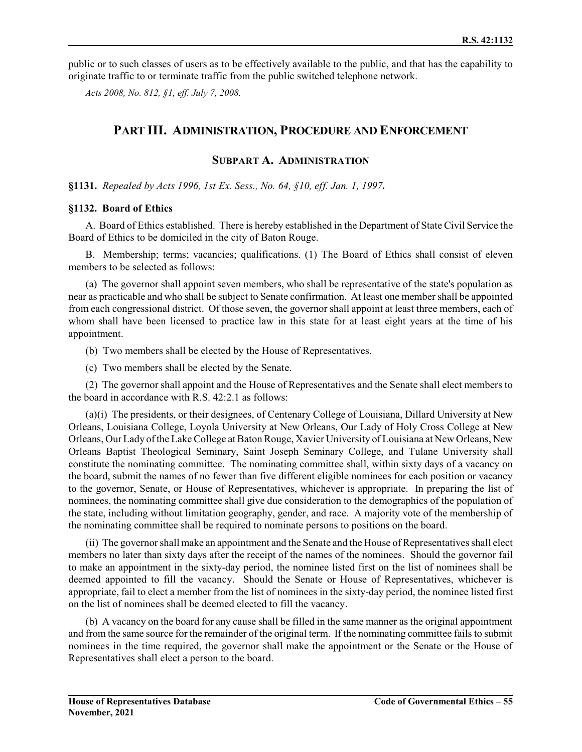public or to such classes of users as to be effectively available to the public, and that has the capability to originate traffic to or terminate traffic from the public switched telephone network.

*Acts 2008, No. 812, §1, eff. July 7, 2008.*

# **PART III. ADMINISTRATION, PROCEDURE AND ENFORCEMENT**

# **SUBPART A. ADMINISTRATION**

## **§1131.** *Repealed by Acts 1996, 1st Ex. Sess., No. 64, §10, eff. Jan. 1, 1997.*

## **§1132. Board of Ethics**

A. Board of Ethics established. There is hereby established in the Department of State Civil Service the Board of Ethics to be domiciled in the city of Baton Rouge.

B. Membership; terms; vacancies; qualifications. (1) The Board of Ethics shall consist of eleven members to be selected as follows:

(a) The governor shall appoint seven members, who shall be representative of the state's population as near as practicable and who shall be subject to Senate confirmation. At least one membershall be appointed from each congressional district. Of those seven, the governor shall appoint at least three members, each of whom shall have been licensed to practice law in this state for at least eight years at the time of his appointment.

- (b) Two members shall be elected by the House of Representatives.
- (c) Two members shall be elected by the Senate.

(2) The governor shall appoint and the House of Representatives and the Senate shall elect members to the board in accordance with R.S. 42:2.1 as follows:

(a)(i) The presidents, or their designees, of Centenary College of Louisiana, Dillard University at New Orleans, Louisiana College, Loyola University at New Orleans, Our Lady of Holy Cross College at New Orleans, Our Lady ofthe Lake College at Baton Rouge, Xavier University of Louisiana at New Orleans, New Orleans Baptist Theological Seminary, Saint Joseph Seminary College, and Tulane University shall constitute the nominating committee. The nominating committee shall, within sixty days of a vacancy on the board, submit the names of no fewer than five different eligible nominees for each position or vacancy to the governor, Senate, or House of Representatives, whichever is appropriate. In preparing the list of nominees, the nominating committee shall give due consideration to the demographics of the population of the state, including without limitation geography, gender, and race. A majority vote of the membership of the nominating committee shall be required to nominate persons to positions on the board.

(ii) The governorshall make an appointment and the Senate and the House of Representatives shall elect members no later than sixty days after the receipt of the names of the nominees. Should the governor fail to make an appointment in the sixty-day period, the nominee listed first on the list of nominees shall be deemed appointed to fill the vacancy. Should the Senate or House of Representatives, whichever is appropriate, fail to elect a member from the list of nominees in the sixty-day period, the nominee listed first on the list of nominees shall be deemed elected to fill the vacancy.

(b) A vacancy on the board for any cause shall be filled in the same manner as the original appointment and from the same source for the remainder of the original term. If the nominating committee fails to submit nominees in the time required, the governor shall make the appointment or the Senate or the House of Representatives shall elect a person to the board.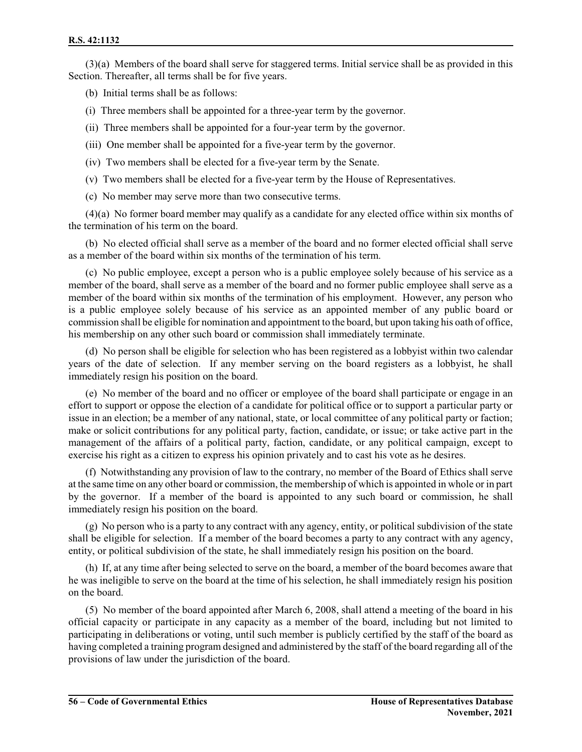(3)(a) Members of the board shall serve for staggered terms. Initial service shall be as provided in this Section. Thereafter, all terms shall be for five years.

(b) Initial terms shall be as follows:

(i) Three members shall be appointed for a three-year term by the governor.

(ii) Three members shall be appointed for a four-year term by the governor.

(iii) One member shall be appointed for a five-year term by the governor.

(iv) Two members shall be elected for a five-year term by the Senate.

(v) Two members shall be elected for a five-year term by the House of Representatives.

(c) No member may serve more than two consecutive terms.

(4)(a) No former board member may qualify as a candidate for any elected office within six months of the termination of his term on the board.

(b) No elected official shall serve as a member of the board and no former elected official shall serve as a member of the board within six months of the termination of his term.

(c) No public employee, except a person who is a public employee solely because of his service as a member of the board, shall serve as a member of the board and no former public employee shall serve as a member of the board within six months of the termination of his employment. However, any person who is a public employee solely because of his service as an appointed member of any public board or commission shall be eligible for nomination and appointment to the board, but upon taking his oath of office, his membership on any other such board or commission shall immediately terminate.

(d) No person shall be eligible for selection who has been registered as a lobbyist within two calendar years of the date of selection. If any member serving on the board registers as a lobbyist, he shall immediately resign his position on the board.

(e) No member of the board and no officer or employee of the board shall participate or engage in an effort to support or oppose the election of a candidate for political office or to support a particular party or issue in an election; be a member of any national, state, or local committee of any political party or faction; make or solicit contributions for any political party, faction, candidate, or issue; or take active part in the management of the affairs of a political party, faction, candidate, or any political campaign, except to exercise his right as a citizen to express his opinion privately and to cast his vote as he desires.

(f) Notwithstanding any provision of law to the contrary, no member of the Board of Ethics shall serve at the same time on any other board or commission, the membership of which is appointed in whole or in part by the governor. If a member of the board is appointed to any such board or commission, he shall immediately resign his position on the board.

(g) No person who is a party to any contract with any agency, entity, or political subdivision of the state shall be eligible for selection. If a member of the board becomes a party to any contract with any agency, entity, or political subdivision of the state, he shall immediately resign his position on the board.

(h) If, at any time after being selected to serve on the board, a member of the board becomes aware that he was ineligible to serve on the board at the time of his selection, he shall immediately resign his position on the board.

(5) No member of the board appointed after March 6, 2008, shall attend a meeting of the board in his official capacity or participate in any capacity as a member of the board, including but not limited to participating in deliberations or voting, until such member is publicly certified by the staff of the board as having completed a training program designed and administered by the staff of the board regarding all of the provisions of law under the jurisdiction of the board.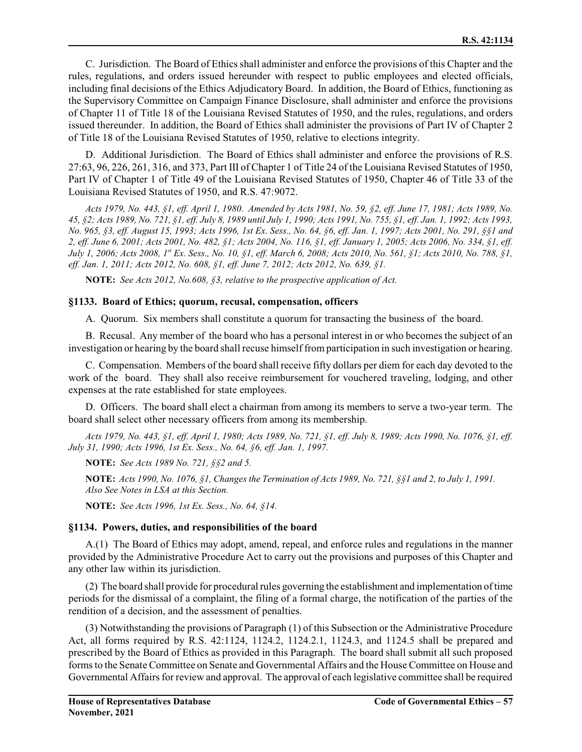C. Jurisdiction. The Board of Ethics shall administer and enforce the provisions of this Chapter and the rules, regulations, and orders issued hereunder with respect to public employees and elected officials, including final decisions of the Ethics Adjudicatory Board. In addition, the Board of Ethics, functioning as the Supervisory Committee on Campaign Finance Disclosure, shall administer and enforce the provisions of Chapter 11 of Title 18 of the Louisiana Revised Statutes of 1950, and the rules, regulations, and orders issued thereunder. In addition, the Board of Ethics shall administer the provisions of Part IV of Chapter 2 of Title 18 of the Louisiana Revised Statutes of 1950, relative to elections integrity.

D. Additional Jurisdiction. The Board of Ethics shall administer and enforce the provisions of R.S. 27:63, 96, 226, 261, 316, and 373, Part III of Chapter 1 of Title 24 of the Louisiana Revised Statutes of 1950, Part IV of Chapter 1 of Title 49 of the Louisiana Revised Statutes of 1950, Chapter 46 of Title 33 of the Louisiana Revised Statutes of 1950, and R.S. 47:9072.

*Acts 1979, No. 443, §1, eff. April 1, 1980. Amended by Acts 1981, No. 59, §2, eff. June 17, 1981; Acts 1989, No. 45, §2; Acts 1989, No. 721, §1, eff. July 8, 1989 until July 1, 1990; Acts 1991, No. 755, §1, eff. Jan. 1, 1992; Acts 1993, No. 965, §3, eff. August 15, 1993; Acts 1996, 1st Ex. Sess., No. 64, §6, eff. Jan. 1, 1997; Acts 2001, No. 291, §§1 and 2, eff. June 6, 2001; Acts 2001, No. 482, §1; Acts 2004, No. 116, §1, eff. January 1, 2005; Acts 2006, No. 334, §1, eff. July 1, 2006; Acts 2008, 1 st Ex. Sess., No. 10, §1, eff. March 6, 2008; Acts 2010, No. 561, §1; Acts 2010, No. 788, §1, eff. Jan. 1, 2011; Acts 2012, No. 608, §1, eff. June 7, 2012; Acts 2012, No. 639, §1.*

**NOTE:** *See Acts 2012, No.608, §3, relative to the prospective application of Act.*

## **§1133. Board of Ethics; quorum, recusal, compensation, officers**

A. Quorum. Six members shall constitute a quorum for transacting the business of the board.

B. Recusal. Any member of the board who has a personal interest in or who becomes the subject of an investigation or hearing by the board shall recuse himself from participation in such investigation or hearing.

C. Compensation. Members of the board shall receive fifty dollars per diem for each day devoted to the work of the board. They shall also receive reimbursement for vouchered traveling, lodging, and other expenses at the rate established for state employees.

D. Officers. The board shall elect a chairman from among its members to serve a two-year term. The board shall select other necessary officers from among its membership.

*Acts 1979, No. 443, §1, eff. April 1, 1980; Acts 1989, No. 721, §1, eff. July 8, 1989; Acts 1990, No. 1076, §1, eff. July 31, 1990; Acts 1996, 1st Ex. Sess., No. 64, §6, eff. Jan. 1, 1997.*

**NOTE:** *See Acts 1989 No. 721, §§2 and 5.*

**NOTE:** *Acts 1990, No. 1076, §1, Changes the Termination of Acts 1989, No. 721, §§1 and 2, to July 1, 1991. Also See Notes in LSA at this Section.*

**NOTE:** *See Acts 1996, 1st Ex. Sess., No. 64, §14.*

## **§1134. Powers, duties, and responsibilities of the board**

A.(1) The Board of Ethics may adopt, amend, repeal, and enforce rules and regulations in the manner provided by the Administrative Procedure Act to carry out the provisions and purposes of this Chapter and any other law within its jurisdiction.

 $(2)$  The board shall provide for procedural rules governing the establishment and implementation of time periods for the dismissal of a complaint, the filing of a formal charge, the notification of the parties of the rendition of a decision, and the assessment of penalties.

(3) Notwithstanding the provisions of Paragraph (1) of this Subsection or the Administrative Procedure Act, all forms required by R.S. 42:1124, 1124.2, 1124.2.1, 1124.3, and 1124.5 shall be prepared and prescribed by the Board of Ethics as provided in this Paragraph. The board shall submit all such proposed forms to the Senate Committee on Senate and Governmental Affairs and the House Committee on House and Governmental Affairs for review and approval. The approval of each legislative committee shall be required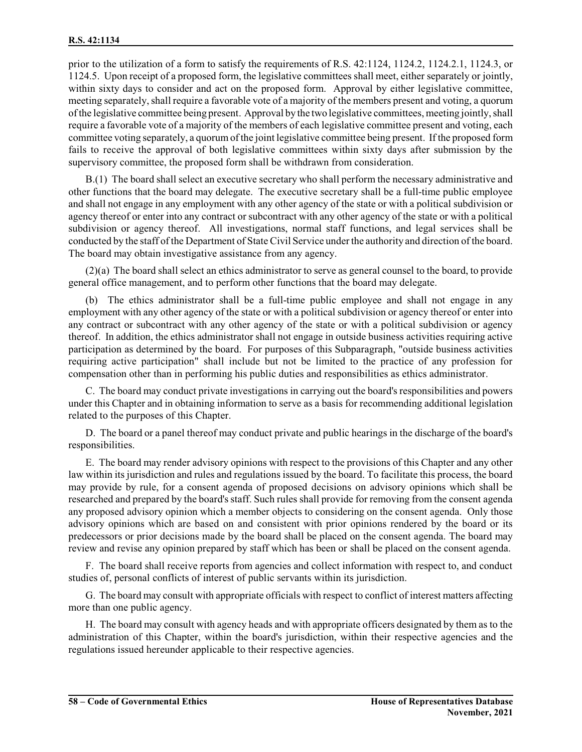prior to the utilization of a form to satisfy the requirements of R.S. 42:1124, 1124.2, 1124.2.1, 1124.3, or 1124.5. Upon receipt of a proposed form, the legislative committees shall meet, either separately or jointly, within sixty days to consider and act on the proposed form. Approval by either legislative committee, meeting separately, shall require a favorable vote of a majority of the members present and voting, a quorum ofthe legislative committee being present. Approval by the two legislative committees, meeting jointly, shall require a favorable vote of a majority of the members of each legislative committee present and voting, each committee voting separately, a quorumof the joint legislative committee being present. If the proposed form fails to receive the approval of both legislative committees within sixty days after submission by the supervisory committee, the proposed form shall be withdrawn from consideration.

B.(1) The board shall select an executive secretary who shall perform the necessary administrative and other functions that the board may delegate. The executive secretary shall be a full-time public employee and shall not engage in any employment with any other agency of the state or with a political subdivision or agency thereof or enter into any contract or subcontract with any other agency of the state or with a political subdivision or agency thereof. All investigations, normal staff functions, and legal services shall be conducted by the staff of the Department of State Civil Service underthe authority and direction of the board. The board may obtain investigative assistance from any agency.

(2)(a) The board shall select an ethics administrator to serve as general counsel to the board, to provide general office management, and to perform other functions that the board may delegate.

(b) The ethics administrator shall be a full-time public employee and shall not engage in any employment with any other agency of the state or with a political subdivision or agency thereof or enter into any contract or subcontract with any other agency of the state or with a political subdivision or agency thereof. In addition, the ethics administrator shall not engage in outside business activities requiring active participation as determined by the board. For purposes of this Subparagraph, "outside business activities requiring active participation" shall include but not be limited to the practice of any profession for compensation other than in performing his public duties and responsibilities as ethics administrator.

C. The board may conduct private investigations in carrying out the board's responsibilities and powers under this Chapter and in obtaining information to serve as a basis for recommending additional legislation related to the purposes of this Chapter.

D. The board or a panel thereof may conduct private and public hearings in the discharge of the board's responsibilities.

E. The board may render advisory opinions with respect to the provisions of this Chapter and any other law within its jurisdiction and rules and regulations issued by the board. To facilitate this process, the board may provide by rule, for a consent agenda of proposed decisions on advisory opinions which shall be researched and prepared by the board's staff. Such rules shall provide for removing from the consent agenda any proposed advisory opinion which a member objects to considering on the consent agenda. Only those advisory opinions which are based on and consistent with prior opinions rendered by the board or its predecessors or prior decisions made by the board shall be placed on the consent agenda. The board may review and revise any opinion prepared by staff which has been or shall be placed on the consent agenda.

F. The board shall receive reports from agencies and collect information with respect to, and conduct studies of, personal conflicts of interest of public servants within its jurisdiction.

G. The board may consult with appropriate officials with respect to conflict of interest matters affecting more than one public agency.

H. The board may consult with agency heads and with appropriate officers designated by them as to the administration of this Chapter, within the board's jurisdiction, within their respective agencies and the regulations issued hereunder applicable to their respective agencies.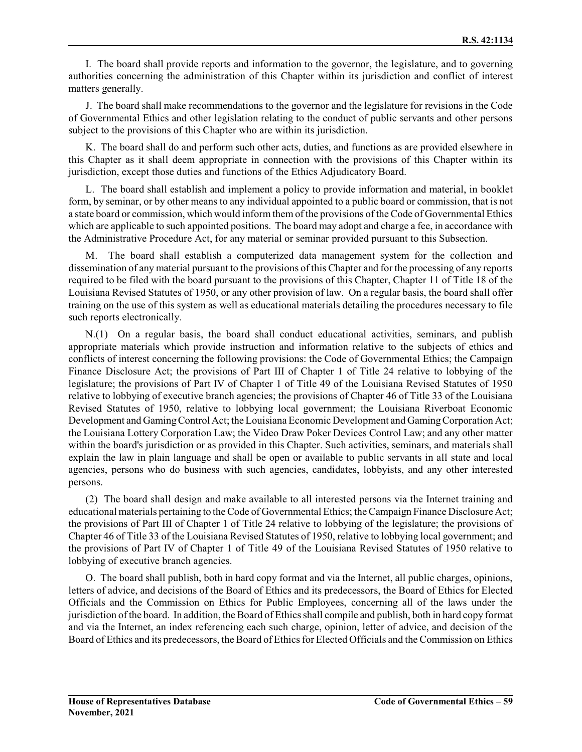I. The board shall provide reports and information to the governor, the legislature, and to governing authorities concerning the administration of this Chapter within its jurisdiction and conflict of interest matters generally.

J. The board shall make recommendations to the governor and the legislature for revisions in the Code of Governmental Ethics and other legislation relating to the conduct of public servants and other persons subject to the provisions of this Chapter who are within its jurisdiction.

K. The board shall do and perform such other acts, duties, and functions as are provided elsewhere in this Chapter as it shall deem appropriate in connection with the provisions of this Chapter within its jurisdiction, except those duties and functions of the Ethics Adjudicatory Board.

L. The board shall establish and implement a policy to provide information and material, in booklet form, by seminar, or by other means to any individual appointed to a public board or commission, that is not a state board or commission, which would inform them of the provisions of the Code of Governmental Ethics which are applicable to such appointed positions. The board may adopt and charge a fee, in accordance with the Administrative Procedure Act, for any material or seminar provided pursuant to this Subsection.

The board shall establish a computerized data management system for the collection and dissemination of any material pursuant to the provisions of this Chapter and for the processing of any reports required to be filed with the board pursuant to the provisions of this Chapter, Chapter 11 of Title 18 of the Louisiana Revised Statutes of 1950, or any other provision of law. On a regular basis, the board shall offer training on the use of this system as well as educational materials detailing the procedures necessary to file such reports electronically.

N.(1) On a regular basis, the board shall conduct educational activities, seminars, and publish appropriate materials which provide instruction and information relative to the subjects of ethics and conflicts of interest concerning the following provisions: the Code of Governmental Ethics; the Campaign Finance Disclosure Act; the provisions of Part III of Chapter 1 of Title 24 relative to lobbying of the legislature; the provisions of Part IV of Chapter 1 of Title 49 of the Louisiana Revised Statutes of 1950 relative to lobbying of executive branch agencies; the provisions of Chapter 46 of Title 33 of the Louisiana Revised Statutes of 1950, relative to lobbying local government; the Louisiana Riverboat Economic Development and Gaming Control Act; the Louisiana Economic Development and Gaming Corporation Act; the Louisiana Lottery Corporation Law; the Video Draw Poker Devices Control Law; and any other matter within the board's jurisdiction or as provided in this Chapter. Such activities, seminars, and materials shall explain the law in plain language and shall be open or available to public servants in all state and local agencies, persons who do business with such agencies, candidates, lobbyists, and any other interested persons.

(2) The board shall design and make available to all interested persons via the Internet training and educational materials pertaining to the Code of Governmental Ethics; the Campaign Finance Disclosure Act; the provisions of Part III of Chapter 1 of Title 24 relative to lobbying of the legislature; the provisions of Chapter 46 of Title 33 of the Louisiana Revised Statutes of 1950, relative to lobbying local government; and the provisions of Part IV of Chapter 1 of Title 49 of the Louisiana Revised Statutes of 1950 relative to lobbying of executive branch agencies.

O. The board shall publish, both in hard copy format and via the Internet, all public charges, opinions, letters of advice, and decisions of the Board of Ethics and its predecessors, the Board of Ethics for Elected Officials and the Commission on Ethics for Public Employees, concerning all of the laws under the jurisdiction of the board. In addition, the Board of Ethics shall compile and publish, both in hard copy format and via the Internet, an index referencing each such charge, opinion, letter of advice, and decision of the Board of Ethics and its predecessors, the Board of Ethics for Elected Officials and the Commission on Ethics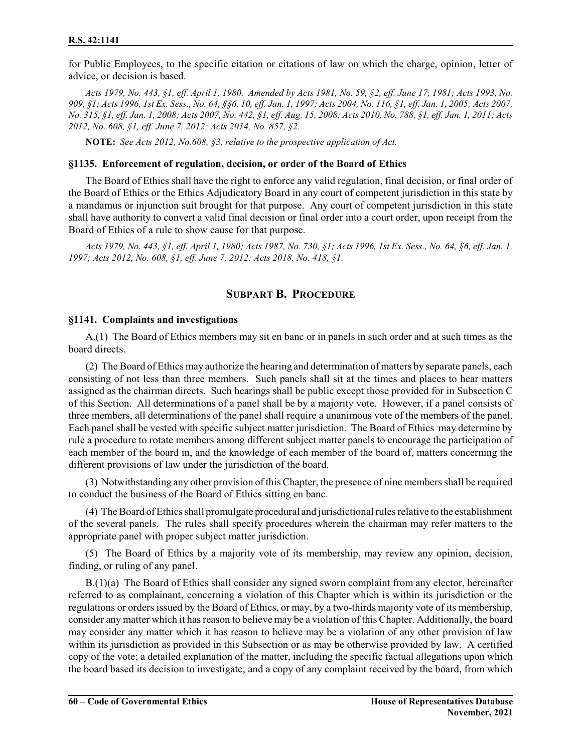for Public Employees, to the specific citation or citations of law on which the charge, opinion, letter of advice, or decision is based.

*Acts 1979, No. 443, §1, eff. April 1, 1980. Amended by Acts 1981, No. 59, §2, eff. June 17, 1981; Acts 1993, No. 909, §1; Acts 1996, 1st Ex. Sess., No. 64, §§6, 10, eff. Jan. 1, 1997; Acts 2004, No. 116, §1, eff. Jan. 1, 2005; Acts 2007, No. 315, §1, eff. Jan. 1, 2008; Acts 2007, No. 442, §1, eff. Aug. 15, 2008; Acts 2010, No. 788, §1, eff. Jan. 1, 2011; Acts 2012, No. 608, §1, eff. June 7, 2012; Acts 2014, No. 857, §2.*

**NOTE:** *See Acts 2012, No.608, §3, relative to the prospective application of Act.*

#### **§1135. Enforcement of regulation, decision, or order of the Board of Ethics**

The Board of Ethics shall have the right to enforce any valid regulation, final decision, or final order of the Board of Ethics or the Ethics Adjudicatory Board in any court of competent jurisdiction in this state by a mandamus or injunction suit brought for that purpose. Any court of competent jurisdiction in this state shall have authority to convert a valid final decision or final order into a court order, upon receipt from the Board of Ethics of a rule to show cause for that purpose.

*Acts 1979, No. 443, §1, eff. April 1, 1980; Acts 1987, No. 730, §1; Acts 1996, 1st Ex. Sess., No. 64, §6, eff. Jan. 1, 1997; Acts 2012, No. 608, §1, eff. June 7, 2012; Acts 2018, No. 418, §1.*

# **SUBPART B. PROCEDURE**

#### **§1141. Complaints and investigations**

A.(1) The Board of Ethics members may sit en banc or in panels in such order and at such times as the board directs.

(2) The Board of Ethics may authorize the hearing and determination of matters by separate panels, each consisting of not less than three members. Such panels shall sit at the times and places to hear matters assigned as the chairman directs. Such hearings shall be public except those provided for in Subsection C of this Section. All determinations of a panel shall be by a majority vote. However, if a panel consists of three members, all determinations of the panel shall require a unanimous vote of the members of the panel. Each panel shall be vested with specific subject matter jurisdiction. The Board of Ethics may determine by rule a procedure to rotate members among different subject matter panels to encourage the participation of each member of the board in, and the knowledge of each member of the board of, matters concerning the different provisions of law under the jurisdiction of the board.

(3) Notwithstanding any other provision of this Chapter, the presence of nine members shall be required to conduct the business of the Board of Ethics sitting en banc.

(4) The Board ofEthics shall promulgate procedural and jurisdictional rules relative to the establishment of the several panels. The rules shall specify procedures wherein the chairman may refer matters to the appropriate panel with proper subject matter jurisdiction.

(5) The Board of Ethics by a majority vote of its membership, may review any opinion, decision, finding, or ruling of any panel.

B.(1)(a) The Board of Ethics shall consider any signed sworn complaint from any elector, hereinafter referred to as complainant, concerning a violation of this Chapter which is within its jurisdiction or the regulations or orders issued by the Board of Ethics, or may, by a two-thirds majority vote of its membership, consider any matter which it has reason to believe may be a violation of this Chapter. Additionally, the board may consider any matter which it has reason to believe may be a violation of any other provision of law within its jurisdiction as provided in this Subsection or as may be otherwise provided by law. A certified copy of the vote; a detailed explanation of the matter, including the specific factual allegations upon which the board based its decision to investigate; and a copy of any complaint received by the board, from which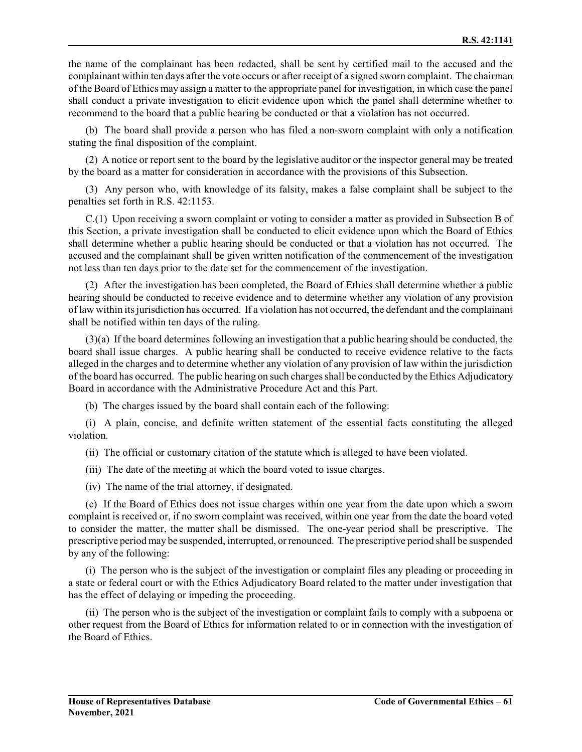the name of the complainant has been redacted, shall be sent by certified mail to the accused and the complainant within ten days after the vote occurs or after receipt of a signed sworn complaint. The chairman of the Board of Ethics may assign a matter to the appropriate panel for investigation, in which case the panel shall conduct a private investigation to elicit evidence upon which the panel shall determine whether to recommend to the board that a public hearing be conducted or that a violation has not occurred.

(b) The board shall provide a person who has filed a non-sworn complaint with only a notification stating the final disposition of the complaint.

(2) A notice or report sent to the board by the legislative auditor or the inspector general may be treated by the board as a matter for consideration in accordance with the provisions of this Subsection.

(3) Any person who, with knowledge of its falsity, makes a false complaint shall be subject to the penalties set forth in R.S. 42:1153.

C.(1) Upon receiving a sworn complaint or voting to consider a matter as provided in Subsection B of this Section, a private investigation shall be conducted to elicit evidence upon which the Board of Ethics shall determine whether a public hearing should be conducted or that a violation has not occurred. The accused and the complainant shall be given written notification of the commencement of the investigation not less than ten days prior to the date set for the commencement of the investigation.

(2) After the investigation has been completed, the Board of Ethics shall determine whether a public hearing should be conducted to receive evidence and to determine whether any violation of any provision of law within its jurisdiction has occurred. If a violation has not occurred, the defendant and the complainant shall be notified within ten days of the ruling.

(3)(a) If the board determines following an investigation that a public hearing should be conducted, the board shall issue charges. A public hearing shall be conducted to receive evidence relative to the facts alleged in the charges and to determine whether any violation of any provision of law within the jurisdiction of the board has occurred. The public hearing on such charges shall be conducted by the Ethics Adjudicatory Board in accordance with the Administrative Procedure Act and this Part.

(b) The charges issued by the board shall contain each of the following:

(i) A plain, concise, and definite written statement of the essential facts constituting the alleged violation.

(ii) The official or customary citation of the statute which is alleged to have been violated.

- (iii) The date of the meeting at which the board voted to issue charges.
- (iv) The name of the trial attorney, if designated.

(c) If the Board of Ethics does not issue charges within one year from the date upon which a sworn complaint is received or, if no sworn complaint was received, within one year from the date the board voted to consider the matter, the matter shall be dismissed. The one-year period shall be prescriptive. The prescriptive period may be suspended, interrupted, orrenounced. The prescriptive period shall be suspended by any of the following:

(i) The person who is the subject of the investigation or complaint files any pleading or proceeding in a state or federal court or with the Ethics Adjudicatory Board related to the matter under investigation that has the effect of delaying or impeding the proceeding.

(ii) The person who is the subject of the investigation or complaint fails to comply with a subpoena or other request from the Board of Ethics for information related to or in connection with the investigation of the Board of Ethics.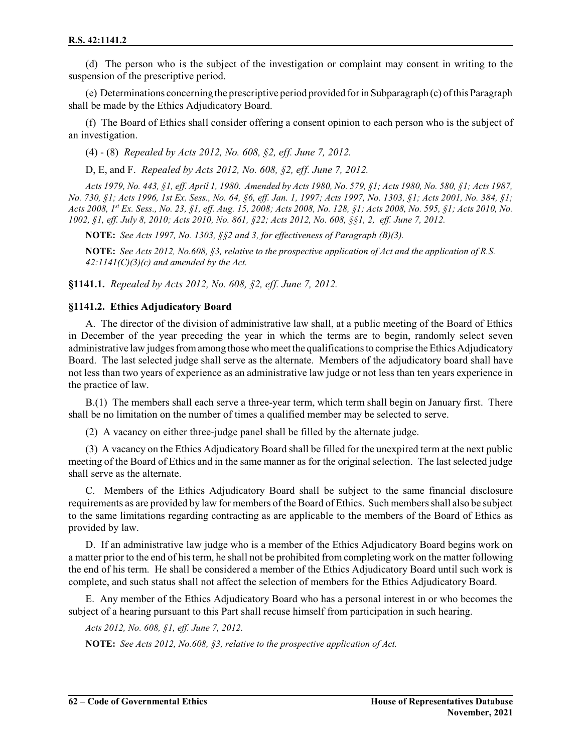(d) The person who is the subject of the investigation or complaint may consent in writing to the suspension of the prescriptive period.

(e) Determinations concerning the prescriptive period provided forin Subparagraph (c) ofthis Paragraph shall be made by the Ethics Adjudicatory Board.

(f) The Board of Ethics shall consider offering a consent opinion to each person who is the subject of an investigation.

(4) - (8) *Repealed by Acts 2012, No. 608, §2, eff. June 7, 2012.*

D, E, and F. *Repealed by Acts 2012, No. 608, §2, eff. June 7, 2012.*

*Acts 1979, No. 443, §1, eff. April 1, 1980. Amended by Acts 1980, No. 579, §1; Acts 1980, No. 580, §1; Acts 1987, No. 730, §1; Acts 1996, 1st Ex. Sess., No. 64, §6, eff. Jan. 1, 1997; Acts 1997, No. 1303, §1; Acts 2001, No. 384, §1; Acts 2008, 1 st Ex. Sess., No. 23, §1, eff. Aug. 15, 2008; Acts 2008, No. 128, §1; Acts 2008, No. 595, §1; Acts 2010, No. 1002, §1, eff. July 8, 2010; Acts 2010, No. 861, §22; Acts 2012, No. 608, §§1, 2, eff. June 7, 2012.*

**NOTE:** *See Acts 1997, No. 1303, §§2 and 3, for effectiveness of Paragraph (B)(3).*

**NOTE:** *See Acts 2012, No.608, §3, relative to the prospective application of Act and the application of R.S. 42:1141(C)(3)(c) and amended by the Act.*

**§1141.1.** *Repealed by Acts 2012, No. 608, §2, eff. June 7, 2012.*

#### **§1141.2. Ethics Adjudicatory Board**

A. The director of the division of administrative law shall, at a public meeting of the Board of Ethics in December of the year preceding the year in which the terms are to begin, randomly select seven administrative law judges fromamong those who meet the qualifications to comprise the Ethics Adjudicatory Board. The last selected judge shall serve as the alternate. Members of the adjudicatory board shall have not less than two years of experience as an administrative law judge or not less than ten years experience in the practice of law.

B.(1) The members shall each serve a three-year term, which term shall begin on January first. There shall be no limitation on the number of times a qualified member may be selected to serve.

(2) A vacancy on either three-judge panel shall be filled by the alternate judge.

(3) A vacancy on the Ethics Adjudicatory Board shall be filled for the unexpired term at the next public meeting of the Board of Ethics and in the same manner as for the original selection. The last selected judge shall serve as the alternate.

C. Members of the Ethics Adjudicatory Board shall be subject to the same financial disclosure requirements as are provided by law for members of the Board of Ethics. Such members shall also be subject to the same limitations regarding contracting as are applicable to the members of the Board of Ethics as provided by law.

D. If an administrative law judge who is a member of the Ethics Adjudicatory Board begins work on a matter prior to the end of his term, he shall not be prohibited from completing work on the matter following the end of his term. He shall be considered a member of the Ethics Adjudicatory Board until such work is complete, and such status shall not affect the selection of members for the Ethics Adjudicatory Board.

E. Any member of the Ethics Adjudicatory Board who has a personal interest in or who becomes the subject of a hearing pursuant to this Part shall recuse himself from participation in such hearing.

*Acts 2012, No. 608, §1, eff. June 7, 2012.*

**NOTE:** *See Acts 2012, No.608, §3, relative to the prospective application of Act.*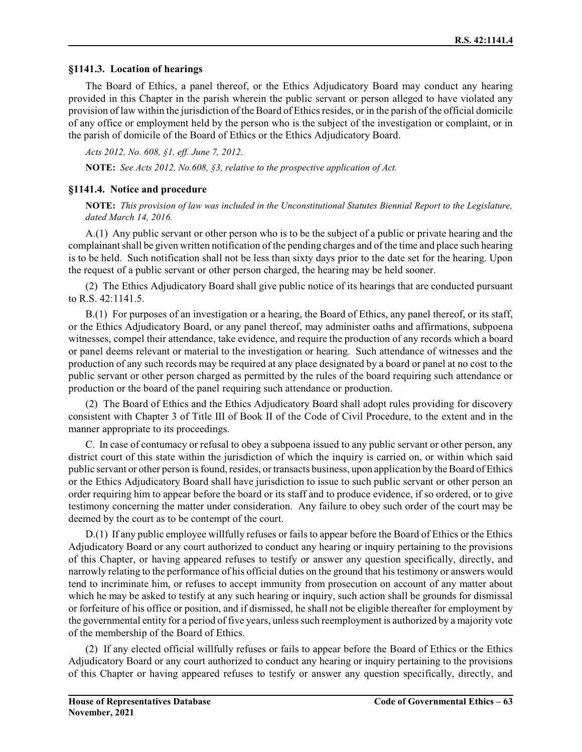## **§1141.3. Location of hearings**

The Board of Ethics, a panel thereof, or the Ethics Adjudicatory Board may conduct any hearing provided in this Chapter in the parish wherein the public servant or person alleged to have violated any provision of law within the jurisdiction of the Board of Ethics resides, or in the parish of the official domicile of any office or employment held by the person who is the subject of the investigation or complaint, or in the parish of domicile of the Board of Ethics or the Ethics Adjudicatory Board.

*Acts 2012, No. 608, §1, eff. June 7, 2012.*

**NOTE:** *See Acts 2012, No.608, §3, relative to the prospective application of Act.*

# **§1141.4. Notice and procedure**

**NOTE:** *This provision of law was included in the Unconstitutional Statutes Biennial Report to the Legislature, dated March 14, 2016.*

A.(1) Any public servant or other person who is to be the subject of a public or private hearing and the complainant shall be given written notification of the pending charges and of the time and place such hearing is to be held. Such notification shall not be less than sixty days prior to the date set for the hearing. Upon the request of a public servant or other person charged, the hearing may be held sooner.

(2) The Ethics Adjudicatory Board shall give public notice of its hearings that are conducted pursuant to R.S. 42:1141.5.

B.(1) For purposes of an investigation or a hearing, the Board of Ethics, any panel thereof, or its staff, or the Ethics Adjudicatory Board, or any panel thereof, may administer oaths and affirmations, subpoena witnesses, compel their attendance, take evidence, and require the production of any records which a board or panel deems relevant or material to the investigation or hearing. Such attendance of witnesses and the production of any such records may be required at any place designated by a board or panel at no cost to the public servant or other person charged as permitted by the rules of the board requiring such attendance or production or the board of the panel requiring such attendance or production.

(2) The Board of Ethics and the Ethics Adjudicatory Board shall adopt rules providing for discovery consistent with Chapter 3 of Title III of Book II of the Code of Civil Procedure, to the extent and in the manner appropriate to its proceedings.

C. In case of contumacy or refusal to obey a subpoena issued to any public servant or other person, any district court of this state within the jurisdiction of which the inquiry is carried on, or within which said public servant or other person is found, resides, or transacts business, upon application by the Board of Ethics or the Ethics Adjudicatory Board shall have jurisdiction to issue to such public servant or other person an order requiring him to appear before the board or its staff and to produce evidence, if so ordered, or to give testimony concerning the matter under consideration. Any failure to obey such order of the court may be deemed by the court as to be contempt of the court.

D.(1) If any public employee willfully refuses or fails to appear before the Board of Ethics or the Ethics Adjudicatory Board or any court authorized to conduct any hearing or inquiry pertaining to the provisions of this Chapter, or having appeared refuses to testify or answer any question specifically, directly, and narrowly relating to the performance of his official duties on the ground that his testimony or answers would tend to incriminate him, or refuses to accept immunity from prosecution on account of any matter about which he may be asked to testify at any such hearing or inquiry, such action shall be grounds for dismissal or forfeiture of his office or position, and if dismissed, he shall not be eligible thereafter for employment by the governmental entity for a period of five years, unless such reemployment is authorized by a majority vote of the membership of the Board of Ethics.

(2) If any elected official willfully refuses or fails to appear before the Board of Ethics or the Ethics Adjudicatory Board or any court authorized to conduct any hearing or inquiry pertaining to the provisions of this Chapter or having appeared refuses to testify or answer any question specifically, directly, and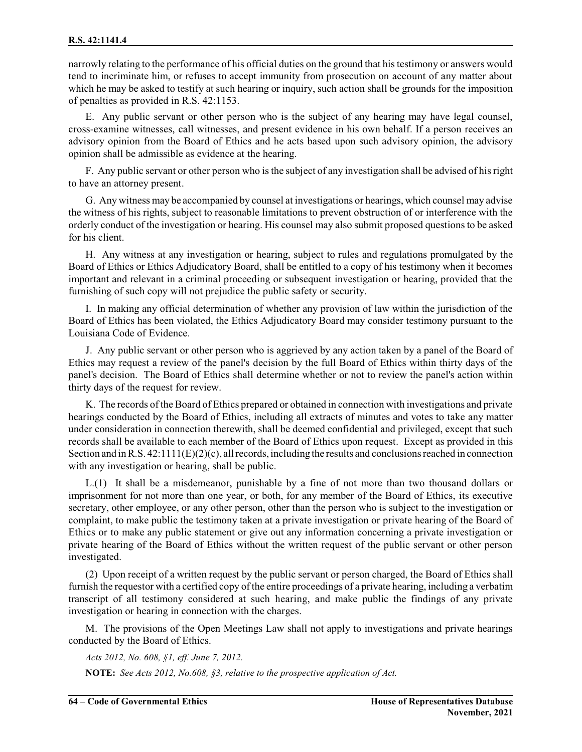narrowly relating to the performance of his official duties on the ground that his testimony or answers would tend to incriminate him, or refuses to accept immunity from prosecution on account of any matter about which he may be asked to testify at such hearing or inquiry, such action shall be grounds for the imposition of penalties as provided in R.S. 42:1153.

E. Any public servant or other person who is the subject of any hearing may have legal counsel, cross-examine witnesses, call witnesses, and present evidence in his own behalf. If a person receives an advisory opinion from the Board of Ethics and he acts based upon such advisory opinion, the advisory opinion shall be admissible as evidence at the hearing.

F. Any public servant or other person who is the subject of any investigation shall be advised of his right to have an attorney present.

G. Any witness may be accompanied by counsel at investigations or hearings, which counsel may advise the witness of his rights, subject to reasonable limitations to prevent obstruction of or interference with the orderly conduct of the investigation or hearing. His counsel may also submit proposed questions to be asked for his client.

H. Any witness at any investigation or hearing, subject to rules and regulations promulgated by the Board of Ethics or Ethics Adjudicatory Board, shall be entitled to a copy of his testimony when it becomes important and relevant in a criminal proceeding or subsequent investigation or hearing, provided that the furnishing of such copy will not prejudice the public safety or security.

I. In making any official determination of whether any provision of law within the jurisdiction of the Board of Ethics has been violated, the Ethics Adjudicatory Board may consider testimony pursuant to the Louisiana Code of Evidence.

J. Any public servant or other person who is aggrieved by any action taken by a panel of the Board of Ethics may request a review of the panel's decision by the full Board of Ethics within thirty days of the panel's decision. The Board of Ethics shall determine whether or not to review the panel's action within thirty days of the request for review.

K. The records of the Board of Ethics prepared or obtained in connection with investigations and private hearings conducted by the Board of Ethics, including all extracts of minutes and votes to take any matter under consideration in connection therewith, shall be deemed confidential and privileged, except that such records shall be available to each member of the Board of Ethics upon request. Except as provided in this Section and in R.S. 42:1111(E)(2)(c), all records, including the results and conclusions reached in connection with any investigation or hearing, shall be public.

L.(1) It shall be a misdemeanor, punishable by a fine of not more than two thousand dollars or imprisonment for not more than one year, or both, for any member of the Board of Ethics, its executive secretary, other employee, or any other person, other than the person who is subject to the investigation or complaint, to make public the testimony taken at a private investigation or private hearing of the Board of Ethics or to make any public statement or give out any information concerning a private investigation or private hearing of the Board of Ethics without the written request of the public servant or other person investigated.

(2) Upon receipt of a written request by the public servant or person charged, the Board of Ethics shall furnish the requestor with a certified copy of the entire proceedings of a private hearing, including a verbatim transcript of all testimony considered at such hearing, and make public the findings of any private investigation or hearing in connection with the charges.

M. The provisions of the Open Meetings Law shall not apply to investigations and private hearings conducted by the Board of Ethics.

*Acts 2012, No. 608, §1, eff. June 7, 2012.*

**NOTE:** *See Acts 2012, No.608, §3, relative to the prospective application of Act.*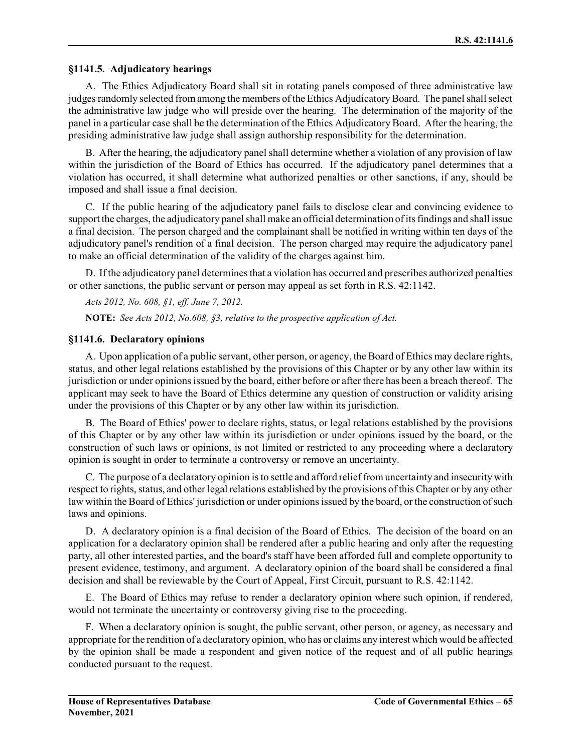# **§1141.5. Adjudicatory hearings**

A. The Ethics Adjudicatory Board shall sit in rotating panels composed of three administrative law judges randomly selected from among the members of the Ethics Adjudicatory Board. The panel shall select the administrative law judge who will preside over the hearing. The determination of the majority of the panel in a particular case shall be the determination of the Ethics Adjudicatory Board. After the hearing, the presiding administrative law judge shall assign authorship responsibility for the determination.

B. After the hearing, the adjudicatory panel shall determine whether a violation of any provision of law within the jurisdiction of the Board of Ethics has occurred. If the adjudicatory panel determines that a violation has occurred, it shall determine what authorized penalties or other sanctions, if any, should be imposed and shall issue a final decision.

C. If the public hearing of the adjudicatory panel fails to disclose clear and convincing evidence to support the charges, the adjudicatory panel shall make an official determination of its findings and shall issue a final decision. The person charged and the complainant shall be notified in writing within ten days of the adjudicatory panel's rendition of a final decision. The person charged may require the adjudicatory panel to make an official determination of the validity of the charges against him.

D. If the adjudicatory panel determines that a violation has occurred and prescribes authorized penalties or other sanctions, the public servant or person may appeal as set forth in R.S. 42:1142.

*Acts 2012, No. 608, §1, eff. June 7, 2012.*

**NOTE:** *See Acts 2012, No.608, §3, relative to the prospective application of Act.*

# **§1141.6. Declaratory opinions**

A. Upon application of a public servant, other person, or agency, the Board of Ethics may declare rights, status, and other legal relations established by the provisions of this Chapter or by any other law within its jurisdiction or under opinions issued by the board, either before or after there has been a breach thereof. The applicant may seek to have the Board of Ethics determine any question of construction or validity arising under the provisions of this Chapter or by any other law within its jurisdiction.

B. The Board of Ethics' power to declare rights, status, or legal relations established by the provisions of this Chapter or by any other law within its jurisdiction or under opinions issued by the board, or the construction of such laws or opinions, is not limited or restricted to any proceeding where a declaratory opinion is sought in order to terminate a controversy or remove an uncertainty.

C. The purpose of a declaratory opinion is to settle and afford relief fromuncertainty and insecurity with respect to rights, status, and other legal relations established by the provisions of this Chapter or by any other law within the Board of Ethics' jurisdiction or under opinions issued by the board, or the construction ofsuch laws and opinions.

D. A declaratory opinion is a final decision of the Board of Ethics. The decision of the board on an application for a declaratory opinion shall be rendered after a public hearing and only after the requesting party, all other interested parties, and the board's staff have been afforded full and complete opportunity to present evidence, testimony, and argument. A declaratory opinion of the board shall be considered a final decision and shall be reviewable by the Court of Appeal, First Circuit, pursuant to R.S. 42:1142.

E. The Board of Ethics may refuse to render a declaratory opinion where such opinion, if rendered, would not terminate the uncertainty or controversy giving rise to the proceeding.

F. When a declaratory opinion is sought, the public servant, other person, or agency, as necessary and appropriate for the rendition of a declaratory opinion, who has or claims any interest which would be affected by the opinion shall be made a respondent and given notice of the request and of all public hearings conducted pursuant to the request.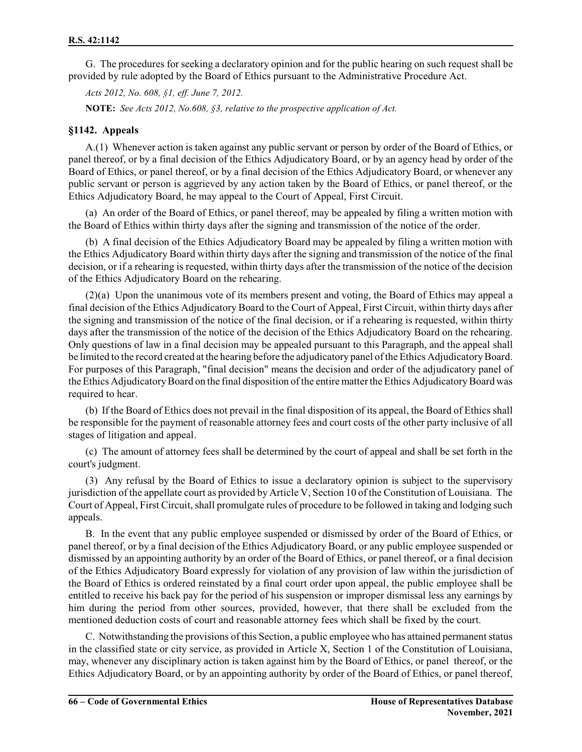G. The procedures for seeking a declaratory opinion and for the public hearing on such request shall be provided by rule adopted by the Board of Ethics pursuant to the Administrative Procedure Act.

*Acts 2012, No. 608, §1, eff. June 7, 2012.*

**NOTE:** *See Acts 2012, No.608, §3, relative to the prospective application of Act.*

## **§1142. Appeals**

A.(1) Whenever action is taken against any public servant or person by order of the Board of Ethics, or panel thereof, or by a final decision of the Ethics Adjudicatory Board, or by an agency head by order of the Board of Ethics, or panel thereof, or by a final decision of the Ethics Adjudicatory Board, or whenever any public servant or person is aggrieved by any action taken by the Board of Ethics, or panel thereof, or the Ethics Adjudicatory Board, he may appeal to the Court of Appeal, First Circuit.

(a) An order of the Board of Ethics, or panel thereof, may be appealed by filing a written motion with the Board of Ethics within thirty days after the signing and transmission of the notice of the order.

(b) A final decision of the Ethics Adjudicatory Board may be appealed by filing a written motion with the Ethics Adjudicatory Board within thirty days after the signing and transmission of the notice of the final decision, or if a rehearing is requested, within thirty days after the transmission of the notice of the decision of the Ethics Adjudicatory Board on the rehearing.

(2)(a) Upon the unanimous vote of its members present and voting, the Board of Ethics may appeal a final decision of the Ethics Adjudicatory Board to the Court of Appeal, First Circuit, within thirty days after the signing and transmission of the notice of the final decision, or if a rehearing is requested, within thirty days after the transmission of the notice of the decision of the Ethics Adjudicatory Board on the rehearing. Only questions of law in a final decision may be appealed pursuant to this Paragraph, and the appeal shall be limited to the record created at the hearing before the adjudicatory panel ofthe Ethics AdjudicatoryBoard. For purposes of this Paragraph, "final decision" means the decision and order of the adjudicatory panel of the Ethics AdjudicatoryBoard on the final disposition of the entire matterthe Ethics AdjudicatoryBoard was required to hear.

(b) If the Board of Ethics does not prevail in the final disposition of its appeal, the Board of Ethics shall be responsible for the payment of reasonable attorney fees and court costs of the other party inclusive of all stages of litigation and appeal.

(c) The amount of attorney fees shall be determined by the court of appeal and shall be set forth in the court's judgment.

(3) Any refusal by the Board of Ethics to issue a declaratory opinion is subject to the supervisory jurisdiction of the appellate court as provided by Article V, Section 10 of the Constitution of Louisiana. The Court of Appeal, First Circuit, shall promulgate rules of procedure to be followed in taking and lodging such appeals.

B. In the event that any public employee suspended or dismissed by order of the Board of Ethics, or panel thereof, or by a final decision of the Ethics Adjudicatory Board, or any public employee suspended or dismissed by an appointing authority by an order of the Board of Ethics, or panel thereof, or a final decision of the Ethics Adjudicatory Board expressly for violation of any provision of law within the jurisdiction of the Board of Ethics is ordered reinstated by a final court order upon appeal, the public employee shall be entitled to receive his back pay for the period of his suspension or improper dismissal less any earnings by him during the period from other sources, provided, however, that there shall be excluded from the mentioned deduction costs of court and reasonable attorney fees which shall be fixed by the court.

C. Notwithstanding the provisions of this Section, a public employee who has attained permanent status in the classified state or city service, as provided in Article X, Section 1 of the Constitution of Louisiana, may, whenever any disciplinary action is taken against him by the Board of Ethics, or panel thereof, or the Ethics Adjudicatory Board, or by an appointing authority by order of the Board of Ethics, or panel thereof,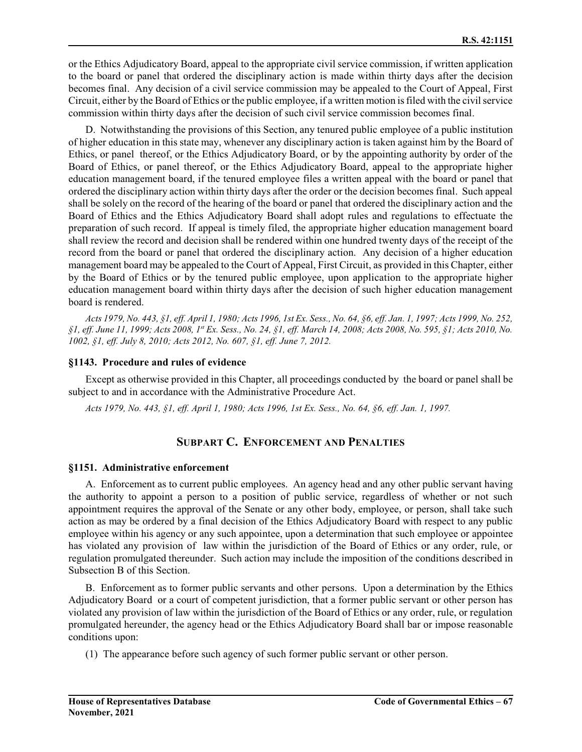or the Ethics Adjudicatory Board, appeal to the appropriate civil service commission, if written application to the board or panel that ordered the disciplinary action is made within thirty days after the decision becomes final. Any decision of a civil service commission may be appealed to the Court of Appeal, First Circuit, either by the Board of Ethics or the public employee, if a written motion is filed with the civilservice commission within thirty days after the decision of such civil service commission becomes final.

D. Notwithstanding the provisions of this Section, any tenured public employee of a public institution of higher education in this state may, whenever any disciplinary action is taken against him by the Board of Ethics, or panel thereof, or the Ethics Adjudicatory Board, or by the appointing authority by order of the Board of Ethics, or panel thereof, or the Ethics Adjudicatory Board, appeal to the appropriate higher education management board, if the tenured employee files a written appeal with the board or panel that ordered the disciplinary action within thirty days after the order or the decision becomes final. Such appeal shall be solely on the record of the hearing of the board or panel that ordered the disciplinary action and the Board of Ethics and the Ethics Adjudicatory Board shall adopt rules and regulations to effectuate the preparation of such record. If appeal is timely filed, the appropriate higher education management board shall review the record and decision shall be rendered within one hundred twenty days of the receipt of the record from the board or panel that ordered the disciplinary action. Any decision of a higher education management board may be appealed to the Court of Appeal, First Circuit, as provided in this Chapter, either by the Board of Ethics or by the tenured public employee, upon application to the appropriate higher education management board within thirty days after the decision of such higher education management board is rendered.

*Acts 1979, No. 443, §1, eff. April 1, 1980; Acts 1996, 1st Ex. Sess., No. 64, §6, eff. Jan. 1, 1997; Acts 1999, No. 252, §1, eff. June 11, 1999; Acts 2008, 1 st Ex. Sess., No. 24, §1, eff. March 14, 2008; Acts 2008, No. 595, §1; Acts 2010, No. 1002, §1, eff. July 8, 2010; Acts 2012, No. 607, §1, eff. June 7, 2012.*

## **§1143. Procedure and rules of evidence**

Except as otherwise provided in this Chapter, all proceedings conducted by the board or panel shall be subject to and in accordance with the Administrative Procedure Act.

*Acts 1979, No. 443, §1, eff. April 1, 1980; Acts 1996, 1st Ex. Sess., No. 64, §6, eff. Jan. 1, 1997.*

## **SUBPART C. ENFORCEMENT AND PENALTIES**

#### **§1151. Administrative enforcement**

A. Enforcement as to current public employees. An agency head and any other public servant having the authority to appoint a person to a position of public service, regardless of whether or not such appointment requires the approval of the Senate or any other body, employee, or person, shall take such action as may be ordered by a final decision of the Ethics Adjudicatory Board with respect to any public employee within his agency or any such appointee, upon a determination that such employee or appointee has violated any provision of law within the jurisdiction of the Board of Ethics or any order, rule, or regulation promulgated thereunder. Such action may include the imposition of the conditions described in Subsection B of this Section.

B. Enforcement as to former public servants and other persons. Upon a determination by the Ethics Adjudicatory Board or a court of competent jurisdiction, that a former public servant or other person has violated any provision of law within the jurisdiction of the Board of Ethics or any order, rule, or regulation promulgated hereunder, the agency head or the Ethics Adjudicatory Board shall bar or impose reasonable conditions upon:

(1) The appearance before such agency of such former public servant or other person.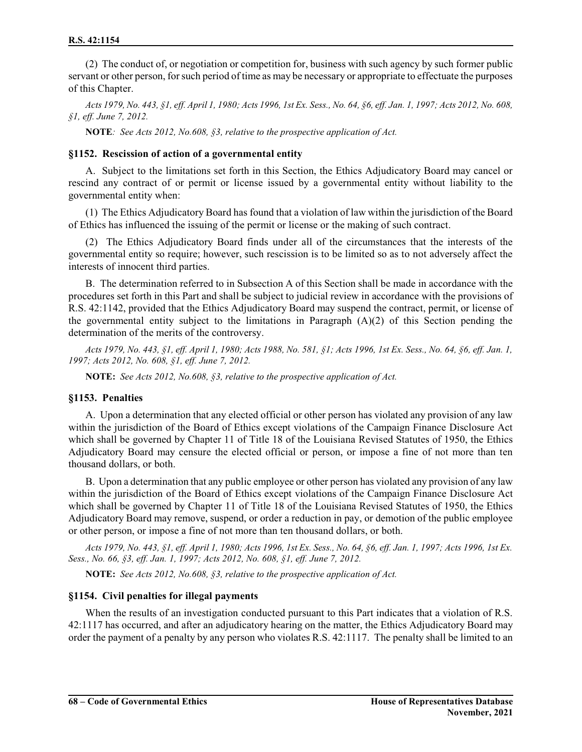(2) The conduct of, or negotiation or competition for, business with such agency by such former public servant or other person, forsuch period of time as may be necessary or appropriate to effectuate the purposes of this Chapter.

*Acts 1979, No. 443, §1, eff. April 1, 1980; Acts 1996, 1st Ex. Sess., No. 64, §6, eff. Jan. 1, 1997; Acts 2012, No. 608, §1, eff. June 7, 2012.*

**NOTE***: See Acts 2012, No.608, §3, relative to the prospective application of Act.*

#### **§1152. Rescission of action of a governmental entity**

A. Subject to the limitations set forth in this Section, the Ethics Adjudicatory Board may cancel or rescind any contract of or permit or license issued by a governmental entity without liability to the governmental entity when:

(1) The Ethics Adjudicatory Board has found that a violation of law within the jurisdiction of the Board of Ethics has influenced the issuing of the permit or license or the making of such contract.

(2) The Ethics Adjudicatory Board finds under all of the circumstances that the interests of the governmental entity so require; however, such rescission is to be limited so as to not adversely affect the interests of innocent third parties.

B. The determination referred to in Subsection A of this Section shall be made in accordance with the procedures set forth in this Part and shall be subject to judicial review in accordance with the provisions of R.S. 42:1142, provided that the Ethics Adjudicatory Board may suspend the contract, permit, or license of the governmental entity subject to the limitations in Paragraph  $(A)(2)$  of this Section pending the determination of the merits of the controversy.

*Acts 1979, No. 443, §1, eff. April 1, 1980; Acts 1988, No. 581, §1; Acts 1996, 1st Ex. Sess., No. 64, §6, eff. Jan. 1, 1997; Acts 2012, No. 608, §1, eff. June 7, 2012.*

**NOTE:** *See Acts 2012, No.608, §3, relative to the prospective application of Act.*

#### **§1153. Penalties**

A. Upon a determination that any elected official or other person has violated any provision of any law within the jurisdiction of the Board of Ethics except violations of the Campaign Finance Disclosure Act which shall be governed by Chapter 11 of Title 18 of the Louisiana Revised Statutes of 1950, the Ethics Adjudicatory Board may censure the elected official or person, or impose a fine of not more than ten thousand dollars, or both.

B. Upon a determination that any public employee or other person has violated any provision of any law within the jurisdiction of the Board of Ethics except violations of the Campaign Finance Disclosure Act which shall be governed by Chapter 11 of Title 18 of the Louisiana Revised Statutes of 1950, the Ethics Adjudicatory Board may remove, suspend, or order a reduction in pay, or demotion of the public employee or other person, or impose a fine of not more than ten thousand dollars, or both.

*Acts 1979, No. 443, §1, eff. April 1, 1980; Acts 1996, 1st Ex. Sess., No. 64, §6, eff. Jan. 1, 1997; Acts 1996, 1st Ex. Sess., No. 66, §3, eff. Jan. 1, 1997; Acts 2012, No. 608, §1, eff. June 7, 2012.*

**NOTE:** *See Acts 2012, No.608, §3, relative to the prospective application of Act.*

#### **§1154. Civil penalties for illegal payments**

When the results of an investigation conducted pursuant to this Part indicates that a violation of R.S. 42:1117 has occurred, and after an adjudicatory hearing on the matter, the Ethics Adjudicatory Board may order the payment of a penalty by any person who violates R.S. 42:1117. The penalty shall be limited to an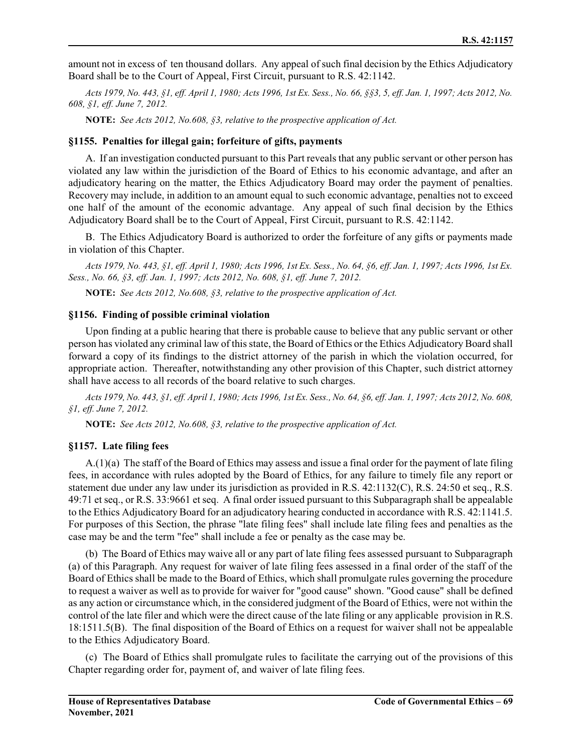amount not in excess of ten thousand dollars. Any appeal of such final decision by the Ethics Adjudicatory Board shall be to the Court of Appeal, First Circuit, pursuant to R.S. 42:1142.

*Acts 1979, No. 443, §1, eff. April 1, 1980; Acts 1996, 1st Ex. Sess., No. 66, §§3, 5, eff. Jan. 1, 1997; Acts 2012, No. 608, §1, eff. June 7, 2012.*

**NOTE:** *See Acts 2012, No.608, §3, relative to the prospective application of Act.*

#### **§1155. Penalties for illegal gain; forfeiture of gifts, payments**

A. If an investigation conducted pursuant to this Part reveals that any public servant or other person has violated any law within the jurisdiction of the Board of Ethics to his economic advantage, and after an adjudicatory hearing on the matter, the Ethics Adjudicatory Board may order the payment of penalties. Recovery may include, in addition to an amount equal to such economic advantage, penalties not to exceed one half of the amount of the economic advantage. Any appeal of such final decision by the Ethics Adjudicatory Board shall be to the Court of Appeal, First Circuit, pursuant to R.S. 42:1142.

B. The Ethics Adjudicatory Board is authorized to order the forfeiture of any gifts or payments made in violation of this Chapter.

*Acts 1979, No. 443, §1, eff. April 1, 1980; Acts 1996, 1st Ex. Sess., No. 64, §6, eff. Jan. 1, 1997; Acts 1996, 1st Ex. Sess., No. 66, §3, eff. Jan. 1, 1997; Acts 2012, No. 608, §1, eff. June 7, 2012.*

**NOTE:** *See Acts 2012, No.608, §3, relative to the prospective application of Act.*

#### **§1156. Finding of possible criminal violation**

Upon finding at a public hearing that there is probable cause to believe that any public servant or other person has violated any criminal law of this state, the Board of Ethics or the Ethics Adjudicatory Board shall forward a copy of its findings to the district attorney of the parish in which the violation occurred, for appropriate action. Thereafter, notwithstanding any other provision of this Chapter, such district attorney shall have access to all records of the board relative to such charges.

*Acts 1979, No. 443, §1, eff. April 1, 1980; Acts 1996, 1st Ex. Sess., No. 64, §6, eff. Jan. 1, 1997; Acts 2012, No. 608, §1, eff. June 7, 2012.*

**NOTE:** *See Acts 2012, No.608, §3, relative to the prospective application of Act.*

## **§1157. Late filing fees**

A.(1)(a) The staff of the Board of Ethics may assess and issue a final order for the payment of late filing fees, in accordance with rules adopted by the Board of Ethics, for any failure to timely file any report or statement due under any law under its jurisdiction as provided in R.S. 42:1132(C), R.S. 24:50 et seq., R.S. 49:71 et seq., or R.S. 33:9661 et seq. A final order issued pursuant to this Subparagraph shall be appealable to the Ethics Adjudicatory Board for an adjudicatory hearing conducted in accordance with R.S. 42:1141.5. For purposes of this Section, the phrase "late filing fees" shall include late filing fees and penalties as the case may be and the term "fee" shall include a fee or penalty as the case may be.

(b) The Board of Ethics may waive all or any part of late filing fees assessed pursuant to Subparagraph (a) of this Paragraph. Any request for waiver of late filing fees assessed in a final order of the staff of the Board of Ethics shall be made to the Board of Ethics, which shall promulgate rules governing the procedure to request a waiver as well as to provide for waiver for "good cause" shown. "Good cause" shall be defined as any action or circumstance which, in the considered judgment of the Board of Ethics, were not within the control of the late filer and which were the direct cause of the late filing or any applicable provision in R.S. 18:1511.5(B). The final disposition of the Board of Ethics on a request for waiver shall not be appealable to the Ethics Adjudicatory Board.

(c) The Board of Ethics shall promulgate rules to facilitate the carrying out of the provisions of this Chapter regarding order for, payment of, and waiver of late filing fees.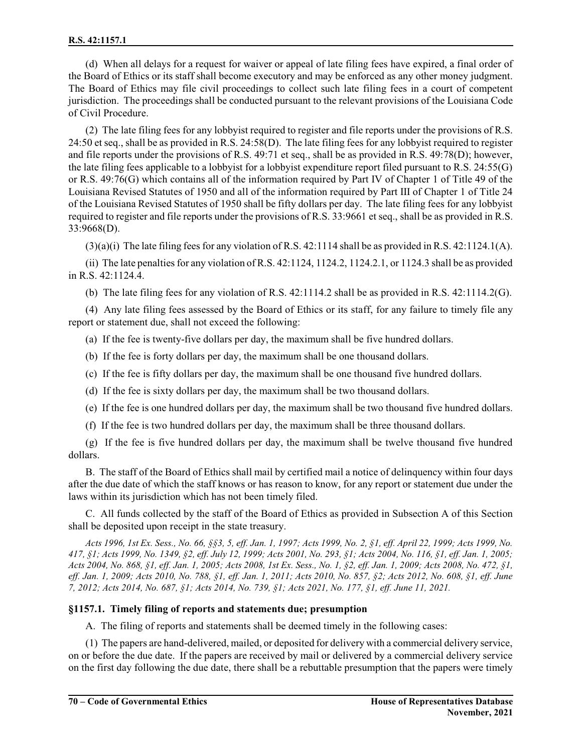(d) When all delays for a request for waiver or appeal of late filing fees have expired, a final order of the Board of Ethics or its staff shall become executory and may be enforced as any other money judgment. The Board of Ethics may file civil proceedings to collect such late filing fees in a court of competent jurisdiction. The proceedings shall be conducted pursuant to the relevant provisions of the Louisiana Code of Civil Procedure.

(2) The late filing fees for any lobbyist required to register and file reports under the provisions of R.S. 24:50 et seq., shall be as provided in R.S. 24:58(D). The late filing fees for any lobbyist required to register and file reports under the provisions of R.S. 49:71 et seq., shall be as provided in R.S. 49:78(D); however, the late filing fees applicable to a lobbyist for a lobbyist expenditure report filed pursuant to R.S. 24:55(G) or R.S. 49:76(G) which contains all of the information required by Part IV of Chapter 1 of Title 49 of the Louisiana Revised Statutes of 1950 and all of the information required by Part III of Chapter 1 of Title 24 of the Louisiana Revised Statutes of 1950 shall be fifty dollars per day. The late filing fees for any lobbyist required to register and file reports under the provisions of R.S. 33:9661 et seq., shall be as provided in R.S. 33:9668(D).

 $(3)(a)(i)$  The late filing fees for any violation of R.S. 42:1114 shall be as provided in R.S. 42:1124.1(A).

(ii) The late penalties for any violation of R.S. 42:1124, 1124.2, 1124.2.1, or 1124.3 shall be as provided in R.S. 42:1124.4.

(b) The late filing fees for any violation of R.S. 42:1114.2 shall be as provided in R.S. 42:1114.2(G).

(4) Any late filing fees assessed by the Board of Ethics or its staff, for any failure to timely file any report or statement due, shall not exceed the following:

- (a) If the fee is twenty-five dollars per day, the maximum shall be five hundred dollars.
- (b) If the fee is forty dollars per day, the maximum shall be one thousand dollars.
- (c) If the fee is fifty dollars per day, the maximum shall be one thousand five hundred dollars.
- (d) If the fee is sixty dollars per day, the maximum shall be two thousand dollars.
- (e) If the fee is one hundred dollars per day, the maximum shall be two thousand five hundred dollars.
- (f) If the fee is two hundred dollars per day, the maximum shall be three thousand dollars.

(g) If the fee is five hundred dollars per day, the maximum shall be twelve thousand five hundred dollars.

B. The staff of the Board of Ethics shall mail by certified mail a notice of delinquency within four days after the due date of which the staff knows or has reason to know, for any report or statement due under the laws within its jurisdiction which has not been timely filed.

C. All funds collected by the staff of the Board of Ethics as provided in Subsection A of this Section shall be deposited upon receipt in the state treasury.

*Acts 1996, 1st Ex. Sess., No. 66, §§3, 5, eff. Jan. 1, 1997; Acts 1999, No. 2, §1, eff. April 22, 1999; Acts 1999, No. 417, §1; Acts 1999, No. 1349, §2, eff. July 12, 1999; Acts 2001, No. 293, §1; Acts 2004, No. 116, §1, eff. Jan. 1, 2005; Acts 2004, No. 868, §1, eff. Jan. 1, 2005; Acts 2008, 1st Ex. Sess., No. 1, §2, eff. Jan. 1, 2009; Acts 2008, No. 472, §1, eff. Jan. 1, 2009; Acts 2010, No. 788, §1, eff. Jan. 1, 2011; Acts 2010, No. 857, §2; Acts 2012, No. 608, §1, eff. June 7, 2012; Acts 2014, No. 687, §1; Acts 2014, No. 739, §1; Acts 2021, No. 177, §1, eff. June 11, 2021.*

## **§1157.1. Timely filing of reports and statements due; presumption**

A. The filing of reports and statements shall be deemed timely in the following cases:

(1) The papers are hand-delivered, mailed, or deposited for delivery with a commercial delivery service, on or before the due date. If the papers are received by mail or delivered by a commercial delivery service on the first day following the due date, there shall be a rebuttable presumption that the papers were timely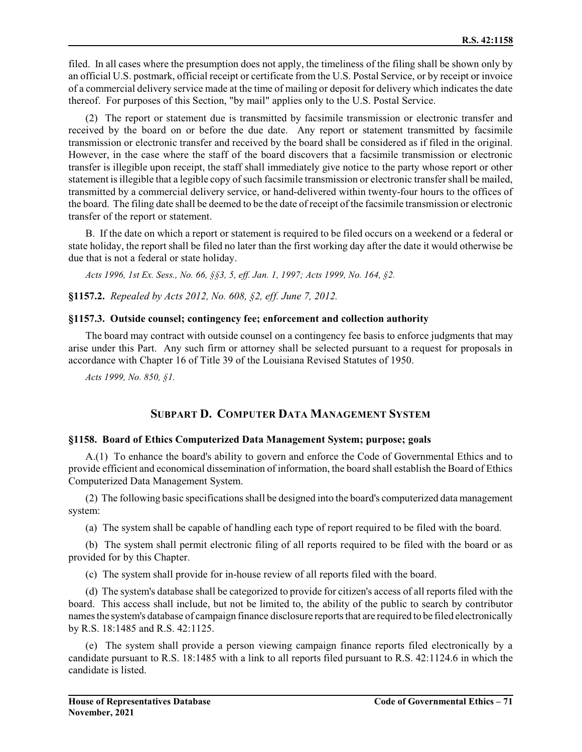filed. In all cases where the presumption does not apply, the timeliness of the filing shall be shown only by an official U.S. postmark, official receipt or certificate from the U.S. Postal Service, or by receipt or invoice of a commercial delivery service made at the time of mailing or deposit for delivery which indicates the date thereof. For purposes of this Section, "by mail" applies only to the U.S. Postal Service.

(2) The report or statement due is transmitted by facsimile transmission or electronic transfer and received by the board on or before the due date. Any report or statement transmitted by facsimile transmission or electronic transfer and received by the board shall be considered as if filed in the original. However, in the case where the staff of the board discovers that a facsimile transmission or electronic transfer is illegible upon receipt, the staff shall immediately give notice to the party whose report or other statement is illegible that a legible copy of such facsimile transmission or electronic transfer shall be mailed, transmitted by a commercial delivery service, or hand-delivered within twenty-four hours to the offices of the board. The filing date shall be deemed to be the date of receipt of the facsimile transmission or electronic transfer of the report or statement.

B. If the date on which a report or statement is required to be filed occurs on a weekend or a federal or state holiday, the report shall be filed no later than the first working day after the date it would otherwise be due that is not a federal or state holiday.

*Acts 1996, 1st Ex. Sess., No. 66, §§3, 5, eff. Jan. 1, 1997; Acts 1999, No. 164, §2.*

**§1157.2.** *Repealed by Acts 2012, No. 608, §2, eff. June 7, 2012.*

# **§1157.3. Outside counsel; contingency fee; enforcement and collection authority**

The board may contract with outside counsel on a contingency fee basis to enforce judgments that may arise under this Part. Any such firm or attorney shall be selected pursuant to a request for proposals in accordance with Chapter 16 of Title 39 of the Louisiana Revised Statutes of 1950.

*Acts 1999, No. 850, §1.*

# **SUBPART D. COMPUTER DATA MANAGEMENT SYSTEM**

# **§1158. Board of Ethics Computerized Data Management System; purpose; goals**

A.(1) To enhance the board's ability to govern and enforce the Code of Governmental Ethics and to provide efficient and economical dissemination of information, the board shall establish the Board of Ethics Computerized Data Management System.

(2) The following basic specifications shall be designed into the board's computerized data management system:

(a) The system shall be capable of handling each type of report required to be filed with the board.

(b) The system shall permit electronic filing of all reports required to be filed with the board or as provided for by this Chapter.

(c) The system shall provide for in-house review of all reports filed with the board.

(d) The system's database shall be categorized to provide for citizen's access of all reports filed with the board. This access shall include, but not be limited to, the ability of the public to search by contributor names the system's database of campaign finance disclosure reports that are required to be filed electronically by R.S. 18:1485 and R.S. 42:1125.

(e) The system shall provide a person viewing campaign finance reports filed electronically by a candidate pursuant to R.S. 18:1485 with a link to all reports filed pursuant to R.S. 42:1124.6 in which the candidate is listed.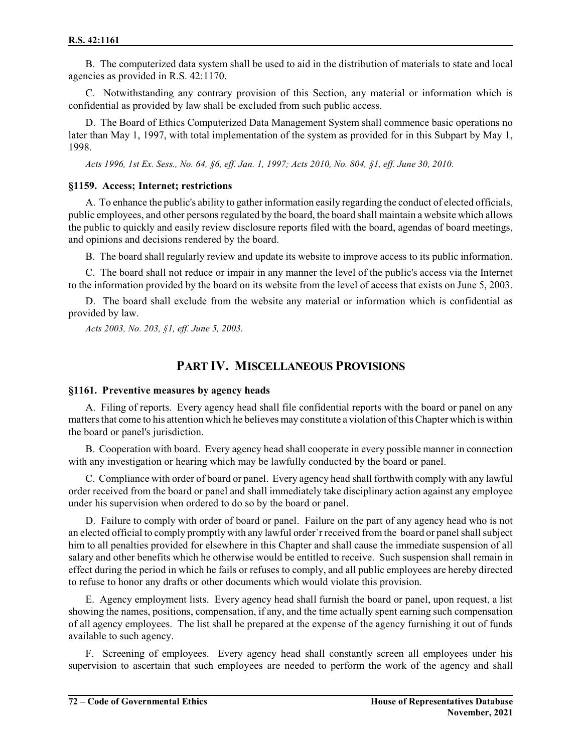B. The computerized data system shall be used to aid in the distribution of materials to state and local agencies as provided in R.S. 42:1170.

C. Notwithstanding any contrary provision of this Section, any material or information which is confidential as provided by law shall be excluded from such public access.

D. The Board of Ethics Computerized Data Management System shall commence basic operations no later than May 1, 1997, with total implementation of the system as provided for in this Subpart by May 1, 1998.

*Acts 1996, 1st Ex. Sess., No. 64, §6, eff. Jan. 1, 1997; Acts 2010, No. 804, §1, eff. June 30, 2010.*

#### **§1159. Access; Internet; restrictions**

A. To enhance the public's ability to gather information easily regarding the conduct of elected officials, public employees, and other persons regulated by the board, the board shall maintain a website which allows the public to quickly and easily review disclosure reports filed with the board, agendas of board meetings, and opinions and decisions rendered by the board.

B. The board shall regularly review and update its website to improve access to its public information.

C. The board shall not reduce or impair in any manner the level of the public's access via the Internet to the information provided by the board on its website from the level of access that exists on June 5, 2003.

D. The board shall exclude from the website any material or information which is confidential as provided by law.

*Acts 2003, No. 203, §1, eff. June 5, 2003.*

# **PART IV. MISCELLANEOUS PROVISIONS**

#### **§1161. Preventive measures by agency heads**

A. Filing of reports. Every agency head shall file confidential reports with the board or panel on any matters that come to his attention which he believes may constitute a violation ofthis Chapter which is within the board or panel's jurisdiction.

B. Cooperation with board. Every agency head shall cooperate in every possible manner in connection with any investigation or hearing which may be lawfully conducted by the board or panel.

C. Compliance with order of board or panel. Every agency head shall forthwith comply with any lawful order received from the board or panel and shall immediately take disciplinary action against any employee under his supervision when ordered to do so by the board or panel.

D. Failure to comply with order of board or panel. Failure on the part of any agency head who is not an elected official to comply promptly with any lawful order'r received from the board or panel shall subject him to all penalties provided for elsewhere in this Chapter and shall cause the immediate suspension of all salary and other benefits which he otherwise would be entitled to receive. Such suspension shall remain in effect during the period in which he fails or refuses to comply, and all public employees are hereby directed to refuse to honor any drafts or other documents which would violate this provision.

E. Agency employment lists. Every agency head shall furnish the board or panel, upon request, a list showing the names, positions, compensation, if any, and the time actually spent earning such compensation of all agency employees. The list shall be prepared at the expense of the agency furnishing it out of funds available to such agency.

F. Screening of employees. Every agency head shall constantly screen all employees under his supervision to ascertain that such employees are needed to perform the work of the agency and shall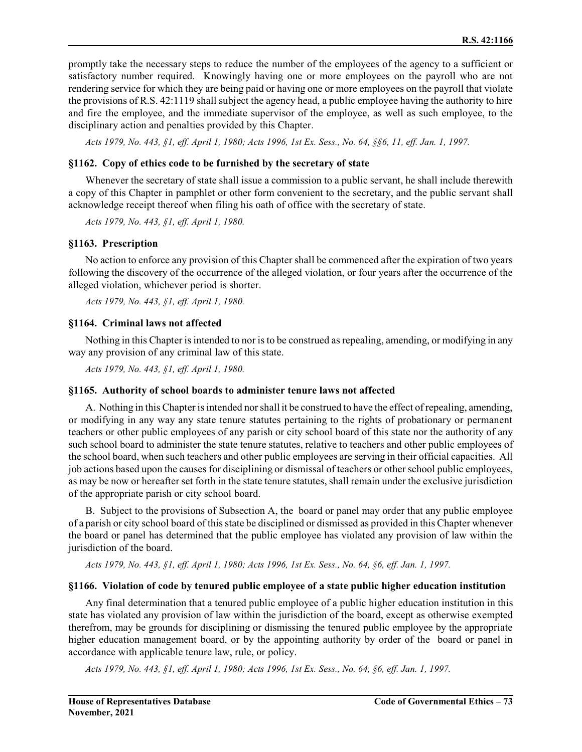promptly take the necessary steps to reduce the number of the employees of the agency to a sufficient or satisfactory number required. Knowingly having one or more employees on the payroll who are not rendering service for which they are being paid or having one or more employees on the payroll that violate the provisions of R.S. 42:1119 shall subject the agency head, a public employee having the authority to hire and fire the employee, and the immediate supervisor of the employee, as well as such employee, to the disciplinary action and penalties provided by this Chapter.

*Acts 1979, No. 443, §1, eff. April 1, 1980; Acts 1996, 1st Ex. Sess., No. 64, §§6, 11, eff. Jan. 1, 1997.*

### **§1162. Copy of ethics code to be furnished by the secretary of state**

Whenever the secretary of state shall issue a commission to a public servant, he shall include therewith a copy of this Chapter in pamphlet or other form convenient to the secretary, and the public servant shall acknowledge receipt thereof when filing his oath of office with the secretary of state.

*Acts 1979, No. 443, §1, eff. April 1, 1980.*

### **§1163. Prescription**

No action to enforce any provision of this Chapter shall be commenced after the expiration of two years following the discovery of the occurrence of the alleged violation, or four years after the occurrence of the alleged violation, whichever period is shorter.

*Acts 1979, No. 443, §1, eff. April 1, 1980.*

### **§1164. Criminal laws not affected**

Nothing in this Chapter is intended to nor is to be construed as repealing, amending, or modifying in any way any provision of any criminal law of this state.

*Acts 1979, No. 443, §1, eff. April 1, 1980.*

### **§1165. Authority of school boards to administer tenure laws not affected**

A. Nothing in this Chapter is intended norshall it be construed to have the effect of repealing, amending, or modifying in any way any state tenure statutes pertaining to the rights of probationary or permanent teachers or other public employees of any parish or city school board of this state nor the authority of any such school board to administer the state tenure statutes, relative to teachers and other public employees of the school board, when such teachers and other public employees are serving in their official capacities. All job actions based upon the causes for disciplining or dismissal of teachers or other school public employees, as may be now or hereafter set forth in the state tenure statutes, shall remain under the exclusive jurisdiction of the appropriate parish or city school board.

B. Subject to the provisions of Subsection A, the board or panel may order that any public employee of a parish or city school board of this state be disciplined or dismissed as provided in this Chapter whenever the board or panel has determined that the public employee has violated any provision of law within the jurisdiction of the board.

*Acts 1979, No. 443, §1, eff. April 1, 1980; Acts 1996, 1st Ex. Sess., No. 64, §6, eff. Jan. 1, 1997.*

# **§1166. Violation of code by tenured public employee of a state public higher education institution**

Any final determination that a tenured public employee of a public higher education institution in this state has violated any provision of law within the jurisdiction of the board, except as otherwise exempted therefrom, may be grounds for disciplining or dismissing the tenured public employee by the appropriate higher education management board, or by the appointing authority by order of the board or panel in accordance with applicable tenure law, rule, or policy.

*Acts 1979, No. 443, §1, eff. April 1, 1980; Acts 1996, 1st Ex. Sess., No. 64, §6, eff. Jan. 1, 1997.*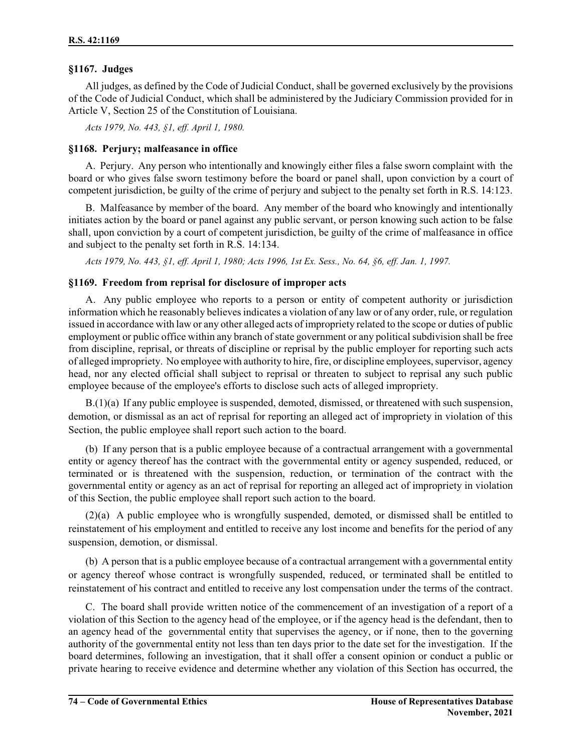### **§1167. Judges**

All judges, as defined by the Code of Judicial Conduct, shall be governed exclusively by the provisions of the Code of Judicial Conduct, which shall be administered by the Judiciary Commission provided for in Article V, Section 25 of the Constitution of Louisiana.

*Acts 1979, No. 443, §1, eff. April 1, 1980.*

#### **§1168. Perjury; malfeasance in office**

A. Perjury. Any person who intentionally and knowingly either files a false sworn complaint with the board or who gives false sworn testimony before the board or panel shall, upon conviction by a court of competent jurisdiction, be guilty of the crime of perjury and subject to the penalty set forth in R.S. 14:123.

B. Malfeasance by member of the board. Any member of the board who knowingly and intentionally initiates action by the board or panel against any public servant, or person knowing such action to be false shall, upon conviction by a court of competent jurisdiction, be guilty of the crime of malfeasance in office and subject to the penalty set forth in R.S. 14:134.

*Acts 1979, No. 443, §1, eff. April 1, 1980; Acts 1996, 1st Ex. Sess., No. 64, §6, eff. Jan. 1, 1997.*

#### **§1169. Freedom from reprisal for disclosure of improper acts**

A. Any public employee who reports to a person or entity of competent authority or jurisdiction information which he reasonably believes indicates a violation of any law or of any order, rule, or regulation issued in accordance with law or any other alleged acts of impropriety related to the scope or duties of public employment or public office within any branch of state government or any political subdivision shall be free from discipline, reprisal, or threats of discipline or reprisal by the public employer for reporting such acts of alleged impropriety. No employee with authority to hire, fire, or discipline employees, supervisor, agency head, nor any elected official shall subject to reprisal or threaten to subject to reprisal any such public employee because of the employee's efforts to disclose such acts of alleged impropriety.

 $B(1)(a)$  If any public employee is suspended, demoted, dismissed, or threatened with such suspension, demotion, or dismissal as an act of reprisal for reporting an alleged act of impropriety in violation of this Section, the public employee shall report such action to the board.

(b) If any person that is a public employee because of a contractual arrangement with a governmental entity or agency thereof has the contract with the governmental entity or agency suspended, reduced, or terminated or is threatened with the suspension, reduction, or termination of the contract with the governmental entity or agency as an act of reprisal for reporting an alleged act of impropriety in violation of this Section, the public employee shall report such action to the board.

(2)(a) A public employee who is wrongfully suspended, demoted, or dismissed shall be entitled to reinstatement of his employment and entitled to receive any lost income and benefits for the period of any suspension, demotion, or dismissal.

(b) A person that is a public employee because of a contractual arrangement with a governmental entity or agency thereof whose contract is wrongfully suspended, reduced, or terminated shall be entitled to reinstatement of his contract and entitled to receive any lost compensation under the terms of the contract.

C. The board shall provide written notice of the commencement of an investigation of a report of a violation of this Section to the agency head of the employee, or if the agency head is the defendant, then to an agency head of the governmental entity that supervises the agency, or if none, then to the governing authority of the governmental entity not less than ten days prior to the date set for the investigation. If the board determines, following an investigation, that it shall offer a consent opinion or conduct a public or private hearing to receive evidence and determine whether any violation of this Section has occurred, the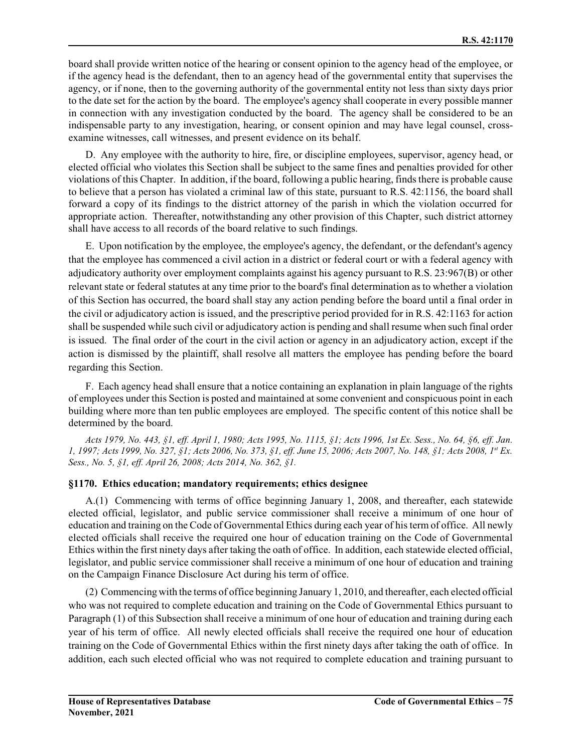board shall provide written notice of the hearing or consent opinion to the agency head of the employee, or if the agency head is the defendant, then to an agency head of the governmental entity that supervises the agency, or if none, then to the governing authority of the governmental entity not less than sixty days prior to the date set for the action by the board. The employee's agency shall cooperate in every possible manner in connection with any investigation conducted by the board. The agency shall be considered to be an indispensable party to any investigation, hearing, or consent opinion and may have legal counsel, crossexamine witnesses, call witnesses, and present evidence on its behalf.

D. Any employee with the authority to hire, fire, or discipline employees, supervisor, agency head, or elected official who violates this Section shall be subject to the same fines and penalties provided for other violations of this Chapter. In addition, if the board, following a public hearing, finds there is probable cause to believe that a person has violated a criminal law of this state, pursuant to R.S. 42:1156, the board shall forward a copy of its findings to the district attorney of the parish in which the violation occurred for appropriate action. Thereafter, notwithstanding any other provision of this Chapter, such district attorney shall have access to all records of the board relative to such findings.

E. Upon notification by the employee, the employee's agency, the defendant, or the defendant's agency that the employee has commenced a civil action in a district or federal court or with a federal agency with adjudicatory authority over employment complaints against his agency pursuant to R.S. 23:967(B) or other relevant state or federal statutes at any time prior to the board's final determination as to whether a violation of this Section has occurred, the board shall stay any action pending before the board until a final order in the civil or adjudicatory action is issued, and the prescriptive period provided for in R.S. 42:1163 for action shall be suspended while such civil or adjudicatory action is pending and shall resume when such final order is issued. The final order of the court in the civil action or agency in an adjudicatory action, except if the action is dismissed by the plaintiff, shall resolve all matters the employee has pending before the board regarding this Section.

F. Each agency head shall ensure that a notice containing an explanation in plain language of the rights of employees under this Section is posted and maintained at some convenient and conspicuous point in each building where more than ten public employees are employed. The specific content of this notice shall be determined by the board.

*Acts 1979, No. 443, §1, eff. April 1, 1980; Acts 1995, No. 1115, §1; Acts 1996, 1st Ex. Sess., No. 64, §6, eff. Jan. 1, 1997; Acts 1999, No. 327, §1; Acts 2006, No. 373, §1, eff. June 15, 2006; Acts 2007, No. 148, §1; Acts 2008, 1 st Ex. Sess., No. 5, §1, eff. April 26, 2008; Acts 2014, No. 362, §1.*

### **§1170. Ethics education; mandatory requirements; ethics designee**

A.(1) Commencing with terms of office beginning January 1, 2008, and thereafter, each statewide elected official, legislator, and public service commissioner shall receive a minimum of one hour of education and training on the Code of Governmental Ethics during each year of his term of office. All newly elected officials shall receive the required one hour of education training on the Code of Governmental Ethics within the first ninety days after taking the oath of office. In addition, each statewide elected official, legislator, and public service commissioner shall receive a minimum of one hour of education and training on the Campaign Finance Disclosure Act during his term of office.

(2) Commencing with the terms of office beginning January 1, 2010, and thereafter, each elected official who was not required to complete education and training on the Code of Governmental Ethics pursuant to Paragraph (1) of this Subsection shall receive a minimum of one hour of education and training during each year of his term of office. All newly elected officials shall receive the required one hour of education training on the Code of Governmental Ethics within the first ninety days after taking the oath of office. In addition, each such elected official who was not required to complete education and training pursuant to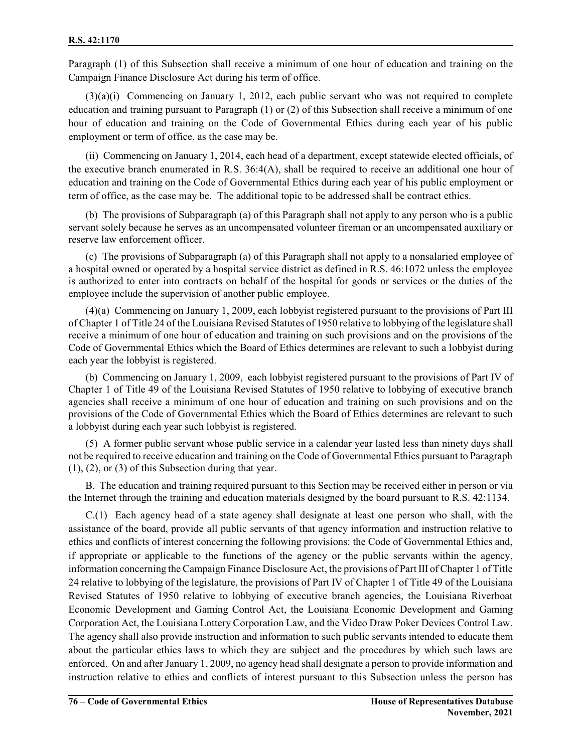Paragraph (1) of this Subsection shall receive a minimum of one hour of education and training on the Campaign Finance Disclosure Act during his term of office.

(3)(a)(i) Commencing on January 1, 2012, each public servant who was not required to complete education and training pursuant to Paragraph (1) or (2) of this Subsection shall receive a minimum of one hour of education and training on the Code of Governmental Ethics during each year of his public employment or term of office, as the case may be.

(ii) Commencing on January 1, 2014, each head of a department, except statewide elected officials, of the executive branch enumerated in R.S. 36:4(A), shall be required to receive an additional one hour of education and training on the Code of Governmental Ethics during each year of his public employment or term of office, as the case may be. The additional topic to be addressed shall be contract ethics.

(b) The provisions of Subparagraph (a) of this Paragraph shall not apply to any person who is a public servant solely because he serves as an uncompensated volunteer fireman or an uncompensated auxiliary or reserve law enforcement officer.

(c) The provisions of Subparagraph (a) of this Paragraph shall not apply to a nonsalaried employee of a hospital owned or operated by a hospital service district as defined in R.S. 46:1072 unless the employee is authorized to enter into contracts on behalf of the hospital for goods or services or the duties of the employee include the supervision of another public employee.

(4)(a) Commencing on January 1, 2009, each lobbyist registered pursuant to the provisions of Part III of Chapter 1 of Title 24 of the Louisiana Revised Statutes of 1950 relative to lobbying of the legislature shall receive a minimum of one hour of education and training on such provisions and on the provisions of the Code of Governmental Ethics which the Board of Ethics determines are relevant to such a lobbyist during each year the lobbyist is registered.

(b) Commencing on January 1, 2009, each lobbyist registered pursuant to the provisions of Part IV of Chapter 1 of Title 49 of the Louisiana Revised Statutes of 1950 relative to lobbying of executive branch agencies shall receive a minimum of one hour of education and training on such provisions and on the provisions of the Code of Governmental Ethics which the Board of Ethics determines are relevant to such a lobbyist during each year such lobbyist is registered.

(5) A former public servant whose public service in a calendar year lasted less than ninety days shall not be required to receive education and training on the Code of Governmental Ethics pursuant to Paragraph (1), (2), or (3) of this Subsection during that year.

B. The education and training required pursuant to this Section may be received either in person or via the Internet through the training and education materials designed by the board pursuant to R.S. 42:1134.

C.(1) Each agency head of a state agency shall designate at least one person who shall, with the assistance of the board, provide all public servants of that agency information and instruction relative to ethics and conflicts of interest concerning the following provisions: the Code of Governmental Ethics and, if appropriate or applicable to the functions of the agency or the public servants within the agency, information concerning the Campaign Finance Disclosure Act, the provisions of Part III of Chapter 1 of Title 24 relative to lobbying of the legislature, the provisions of Part IV of Chapter 1 of Title 49 of the Louisiana Revised Statutes of 1950 relative to lobbying of executive branch agencies, the Louisiana Riverboat Economic Development and Gaming Control Act, the Louisiana Economic Development and Gaming Corporation Act, the Louisiana Lottery Corporation Law, and the Video Draw Poker Devices Control Law. The agency shall also provide instruction and information to such public servants intended to educate them about the particular ethics laws to which they are subject and the procedures by which such laws are enforced. On and after January 1, 2009, no agency head shall designate a person to provide information and instruction relative to ethics and conflicts of interest pursuant to this Subsection unless the person has